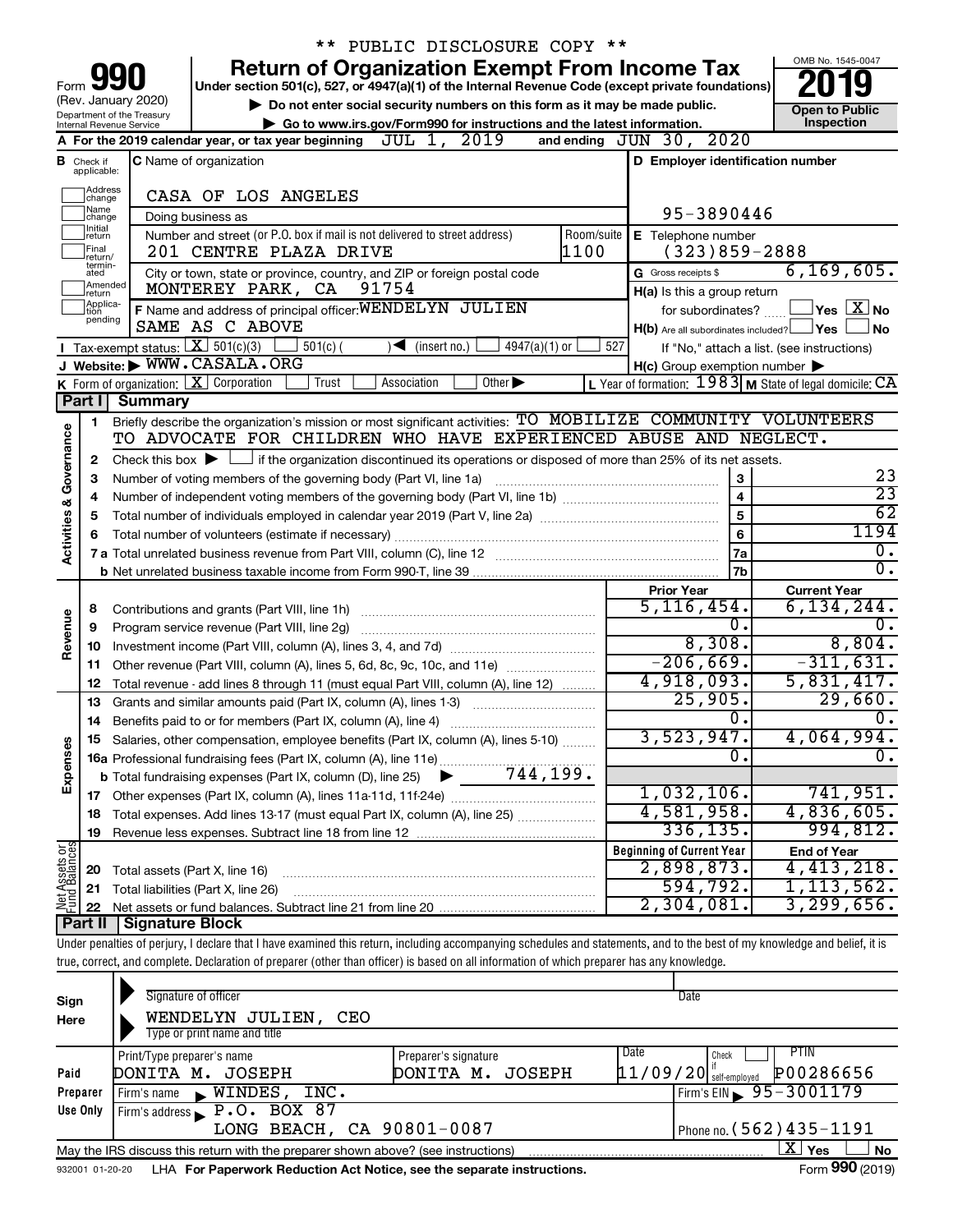|                                                                                                                                                                                                                                                                                                                                                                                                                                                                         |                                  |                                                                                                                                                                            |                | ** PUBLIC DISCLOSURE COPY **      |                             |                 |            |                                                           |  |                                            |
|-------------------------------------------------------------------------------------------------------------------------------------------------------------------------------------------------------------------------------------------------------------------------------------------------------------------------------------------------------------------------------------------------------------------------------------------------------------------------|----------------------------------|----------------------------------------------------------------------------------------------------------------------------------------------------------------------------|----------------|-----------------------------------|-----------------------------|-----------------|------------|-----------------------------------------------------------|--|--------------------------------------------|
|                                                                                                                                                                                                                                                                                                                                                                                                                                                                         |                                  |                                                                                                                                                                            |                |                                   |                             |                 |            | <b>Return of Organization Exempt From Income Tax</b>      |  | OMB No. 1545-0047                          |
| Form                                                                                                                                                                                                                                                                                                                                                                                                                                                                    |                                  |                                                                                                                                                                            |                |                                   |                             |                 |            |                                                           |  |                                            |
| Under section 501(c), 527, or 4947(a)(1) of the Internal Revenue Code (except private foundations)<br>(Rev. January 2020)<br>Do not enter social security numbers on this form as it may be made public.<br><b>Open to Public</b><br>Department of the Treasury<br>Go to www.irs.gov/Form990 for instructions and the latest information.<br>Internal Revenue Service<br>and ending JUN 30, 2020<br>A For the 2019 calendar year, or tax year beginning $JUL$ 1, $2019$ |                                  |                                                                                                                                                                            |                |                                   |                             |                 |            |                                                           |  |                                            |
|                                                                                                                                                                                                                                                                                                                                                                                                                                                                         |                                  |                                                                                                                                                                            |                |                                   |                             |                 |            |                                                           |  | Inspection                                 |
|                                                                                                                                                                                                                                                                                                                                                                                                                                                                         |                                  |                                                                                                                                                                            |                |                                   |                             |                 |            |                                                           |  |                                            |
|                                                                                                                                                                                                                                                                                                                                                                                                                                                                         | <b>B</b> Check if<br>applicable: | C Name of organization                                                                                                                                                     |                |                                   |                             |                 |            | D Employer identification number                          |  |                                            |
|                                                                                                                                                                                                                                                                                                                                                                                                                                                                         | Address                          | CASA OF LOS ANGELES                                                                                                                                                        |                |                                   |                             |                 |            |                                                           |  |                                            |
|                                                                                                                                                                                                                                                                                                                                                                                                                                                                         | change<br>Name                   |                                                                                                                                                                            |                |                                   |                             |                 |            | 95-3890446                                                |  |                                            |
|                                                                                                                                                                                                                                                                                                                                                                                                                                                                         | change<br>Initial<br>return      | Doing business as<br>Number and street (or P.O. box if mail is not delivered to street address)                                                                            |                |                                   |                             |                 | Room/suite | E Telephone number                                        |  |                                            |
|                                                                                                                                                                                                                                                                                                                                                                                                                                                                         | Final                            | 201 CENTRE PLAZA DRIVE                                                                                                                                                     |                |                                   |                             |                 | 1100       | $(323)859 - 2888$                                         |  |                                            |
|                                                                                                                                                                                                                                                                                                                                                                                                                                                                         | return/<br>termin-<br>ated       | City or town, state or province, country, and ZIP or foreign postal code                                                                                                   |                |                                   |                             |                 |            | G Gross receipts \$                                       |  | 6, 169, 605.                               |
|                                                                                                                                                                                                                                                                                                                                                                                                                                                                         | Amended<br>return                | MONTEREY PARK, CA                                                                                                                                                          |                | 91754                             |                             |                 |            | H(a) Is this a group return                               |  |                                            |
|                                                                                                                                                                                                                                                                                                                                                                                                                                                                         | Applica-<br>tion                 | F Name and address of principal officer: WENDELYN JULIEN                                                                                                                   |                |                                   |                             |                 |            | for subordinates?                                         |  | $\overline{\ }$ Yes $\overline{\rm X}$ No  |
|                                                                                                                                                                                                                                                                                                                                                                                                                                                                         | pending                          | SAME AS C ABOVE                                                                                                                                                            |                |                                   |                             |                 |            | $H(b)$ Are all subordinates included? $\Box$ Yes          |  | <b>No</b>                                  |
|                                                                                                                                                                                                                                                                                                                                                                                                                                                                         |                                  | Tax-exempt status: $X \over 301(c)(3)$                                                                                                                                     | $501(c)$ (     | $\sqrt{\frac{1}{1}}$ (insert no.) |                             | $4947(a)(1)$ or | 527        |                                                           |  | If "No," attach a list. (see instructions) |
|                                                                                                                                                                                                                                                                                                                                                                                                                                                                         |                                  | J Website: WWW.CASALA.ORG                                                                                                                                                  |                |                                   |                             |                 |            | $H(c)$ Group exemption number $\blacktriangleright$       |  |                                            |
|                                                                                                                                                                                                                                                                                                                                                                                                                                                                         |                                  | K Form of organization: X Corporation                                                                                                                                      | Trust          | Association                       | Other $\blacktriangleright$ |                 |            | L Year of formation: $1983$ M State of legal domicile: CA |  |                                            |
|                                                                                                                                                                                                                                                                                                                                                                                                                                                                         |                                  | Part I Summary                                                                                                                                                             |                |                                   |                             |                 |            |                                                           |  |                                            |
|                                                                                                                                                                                                                                                                                                                                                                                                                                                                         | 1                                | Briefly describe the organization's mission or most significant activities: TO MOBILIZE COMMUNITY VOLUNTEERS                                                               |                |                                   |                             |                 |            |                                                           |  |                                            |
|                                                                                                                                                                                                                                                                                                                                                                                                                                                                         |                                  | TO ADVOCATE FOR CHILDREN WHO HAVE EXPERIENCED ABUSE AND NEGLECT.                                                                                                           |                |                                   |                             |                 |            |                                                           |  |                                            |
|                                                                                                                                                                                                                                                                                                                                                                                                                                                                         | 2                                | Check this box $\blacktriangleright$ $\Box$ if the organization discontinued its operations or disposed of more than 25% of its net assets.                                |                |                                   |                             |                 |            |                                                           |  | 23                                         |
|                                                                                                                                                                                                                                                                                                                                                                                                                                                                         | З                                | Number of voting members of the governing body (Part VI, line 1a)                                                                                                          |                |                                   |                             |                 |            | 3                                                         |  | $\overline{23}$                            |
|                                                                                                                                                                                                                                                                                                                                                                                                                                                                         | 4                                |                                                                                                                                                                            | $\overline{4}$ |                                   |                             |                 |            |                                                           |  |                                            |
| Activities & Governance                                                                                                                                                                                                                                                                                                                                                                                                                                                 | 5                                |                                                                                                                                                                            | 5<br>6         |                                   |                             |                 |            |                                                           |  | $\overline{62}$<br>1194                    |
|                                                                                                                                                                                                                                                                                                                                                                                                                                                                         | 6                                |                                                                                                                                                                            |                |                                   |                             |                 |            | <b>7a</b>                                                 |  | $\overline{0}$ .                           |
|                                                                                                                                                                                                                                                                                                                                                                                                                                                                         |                                  |                                                                                                                                                                            |                |                                   |                             |                 |            | 7b                                                        |  | σ.                                         |
|                                                                                                                                                                                                                                                                                                                                                                                                                                                                         |                                  |                                                                                                                                                                            |                |                                   |                             |                 |            | <b>Prior Year</b>                                         |  | <b>Current Year</b>                        |
|                                                                                                                                                                                                                                                                                                                                                                                                                                                                         | 8                                |                                                                                                                                                                            |                |                                   |                             |                 |            | 5,116,454.                                                |  | $6,134,244$ .                              |
|                                                                                                                                                                                                                                                                                                                                                                                                                                                                         | 9                                | Program service revenue (Part VIII, line 2g)                                                                                                                               |                |                                   |                             |                 |            | О.                                                        |  | 0.                                         |
| Revenue                                                                                                                                                                                                                                                                                                                                                                                                                                                                 | 10                               |                                                                                                                                                                            |                |                                   |                             |                 |            | 8,308.                                                    |  | 8,804.                                     |
|                                                                                                                                                                                                                                                                                                                                                                                                                                                                         | 11                               | Other revenue (Part VIII, column (A), lines 5, 6d, 8c, 9c, 10c, and 11e)                                                                                                   |                |                                   |                             |                 |            | $-206,669.$                                               |  | $-311,631.$                                |
|                                                                                                                                                                                                                                                                                                                                                                                                                                                                         | 12                               | Total revenue - add lines 8 through 11 (must equal Part VIII, column (A), line 12)                                                                                         |                |                                   |                             |                 |            | 4,918,093.                                                |  | 5,831,417.                                 |
|                                                                                                                                                                                                                                                                                                                                                                                                                                                                         | 13                               | Grants and similar amounts paid (Part IX, column (A), lines 1-3)                                                                                                           |                |                                   |                             |                 |            | 25,905.                                                   |  | 29,660.                                    |
|                                                                                                                                                                                                                                                                                                                                                                                                                                                                         | 14                               | Benefits paid to or for members (Part IX, column (A), line 4)                                                                                                              |                |                                   |                             |                 |            | О.                                                        |  | $\mathbf{0}$ .                             |
| Expenses                                                                                                                                                                                                                                                                                                                                                                                                                                                                |                                  | Salaries, other compensation, employee benefits (Part IX, column (A), lines 5-10)                                                                                          |                |                                   |                             |                 |            | 3,523,947.                                                |  | 4,064,994.                                 |
|                                                                                                                                                                                                                                                                                                                                                                                                                                                                         |                                  |                                                                                                                                                                            |                |                                   |                             |                 |            | 0.                                                        |  | 0.                                         |
|                                                                                                                                                                                                                                                                                                                                                                                                                                                                         |                                  |                                                                                                                                                                            |                |                                   |                             |                 |            | 1,032,106.                                                |  | 741,951.                                   |
|                                                                                                                                                                                                                                                                                                                                                                                                                                                                         | 17                               | Total expenses. Add lines 13-17 (must equal Part IX, column (A), line 25)                                                                                                  |                |                                   |                             |                 |            | 4,581,958.                                                |  | 4,836,605.                                 |
|                                                                                                                                                                                                                                                                                                                                                                                                                                                                         | 18<br>19                         |                                                                                                                                                                            |                |                                   |                             |                 |            | 336, 135.                                                 |  | 994,812.                                   |
|                                                                                                                                                                                                                                                                                                                                                                                                                                                                         |                                  |                                                                                                                                                                            |                |                                   |                             |                 |            | <b>Beginning of Current Year</b>                          |  | <b>End of Year</b>                         |
|                                                                                                                                                                                                                                                                                                                                                                                                                                                                         | 20                               | Total assets (Part X, line 16)                                                                                                                                             |                |                                   |                             |                 |            | 2,898,873.                                                |  | 4,413,218.                                 |
|                                                                                                                                                                                                                                                                                                                                                                                                                                                                         | 21                               | Total liabilities (Part X, line 26)                                                                                                                                        |                |                                   |                             |                 |            | 594,792.                                                  |  | 1, 113, 562.                               |
| <b>Net Assets or</b><br>Fund Balances                                                                                                                                                                                                                                                                                                                                                                                                                                   | 22                               |                                                                                                                                                                            |                |                                   |                             |                 |            | 2,304,081.                                                |  | 3, 299, 656.                               |
|                                                                                                                                                                                                                                                                                                                                                                                                                                                                         | Part II                          | Signature Block                                                                                                                                                            |                |                                   |                             |                 |            |                                                           |  |                                            |
|                                                                                                                                                                                                                                                                                                                                                                                                                                                                         |                                  | Under penalties of perjury, I declare that I have examined this return, including accompanying schedules and statements, and to the best of my knowledge and belief, it is |                |                                   |                             |                 |            |                                                           |  |                                            |
|                                                                                                                                                                                                                                                                                                                                                                                                                                                                         |                                  | true, correct, and complete. Declaration of preparer (other than officer) is based on all information of which preparer has any knowledge.                                 |                |                                   |                             |                 |            |                                                           |  |                                            |
|                                                                                                                                                                                                                                                                                                                                                                                                                                                                         |                                  |                                                                                                                                                                            |                |                                   |                             |                 |            |                                                           |  |                                            |
| Sign                                                                                                                                                                                                                                                                                                                                                                                                                                                                    |                                  | Signature of officer                                                                                                                                                       |                |                                   |                             |                 |            | Date                                                      |  |                                            |

| Sign     | Signature of officer                                                                                        |                      | Date                                    |  |  |  |  |  |  |  |  |
|----------|-------------------------------------------------------------------------------------------------------------|----------------------|-----------------------------------------|--|--|--|--|--|--|--|--|
| Here     | WENDELYN JULIEN,<br>CEO                                                                                     |                      |                                         |  |  |  |  |  |  |  |  |
|          | Type or print name and title                                                                                |                      |                                         |  |  |  |  |  |  |  |  |
|          | Print/Type preparer's name                                                                                  | Preparer's signature | PTIN<br>Date<br>Check                   |  |  |  |  |  |  |  |  |
| Paid     | DONITA M. JOSEPH                                                                                            | DONITA M.<br>JOSEPH  | $11/09/20$ self-employed<br>P00286656   |  |  |  |  |  |  |  |  |
| Preparer | INC.<br>$WINDES$ ,<br>Firm's name                                                                           |                      | $1$ Firm's EIN $\frac{5}{95 - 3001179}$ |  |  |  |  |  |  |  |  |
| Use Only | Firm's address $\blacktriangleright$ P.O. BOX 87                                                            |                      |                                         |  |  |  |  |  |  |  |  |
|          | LONG BEACH, CA 90801-0087<br>Phone no. $(562)$ 435 - 1191                                                   |                      |                                         |  |  |  |  |  |  |  |  |
|          | xι<br>Yes<br><b>No</b><br>May the IRS discuss this return with the preparer shown above? (see instructions) |                      |                                         |  |  |  |  |  |  |  |  |
|          | access as a set of the Department Deduction Ast Nation and the concrete including                           |                      | $T_{\text{c}} = 000 \text{ (2010)}$     |  |  |  |  |  |  |  |  |

932001 01-20-20 **For Paperwork Reduction Act Notice, see the separate instructions.** LHA Form (2019)

Form **990** (2019)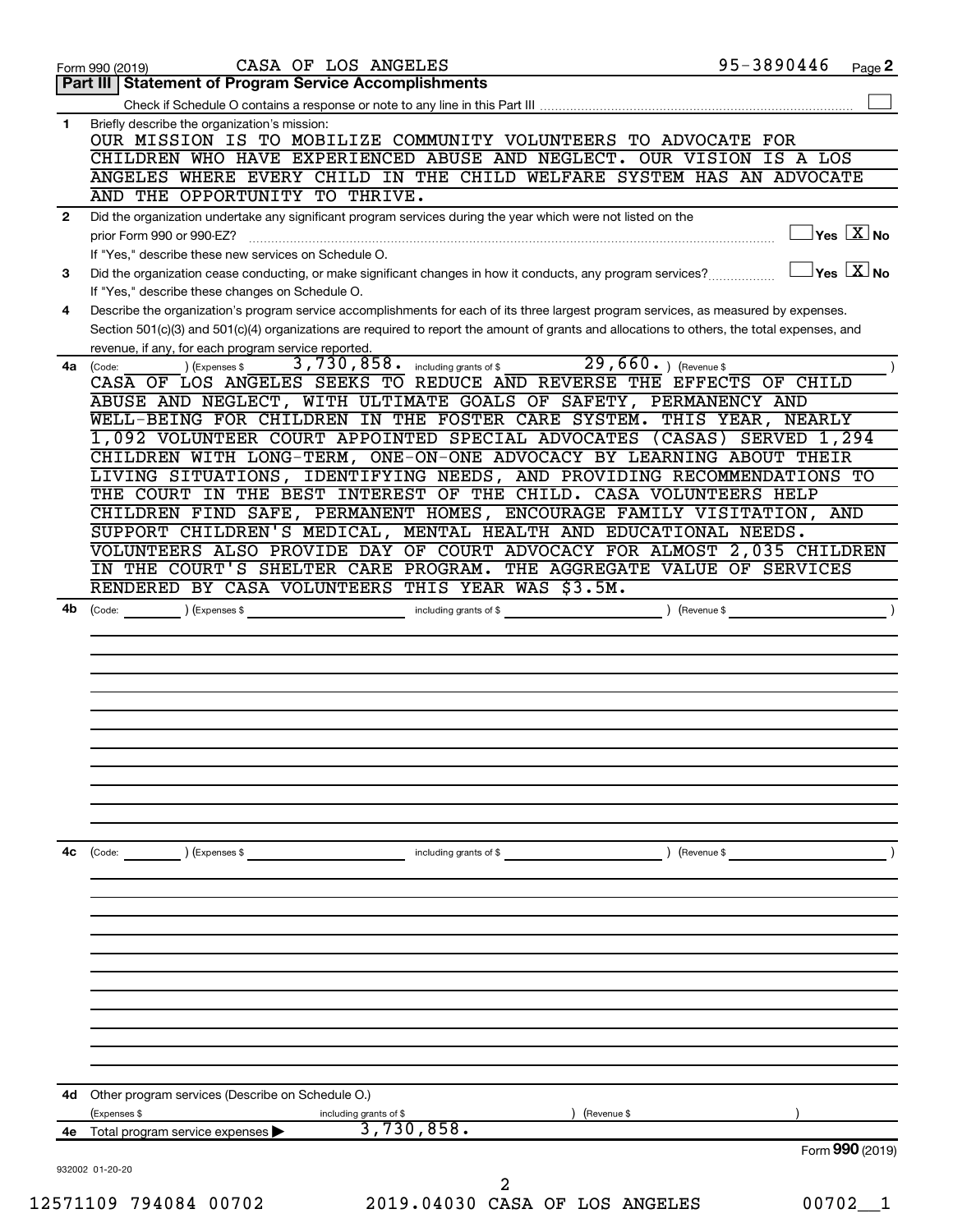| 95-3890446<br>Page 2                                                                                                                         |
|----------------------------------------------------------------------------------------------------------------------------------------------|
|                                                                                                                                              |
|                                                                                                                                              |
|                                                                                                                                              |
| CHILDREN WHO HAVE EXPERIENCED ABUSE AND NEGLECT. OUR VISION IS A LOS                                                                         |
| ANGELES WHERE EVERY CHILD IN THE CHILD WELFARE SYSTEM HAS AN ADVOCATE                                                                        |
|                                                                                                                                              |
|                                                                                                                                              |
| $\exists$ Yes $\boxed{\text{X}}$ No                                                                                                          |
|                                                                                                                                              |
| $\exists$ Yes $\sqrt{X}$ No                                                                                                                  |
|                                                                                                                                              |
| Describe the organization's program service accomplishments for each of its three largest program services, as measured by expenses.         |
| Section 501(c)(3) and 501(c)(4) organizations are required to report the amount of grants and allocations to others, the total expenses, and |
|                                                                                                                                              |
|                                                                                                                                              |
| CASA OF LOS ANGELES SEEKS TO REDUCE AND REVERSE THE EFFECTS OF CHILD                                                                         |
|                                                                                                                                              |
| WELL-BEING FOR CHILDREN IN THE FOSTER CARE SYSTEM. THIS YEAR, NEARLY                                                                         |
| 1,092 VOLUNTEER COURT APPOINTED SPECIAL ADVOCATES (CASAS) SERVED 1,294                                                                       |
| CHILDREN WITH LONG-TERM, ONE-ON-ONE ADVOCACY BY LEARNING ABOUT THEIR                                                                         |
| LIVING SITUATIONS, IDENTIFYING NEEDS, AND PROVIDING RECOMMENDATIONS TO                                                                       |
| THE COURT IN THE BEST INTEREST OF THE CHILD. CASA VOLUNTEERS HELP                                                                            |
| CHILDREN FIND SAFE, PERMANENT HOMES, ENCOURAGE FAMILY VISITATION, AND                                                                        |
|                                                                                                                                              |
| VOLUNTEERS ALSO PROVIDE DAY OF COURT ADVOCACY FOR ALMOST 2,035 CHILDREN                                                                      |
| IN THE COURT'S SHELTER CARE PROGRAM. THE AGGREGATE VALUE OF SERVICES                                                                         |
|                                                                                                                                              |
|                                                                                                                                              |
|                                                                                                                                              |
|                                                                                                                                              |
|                                                                                                                                              |
|                                                                                                                                              |
|                                                                                                                                              |
|                                                                                                                                              |
|                                                                                                                                              |
|                                                                                                                                              |
|                                                                                                                                              |
|                                                                                                                                              |
|                                                                                                                                              |
|                                                                                                                                              |
|                                                                                                                                              |
|                                                                                                                                              |
|                                                                                                                                              |
|                                                                                                                                              |
|                                                                                                                                              |
|                                                                                                                                              |
|                                                                                                                                              |
|                                                                                                                                              |
|                                                                                                                                              |
|                                                                                                                                              |
|                                                                                                                                              |
|                                                                                                                                              |
|                                                                                                                                              |
|                                                                                                                                              |
|                                                                                                                                              |
|                                                                                                                                              |
|                                                                                                                                              |
| Form 990 (2019)                                                                                                                              |
|                                                                                                                                              |
|                                                                                                                                              |
|                                                                                                                                              |
|                                                                                                                                              |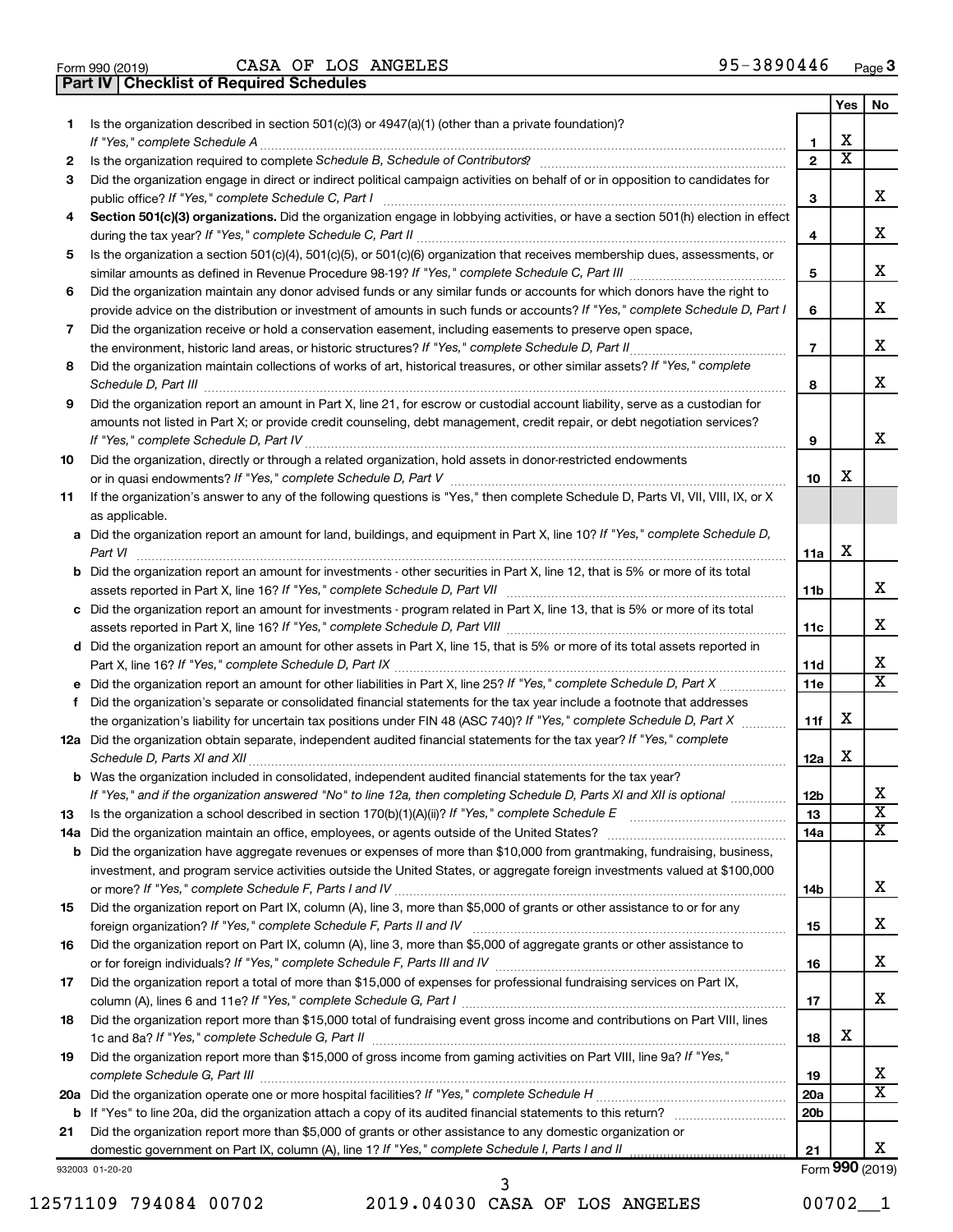|     |                                                                                                                                       |                 | Yes                   | No                           |
|-----|---------------------------------------------------------------------------------------------------------------------------------------|-----------------|-----------------------|------------------------------|
| 1.  | Is the organization described in section 501(c)(3) or 4947(a)(1) (other than a private foundation)?                                   | 1               | х                     |                              |
| 2   |                                                                                                                                       | $\mathbf{2}$    | $\overline{\text{x}}$ |                              |
| 3   | Did the organization engage in direct or indirect political campaign activities on behalf of or in opposition to candidates for       |                 |                       |                              |
|     |                                                                                                                                       | 3               |                       | x                            |
| 4   | Section 501(c)(3) organizations. Did the organization engage in lobbying activities, or have a section 501(h) election in effect      |                 |                       |                              |
|     |                                                                                                                                       | 4               |                       | х                            |
| 5   | Is the organization a section 501(c)(4), 501(c)(5), or 501(c)(6) organization that receives membership dues, assessments, or          |                 |                       |                              |
|     |                                                                                                                                       | 5               |                       | X                            |
| 6   | Did the organization maintain any donor advised funds or any similar funds or accounts for which donors have the right to             |                 |                       |                              |
|     | provide advice on the distribution or investment of amounts in such funds or accounts? If "Yes," complete Schedule D, Part I          | 6               |                       | X                            |
| 7   | Did the organization receive or hold a conservation easement, including easements to preserve open space,                             |                 |                       |                              |
|     |                                                                                                                                       | $\overline{7}$  |                       | х                            |
| 8   | Did the organization maintain collections of works of art, historical treasures, or other similar assets? If "Yes," complete          |                 |                       |                              |
|     |                                                                                                                                       | 8               |                       | х                            |
| 9   | Did the organization report an amount in Part X, line 21, for escrow or custodial account liability, serve as a custodian for         |                 |                       |                              |
|     | amounts not listed in Part X; or provide credit counseling, debt management, credit repair, or debt negotiation services?             |                 |                       |                              |
|     |                                                                                                                                       | 9               |                       | х                            |
| 10  | Did the organization, directly or through a related organization, hold assets in donor-restricted endowments                          |                 |                       |                              |
|     |                                                                                                                                       | 10              | х                     |                              |
| 11  | If the organization's answer to any of the following questions is "Yes," then complete Schedule D, Parts VI, VII, VIII, IX, or X      |                 |                       |                              |
|     | as applicable.                                                                                                                        |                 |                       |                              |
|     | a Did the organization report an amount for land, buildings, and equipment in Part X, line 10? If "Yes," complete Schedule D,         | 11a             | X                     |                              |
|     | <b>b</b> Did the organization report an amount for investments - other securities in Part X, line 12, that is 5% or more of its total |                 |                       |                              |
|     |                                                                                                                                       | 11b             |                       | x                            |
|     | c Did the organization report an amount for investments - program related in Part X, line 13, that is 5% or more of its total         |                 |                       |                              |
|     |                                                                                                                                       | 11c             |                       | х                            |
|     | d Did the organization report an amount for other assets in Part X, line 15, that is 5% or more of its total assets reported in       |                 |                       |                              |
|     |                                                                                                                                       | 11d             |                       | х                            |
|     |                                                                                                                                       | 11e             |                       | $\overline{\textbf{x}}$      |
| f   | Did the organization's separate or consolidated financial statements for the tax year include a footnote that addresses               |                 |                       |                              |
|     | the organization's liability for uncertain tax positions under FIN 48 (ASC 740)? If "Yes," complete Schedule D, Part X                | 11f             | х                     |                              |
|     | 12a Did the organization obtain separate, independent audited financial statements for the tax year? If "Yes," complete               |                 |                       |                              |
|     |                                                                                                                                       | 12a             | X                     |                              |
|     | <b>b</b> Was the organization included in consolidated, independent audited financial statements for the tax year?                    |                 |                       |                              |
|     | If "Yes," and if the organization answered "No" to line 12a, then completing Schedule D, Parts XI and XII is optional                 | 12 <sub>b</sub> |                       | х                            |
| 13  |                                                                                                                                       | 13              |                       | $\overline{\textbf{x}}$<br>х |
| 14a |                                                                                                                                       | 14a             |                       |                              |
|     | <b>b</b> Did the organization have aggregate revenues or expenses of more than \$10,000 from grantmaking, fundraising, business,      |                 |                       |                              |
|     | investment, and program service activities outside the United States, or aggregate foreign investments valued at \$100,000            | 14b             |                       | х                            |
| 15  | Did the organization report on Part IX, column (A), line 3, more than \$5,000 of grants or other assistance to or for any             |                 |                       |                              |
|     |                                                                                                                                       | 15              |                       | х                            |
| 16  | Did the organization report on Part IX, column (A), line 3, more than \$5,000 of aggregate grants or other assistance to              |                 |                       |                              |
|     |                                                                                                                                       | 16              |                       | х                            |
| 17  | Did the organization report a total of more than \$15,000 of expenses for professional fundraising services on Part IX,               |                 |                       |                              |
|     |                                                                                                                                       | 17              |                       | x                            |
| 18  | Did the organization report more than \$15,000 total of fundraising event gross income and contributions on Part VIII, lines          |                 |                       |                              |
|     |                                                                                                                                       | 18              | х                     |                              |
| 19  | Did the organization report more than \$15,000 of gross income from gaming activities on Part VIII, line 9a? If "Yes,"                |                 |                       |                              |
|     |                                                                                                                                       | 19              |                       | х                            |
|     |                                                                                                                                       | 20a             |                       | $\overline{\textbf{X}}$      |
|     |                                                                                                                                       | 20b             |                       |                              |
| 21  | Did the organization report more than \$5,000 of grants or other assistance to any domestic organization or                           |                 |                       | x                            |
|     |                                                                                                                                       | 21              |                       | Form 990 (2019)              |
|     | 932003 01-20-20                                                                                                                       |                 |                       |                              |

12571109 794084 00702 2019.04030 CASA OF LOS ANGELES 00702\_\_1 3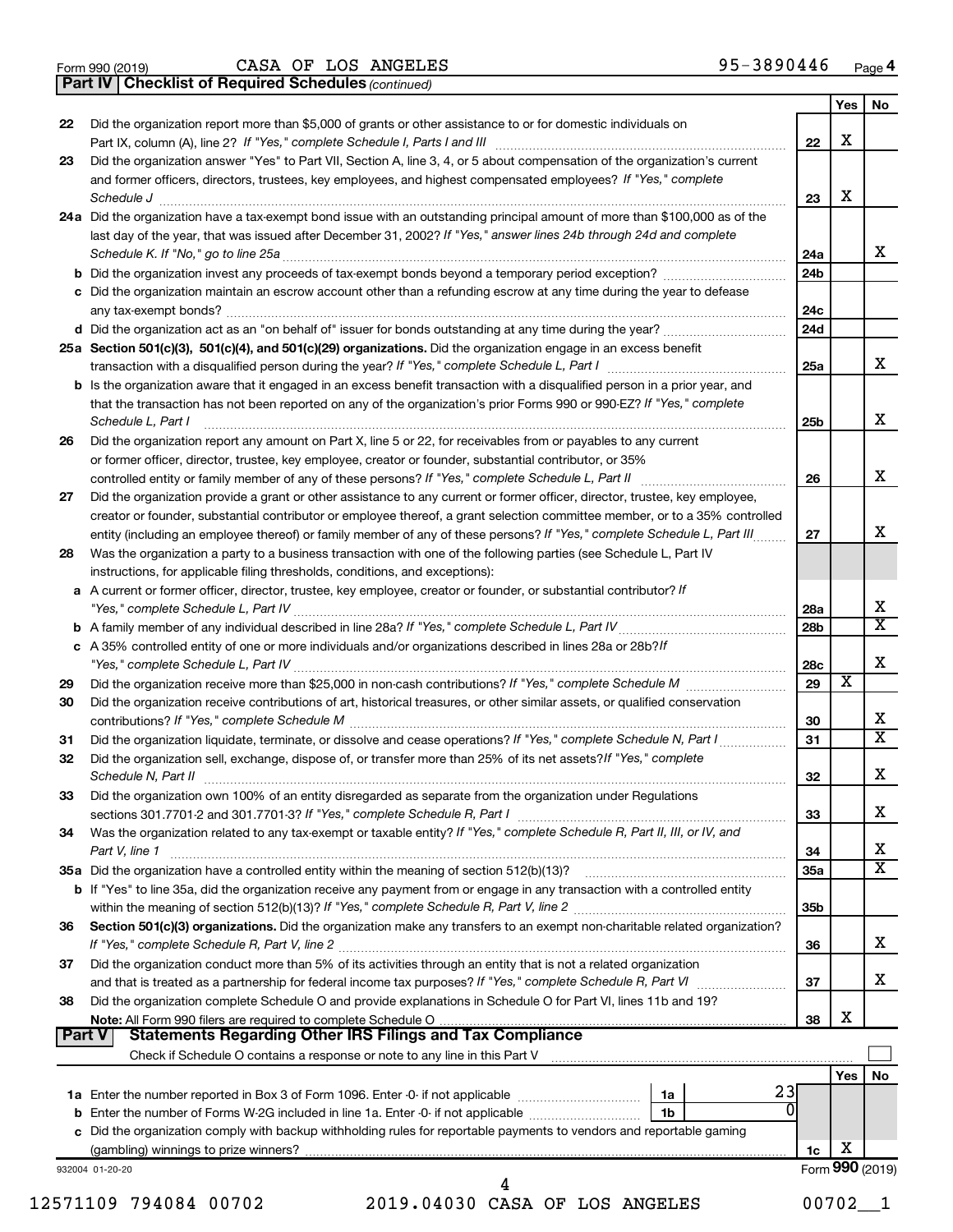|  | Form 990 (2019) |  |
|--|-----------------|--|
|  |                 |  |

**Part IV Checklist of Required Schedules**

*(continued)*

|               |                                                                                                                                                                                                                                              |                 | Yes | No                           |
|---------------|----------------------------------------------------------------------------------------------------------------------------------------------------------------------------------------------------------------------------------------------|-----------------|-----|------------------------------|
| 22            | Did the organization report more than \$5,000 of grants or other assistance to or for domestic individuals on                                                                                                                                |                 | X   |                              |
|               |                                                                                                                                                                                                                                              | 22              |     |                              |
| 23            | Did the organization answer "Yes" to Part VII, Section A, line 3, 4, or 5 about compensation of the organization's current<br>and former officers, directors, trustees, key employees, and highest compensated employees? If "Yes," complete |                 |     |                              |
|               | Schedule J                                                                                                                                                                                                                                   | 23              | х   |                              |
|               | 24a Did the organization have a tax-exempt bond issue with an outstanding principal amount of more than \$100,000 as of the                                                                                                                  |                 |     |                              |
|               | last day of the year, that was issued after December 31, 2002? If "Yes," answer lines 24b through 24d and complete                                                                                                                           |                 |     |                              |
|               | Schedule K. If "No," go to line 25a                                                                                                                                                                                                          | 24a             |     | x                            |
|               |                                                                                                                                                                                                                                              | 24 <sub>b</sub> |     |                              |
|               | c Did the organization maintain an escrow account other than a refunding escrow at any time during the year to defease                                                                                                                       |                 |     |                              |
|               |                                                                                                                                                                                                                                              | 24c             |     |                              |
|               | d Did the organization act as an "on behalf of" issuer for bonds outstanding at any time during the year?                                                                                                                                    | 24d             |     |                              |
|               | 25a Section 501(c)(3), 501(c)(4), and 501(c)(29) organizations. Did the organization engage in an excess benefit                                                                                                                             |                 |     |                              |
|               |                                                                                                                                                                                                                                              | 25a             |     | x                            |
|               | <b>b</b> Is the organization aware that it engaged in an excess benefit transaction with a disqualified person in a prior year, and                                                                                                          |                 |     |                              |
|               | that the transaction has not been reported on any of the organization's prior Forms 990 or 990-EZ? If "Yes," complete                                                                                                                        |                 |     |                              |
|               | Schedule L, Part I                                                                                                                                                                                                                           | 25b             |     | х                            |
| 26            | Did the organization report any amount on Part X, line 5 or 22, for receivables from or payables to any current                                                                                                                              |                 |     |                              |
|               | or former officer, director, trustee, key employee, creator or founder, substantial contributor, or 35%                                                                                                                                      |                 |     |                              |
|               |                                                                                                                                                                                                                                              | 26              |     | x                            |
| 27            | Did the organization provide a grant or other assistance to any current or former officer, director, trustee, key employee,                                                                                                                  |                 |     |                              |
|               | creator or founder, substantial contributor or employee thereof, a grant selection committee member, or to a 35% controlled                                                                                                                  |                 |     |                              |
|               | entity (including an employee thereof) or family member of any of these persons? If "Yes," complete Schedule L, Part III                                                                                                                     | 27              |     | х                            |
| 28            | Was the organization a party to a business transaction with one of the following parties (see Schedule L, Part IV                                                                                                                            |                 |     |                              |
|               | instructions, for applicable filing thresholds, conditions, and exceptions):                                                                                                                                                                 |                 |     |                              |
|               | a A current or former officer, director, trustee, key employee, creator or founder, or substantial contributor? If                                                                                                                           |                 |     |                              |
|               |                                                                                                                                                                                                                                              | 28a             |     | х<br>$\overline{\texttt{x}}$ |
|               |                                                                                                                                                                                                                                              | 28 <sub>b</sub> |     |                              |
|               | c A 35% controlled entity of one or more individuals and/or organizations described in lines 28a or 28b?If                                                                                                                                   |                 |     | х                            |
|               |                                                                                                                                                                                                                                              | 28c<br>29       | х   |                              |
| 29<br>30      | Did the organization receive contributions of art, historical treasures, or other similar assets, or qualified conservation                                                                                                                  |                 |     |                              |
|               |                                                                                                                                                                                                                                              | 30              |     | х                            |
| 31            | Did the organization liquidate, terminate, or dissolve and cease operations? If "Yes," complete Schedule N, Part I                                                                                                                           | 31              |     | $\overline{\texttt{x}}$      |
| 32            | Did the organization sell, exchange, dispose of, or transfer more than 25% of its net assets? If "Yes," complete                                                                                                                             |                 |     |                              |
|               | Schedule N, Part II                                                                                                                                                                                                                          | 32              |     | х                            |
| 33            | Did the organization own 100% of an entity disregarded as separate from the organization under Regulations                                                                                                                                   |                 |     |                              |
|               |                                                                                                                                                                                                                                              | 33              |     | х                            |
| 34            | Was the organization related to any tax-exempt or taxable entity? If "Yes," complete Schedule R, Part II, III, or IV, and                                                                                                                    |                 |     |                              |
|               | Part V, line 1                                                                                                                                                                                                                               | 34              |     | х                            |
|               |                                                                                                                                                                                                                                              | 35a             |     | $\overline{\text{X}}$        |
|               | b If "Yes" to line 35a, did the organization receive any payment from or engage in any transaction with a controlled entity                                                                                                                  |                 |     |                              |
|               |                                                                                                                                                                                                                                              | 35 <sub>b</sub> |     |                              |
| 36            | Section 501(c)(3) organizations. Did the organization make any transfers to an exempt non-charitable related organization?                                                                                                                   |                 |     |                              |
|               |                                                                                                                                                                                                                                              | 36              |     | x                            |
| 37            | Did the organization conduct more than 5% of its activities through an entity that is not a related organization                                                                                                                             |                 |     |                              |
|               |                                                                                                                                                                                                                                              | 37              |     | x                            |
| 38            | Did the organization complete Schedule O and provide explanations in Schedule O for Part VI, lines 11b and 19?                                                                                                                               |                 | х   |                              |
| <b>Part V</b> | <b>Statements Regarding Other IRS Filings and Tax Compliance</b>                                                                                                                                                                             | 38              |     |                              |
|               |                                                                                                                                                                                                                                              |                 |     |                              |
|               |                                                                                                                                                                                                                                              |                 | Yes | No                           |
|               | 23<br>1a                                                                                                                                                                                                                                     |                 |     |                              |
|               | 1b                                                                                                                                                                                                                                           |                 |     |                              |
|               | c Did the organization comply with backup withholding rules for reportable payments to vendors and reportable gaming                                                                                                                         |                 |     |                              |
|               |                                                                                                                                                                                                                                              | 1c              | х   |                              |
|               | 932004 01-20-20                                                                                                                                                                                                                              |                 |     | Form 990 (2019)              |
|               | 4                                                                                                                                                                                                                                            |                 |     |                              |

12571109 794084 00702 2019.04030 CASA OF LOS ANGELES 00702\_\_1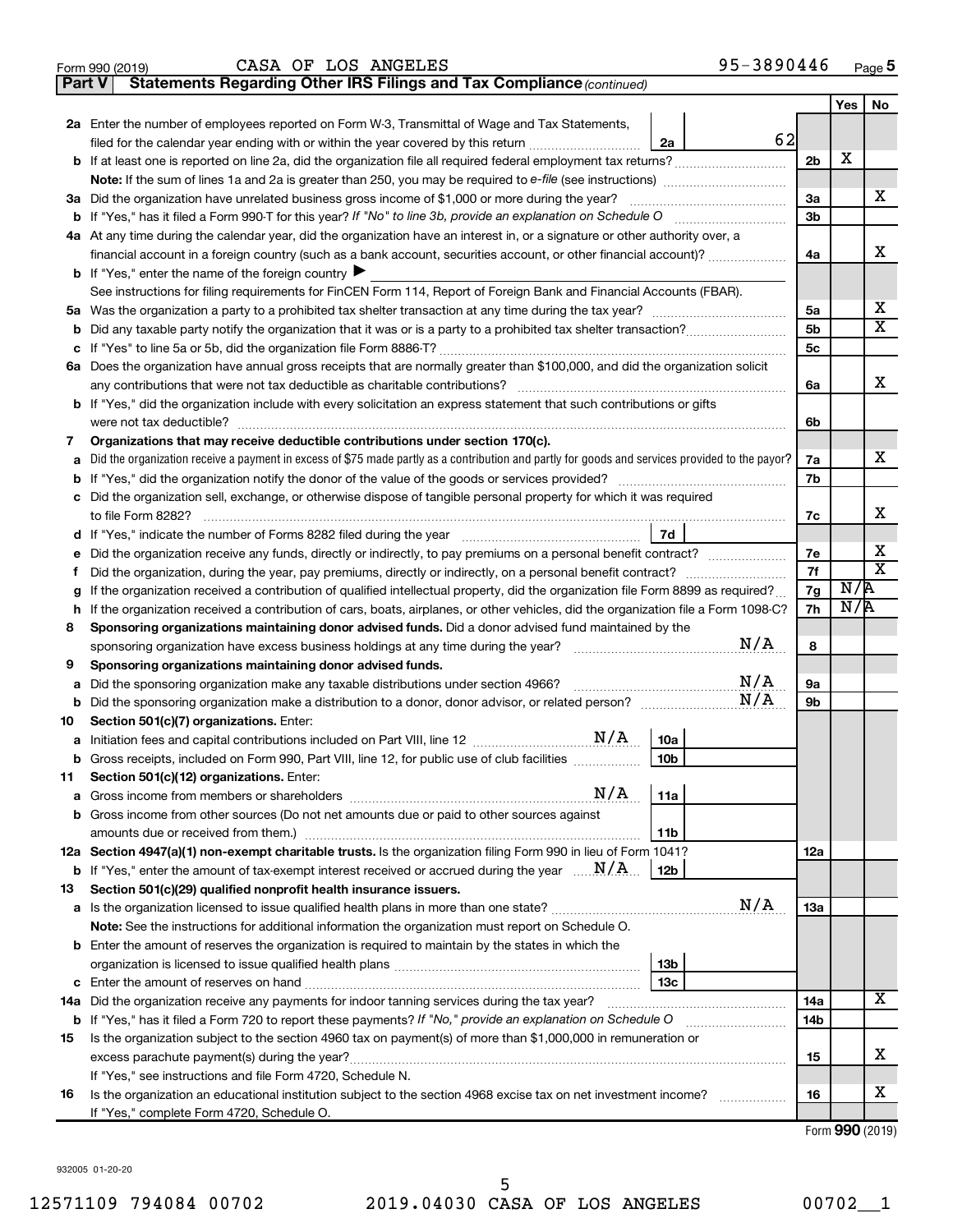|        | 95-3890446<br>CASA OF LOS ANGELES<br>Form 990 (2019)                                                                                            |                |            | Page 5                      |
|--------|-------------------------------------------------------------------------------------------------------------------------------------------------|----------------|------------|-----------------------------|
| Part V | Statements Regarding Other IRS Filings and Tax Compliance (continued)                                                                           |                |            |                             |
|        |                                                                                                                                                 |                | <b>Yes</b> | No                          |
|        | 2a Enter the number of employees reported on Form W-3, Transmittal of Wage and Tax Statements,                                                  |                |            |                             |
|        | 62<br>filed for the calendar year ending with or within the year covered by this return<br>2a                                                   |                |            |                             |
|        | b If at least one is reported on line 2a, did the organization file all required federal employment tax returns?                                | 2 <sub>b</sub> | X          |                             |
|        |                                                                                                                                                 |                |            |                             |
|        | 3a Did the organization have unrelated business gross income of \$1,000 or more during the year?                                                | За             |            | x.                          |
| b      | If "Yes," has it filed a Form 990-T for this year? If "No" to line 3b, provide an explanation on Schedule O                                     | 3 <sub>b</sub> |            |                             |
|        | 4a At any time during the calendar year, did the organization have an interest in, or a signature or other authority over, a                    |                |            |                             |
|        | financial account in a foreign country (such as a bank account, securities account, or other financial account)?                                | 4a             |            | х                           |
|        | <b>b</b> If "Yes," enter the name of the foreign country $\blacktriangleright$                                                                  |                |            |                             |
|        | See instructions for filing requirements for FinCEN Form 114, Report of Foreign Bank and Financial Accounts (FBAR).                             |                |            |                             |
|        |                                                                                                                                                 | 5a             |            | х                           |
| b      |                                                                                                                                                 | 5 <sub>b</sub> |            | $\overline{\texttt{x}}$     |
| с      |                                                                                                                                                 | 5c             |            |                             |
|        | 6a Does the organization have annual gross receipts that are normally greater than \$100,000, and did the organization solicit                  |                |            |                             |
|        | any contributions that were not tax deductible as charitable contributions?                                                                     | 6a             |            | x                           |
|        | b If "Yes," did the organization include with every solicitation an express statement that such contributions or gifts                          |                |            |                             |
|        | were not tax deductible?                                                                                                                        | 6b             |            |                             |
| 7      | Organizations that may receive deductible contributions under section 170(c).                                                                   |                |            |                             |
| a      | Did the organization receive a payment in excess of \$75 made partly as a contribution and partly for goods and services provided to the payor? | 7a             |            | х                           |
| b      | If "Yes," did the organization notify the donor of the value of the goods or services provided?                                                 | 7b             |            |                             |
| с      | Did the organization sell, exchange, or otherwise dispose of tangible personal property for which it was required                               |                |            |                             |
|        |                                                                                                                                                 | 7c             |            | х                           |
| d      | 7d                                                                                                                                              |                |            |                             |
| е      | Did the organization receive any funds, directly or indirectly, to pay premiums on a personal benefit contract?                                 | 7e             |            | X                           |
| f.     |                                                                                                                                                 | 7f             |            | $\overline{\textnormal{x}}$ |
| g      | If the organization received a contribution of qualified intellectual property, did the organization file Form 8899 as required?                | 7g             | N/R        |                             |
| h      | If the organization received a contribution of cars, boats, airplanes, or other vehicles, did the organization file a Form 1098-C?              | 7h             | N/R        |                             |
| 8      | Sponsoring organizations maintaining donor advised funds. Did a donor advised fund maintained by the                                            |                |            |                             |
|        | N/A<br>sponsoring organization have excess business holdings at any time during the year?                                                       | 8              |            |                             |
| 9      | Sponsoring organizations maintaining donor advised funds.                                                                                       |                |            |                             |
| a      | N/A<br>Did the sponsoring organization make any taxable distributions under section 4966?                                                       | <b>9a</b>      |            |                             |
| b      | N/A                                                                                                                                             | 9b             |            |                             |
| 10     | Section 501(c)(7) organizations. Enter:                                                                                                         |                |            |                             |
| а      | 10a                                                                                                                                             |                |            |                             |
| b      | 10 <sub>b</sub><br>Gross receipts, included on Form 990, Part VIII, line 12, for public use of club facilities                                  |                |            |                             |
| 11     | Section 501(c)(12) organizations. Enter:                                                                                                        |                |            |                             |

|     | <b>b</b> If "Yes," enter the amount of tax-exempt interest received or accrued during the year $\ldots$ $N/A$ .    | 12b |  |  |                           |  |  |  |  |
|-----|--------------------------------------------------------------------------------------------------------------------|-----|--|--|---------------------------|--|--|--|--|
| 13. | Section 501(c)(29) qualified nonprofit health insurance issuers.                                                   |     |  |  |                           |  |  |  |  |
|     | N/A<br><b>a</b> Is the organization licensed to issue qualified health plans in more than one state?               |     |  |  |                           |  |  |  |  |
|     | <b>Note:</b> See the instructions for additional information the organization must report on Schedule O.           |     |  |  |                           |  |  |  |  |
|     | <b>b</b> Enter the amount of reserves the organization is required to maintain by the states in which the          |     |  |  |                           |  |  |  |  |
|     | 13b                                                                                                                |     |  |  |                           |  |  |  |  |
|     | 13с<br>c Enter the amount of reserves on hand                                                                      |     |  |  |                           |  |  |  |  |
| 14a | Did the organization receive any payments for indoor tanning services during the tax year?                         |     |  |  |                           |  |  |  |  |
|     | <b>b</b> If "Yes," has it filed a Form 720 to report these payments? If "No," provide an explanation on Schedule O |     |  |  |                           |  |  |  |  |
| 15  | Is the organization subject to the section 4960 tax on payment(s) of more than \$1,000,000 in remuneration or      |     |  |  |                           |  |  |  |  |
|     | excess parachute payment(s) during the year?                                                                       |     |  |  |                           |  |  |  |  |
|     | If "Yes," see instructions and file Form 4720, Schedule N.                                                         |     |  |  |                           |  |  |  |  |
| 16  | Is the organization an educational institution subject to the section 4968 excise tax on net investment income?    |     |  |  |                           |  |  |  |  |
|     | If "Yes," complete Form 4720, Schedule O.                                                                          |     |  |  |                           |  |  |  |  |
|     |                                                                                                                    |     |  |  | $\mathbf{r}$ $\mathbf{a}$ |  |  |  |  |

**12a** Section 4947(a)(1) non-exempt charitable trusts. Is the organization filing Form 990 in lieu of Form 1041?

**a** Gross income from members or shareholders …………………………………………………………………………………………… **b** Gross income from other sources (Do not net amounts due or paid to other sources against

amounts due or received from them.) ~~~~~~~~~~~~~~~~~~~~~~~~~~~~~~

Form (2019) **990**

932005 01-20-20

**11a**

 $N/A$ 

**11b**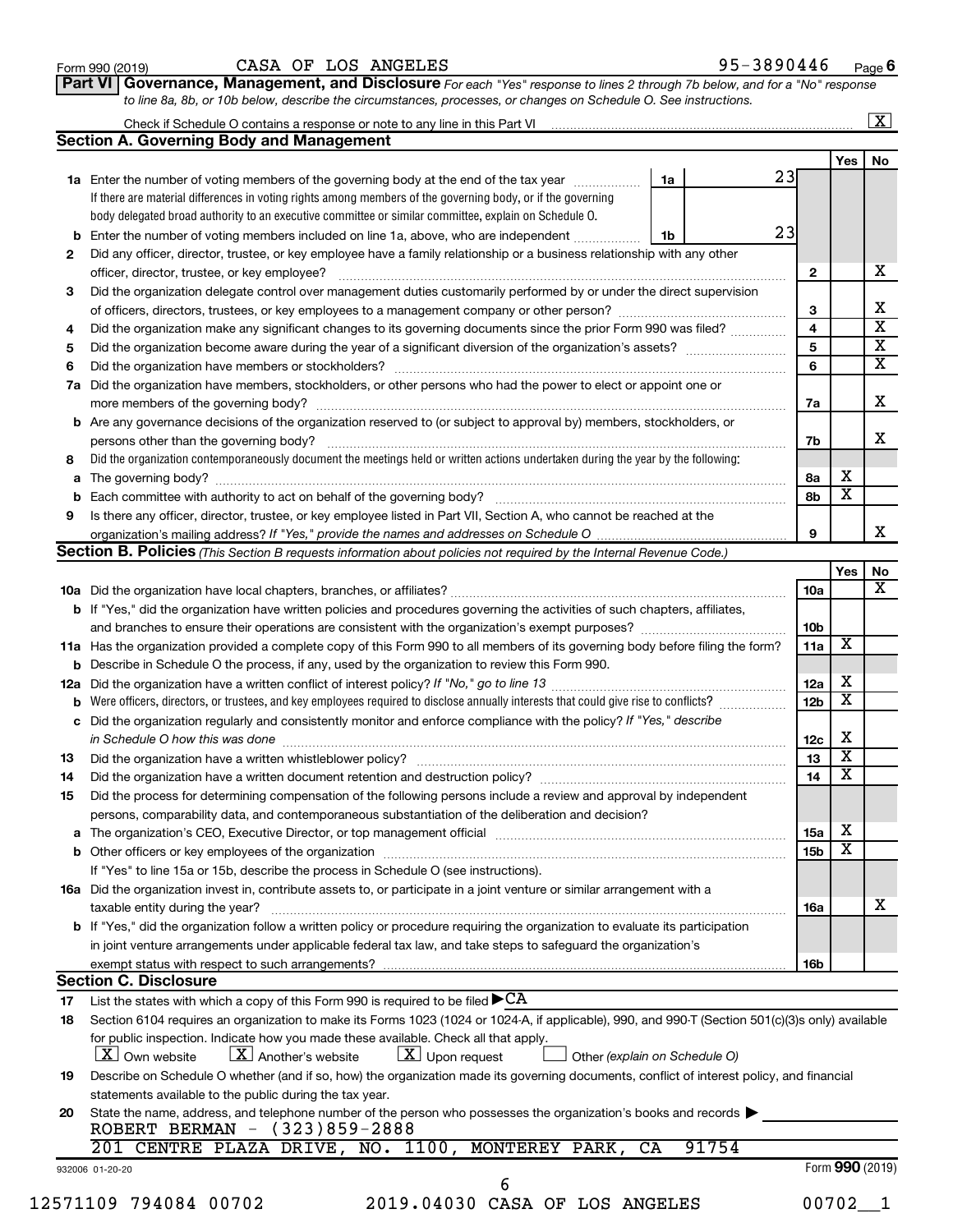| Form 990 (2019) |  |  |
|-----------------|--|--|
|-----------------|--|--|

# Form 990 (2019)  $CASA$  OF LOS ANGELES 95-3890446  $P_{\text{age}}$

**Part VI** Governance, Management, and Disclosure For each "Yes" response to lines 2 through 7b below, and for a "No" response *to line 8a, 8b, or 10b below, describe the circumstances, processes, or changes on Schedule O. See instructions.*

|     |                                                                                                                                                                                                                                                         |                               |                         |                         | $\overline{\mathbf{X}}$ |  |  |  |  |
|-----|---------------------------------------------------------------------------------------------------------------------------------------------------------------------------------------------------------------------------------------------------------|-------------------------------|-------------------------|-------------------------|-------------------------|--|--|--|--|
|     | <b>Section A. Governing Body and Management</b>                                                                                                                                                                                                         |                               |                         |                         |                         |  |  |  |  |
|     |                                                                                                                                                                                                                                                         |                               |                         | <b>Yes</b>              | No                      |  |  |  |  |
|     | 1a Enter the number of voting members of the governing body at the end of the tax year                                                                                                                                                                  | 1a                            | 23                      |                         |                         |  |  |  |  |
|     | If there are material differences in voting rights among members of the governing body, or if the governing                                                                                                                                             |                               |                         |                         |                         |  |  |  |  |
|     | body delegated broad authority to an executive committee or similar committee, explain on Schedule O.                                                                                                                                                   |                               |                         |                         |                         |  |  |  |  |
|     | <b>b</b> Enter the number of voting members included on line 1a, above, who are independent <i>maching communion</i>                                                                                                                                    | 1b                            | 23                      |                         |                         |  |  |  |  |
| 2   | Did any officer, director, trustee, or key employee have a family relationship or a business relationship with any other                                                                                                                                |                               |                         |                         |                         |  |  |  |  |
|     |                                                                                                                                                                                                                                                         |                               | $\mathbf{2}$            |                         |                         |  |  |  |  |
| З   | Did the organization delegate control over management duties customarily performed by or under the direct supervision                                                                                                                                   |                               |                         |                         |                         |  |  |  |  |
|     |                                                                                                                                                                                                                                                         |                               | 3                       |                         |                         |  |  |  |  |
| 4   | Did the organization make any significant changes to its governing documents since the prior Form 990 was filed?                                                                                                                                        |                               | $\overline{\mathbf{4}}$ |                         |                         |  |  |  |  |
| 5   |                                                                                                                                                                                                                                                         |                               | $\overline{\mathbf{5}}$ |                         |                         |  |  |  |  |
| 6   |                                                                                                                                                                                                                                                         |                               | 6                       |                         |                         |  |  |  |  |
| 7a  | Did the organization have members, stockholders, or other persons who had the power to elect or appoint one or                                                                                                                                          |                               |                         |                         |                         |  |  |  |  |
|     |                                                                                                                                                                                                                                                         |                               | 7a                      |                         |                         |  |  |  |  |
|     | <b>b</b> Are any governance decisions of the organization reserved to (or subject to approval by) members, stockholders, or                                                                                                                             |                               |                         |                         |                         |  |  |  |  |
|     | persons other than the governing body?                                                                                                                                                                                                                  |                               | 7b                      |                         |                         |  |  |  |  |
| 8   | Did the organization contemporaneously document the meetings held or written actions undertaken during the year by the following:                                                                                                                       |                               |                         |                         |                         |  |  |  |  |
|     |                                                                                                                                                                                                                                                         |                               | 8a                      | х                       |                         |  |  |  |  |
|     |                                                                                                                                                                                                                                                         |                               | 8b                      | $\overline{\mathbf{x}}$ |                         |  |  |  |  |
| 9   | Is there any officer, director, trustee, or key employee listed in Part VII, Section A, who cannot be reached at the                                                                                                                                    |                               |                         |                         |                         |  |  |  |  |
|     |                                                                                                                                                                                                                                                         |                               | 9                       |                         |                         |  |  |  |  |
|     | Section B. Policies (This Section B requests information about policies not required by the Internal Revenue Code.)                                                                                                                                     |                               |                         |                         |                         |  |  |  |  |
|     |                                                                                                                                                                                                                                                         |                               |                         | Yes                     |                         |  |  |  |  |
|     |                                                                                                                                                                                                                                                         |                               | 10a                     |                         |                         |  |  |  |  |
|     | b If "Yes," did the organization have written policies and procedures governing the activities of such chapters, affiliates,                                                                                                                            |                               |                         |                         |                         |  |  |  |  |
|     |                                                                                                                                                                                                                                                         |                               |                         |                         |                         |  |  |  |  |
|     | 11a Has the organization provided a complete copy of this Form 990 to all members of its governing body before filing the form?                                                                                                                         |                               | 11a                     | $\overline{\mathbf{X}}$ |                         |  |  |  |  |
|     | <b>b</b> Describe in Schedule O the process, if any, used by the organization to review this Form 990.                                                                                                                                                  |                               |                         |                         |                         |  |  |  |  |
| 12a | 12a                                                                                                                                                                                                                                                     |                               |                         |                         |                         |  |  |  |  |
|     | 12 <sub>b</sub>                                                                                                                                                                                                                                         |                               |                         |                         |                         |  |  |  |  |
|     | c Did the organization regularly and consistently monitor and enforce compliance with the policy? If "Yes," describe                                                                                                                                    |                               |                         |                         |                         |  |  |  |  |
|     | in Schedule O how this was done manufactured and continuum and contact the way to have a set of the state of t                                                                                                                                          |                               | 12c                     | х                       |                         |  |  |  |  |
| 13  |                                                                                                                                                                                                                                                         |                               | 13                      | $\overline{\textbf{x}}$ |                         |  |  |  |  |
| 14  | Did the organization have a written document retention and destruction policy? [11] manufaction manufaction in                                                                                                                                          |                               | 14                      | $\overline{\textbf{x}}$ |                         |  |  |  |  |
| 15  | Did the process for determining compensation of the following persons include a review and approval by independent                                                                                                                                      |                               |                         |                         |                         |  |  |  |  |
|     | persons, comparability data, and contemporaneous substantiation of the deliberation and decision?                                                                                                                                                       |                               |                         |                         |                         |  |  |  |  |
|     |                                                                                                                                                                                                                                                         |                               | 15a                     | х                       |                         |  |  |  |  |
|     |                                                                                                                                                                                                                                                         |                               | 15b                     | $\overline{\textbf{x}}$ |                         |  |  |  |  |
|     | If "Yes" to line 15a or 15b, describe the process in Schedule O (see instructions).                                                                                                                                                                     |                               |                         |                         |                         |  |  |  |  |
|     | 16a Did the organization invest in, contribute assets to, or participate in a joint venture or similar arrangement with a                                                                                                                               |                               |                         |                         |                         |  |  |  |  |
|     |                                                                                                                                                                                                                                                         |                               |                         |                         |                         |  |  |  |  |
|     | taxable entity during the year?<br><b>b</b> If "Yes," did the organization follow a written policy or procedure requiring the organization to evaluate its participation                                                                                |                               | 16a                     |                         |                         |  |  |  |  |
|     | in joint venture arrangements under applicable federal tax law, and take steps to safeguard the organization's                                                                                                                                          |                               |                         |                         |                         |  |  |  |  |
|     |                                                                                                                                                                                                                                                         |                               |                         |                         |                         |  |  |  |  |
|     | exempt status with respect to such arrangements?<br><b>Section C. Disclosure</b>                                                                                                                                                                        |                               | 16b                     |                         |                         |  |  |  |  |
|     |                                                                                                                                                                                                                                                         |                               |                         |                         |                         |  |  |  |  |
| 17  | List the states with which a copy of this Form 990 is required to be filed $\blacktriangleright$ CA<br>Section 6104 requires an organization to make its Forms 1023 (1024 or 1024-A, if applicable), 990, and 990-T (Section 501(c)(3)s only) available |                               |                         |                         |                         |  |  |  |  |
| 18  |                                                                                                                                                                                                                                                         |                               |                         |                         |                         |  |  |  |  |
|     | for public inspection. Indicate how you made these available. Check all that apply.<br>$X$ Upon request<br>$\lfloor X \rfloor$ Own website<br>$\lfloor X \rfloor$ Another's website                                                                     |                               |                         |                         |                         |  |  |  |  |
|     |                                                                                                                                                                                                                                                         | Other (explain on Schedule O) |                         |                         |                         |  |  |  |  |
| 19  | Describe on Schedule O whether (and if so, how) the organization made its governing documents, conflict of interest policy, and financial                                                                                                               |                               |                         |                         |                         |  |  |  |  |
|     | statements available to the public during the tax year.                                                                                                                                                                                                 |                               |                         |                         |                         |  |  |  |  |
| 20  | State the name, address, and telephone number of the person who possesses the organization's books and records<br>ROBERT BERMAN - (323)859-2888                                                                                                         |                               |                         |                         |                         |  |  |  |  |
|     | 201 CENTRE PLAZA DRIVE, NO. 1100, MONTEREY PARK, CA                                                                                                                                                                                                     | 91754                         |                         |                         |                         |  |  |  |  |
|     |                                                                                                                                                                                                                                                         |                               |                         |                         |                         |  |  |  |  |
|     | 932006 01-20-20<br>6                                                                                                                                                                                                                                    |                               |                         | Form 990 (2019)         |                         |  |  |  |  |
|     | 2019.04030 CASA OF LOS ANGELES                                                                                                                                                                                                                          |                               |                         |                         |                         |  |  |  |  |
|     | 12571109 794084 00702                                                                                                                                                                                                                                   |                               |                         | $00702 - 1$             |                         |  |  |  |  |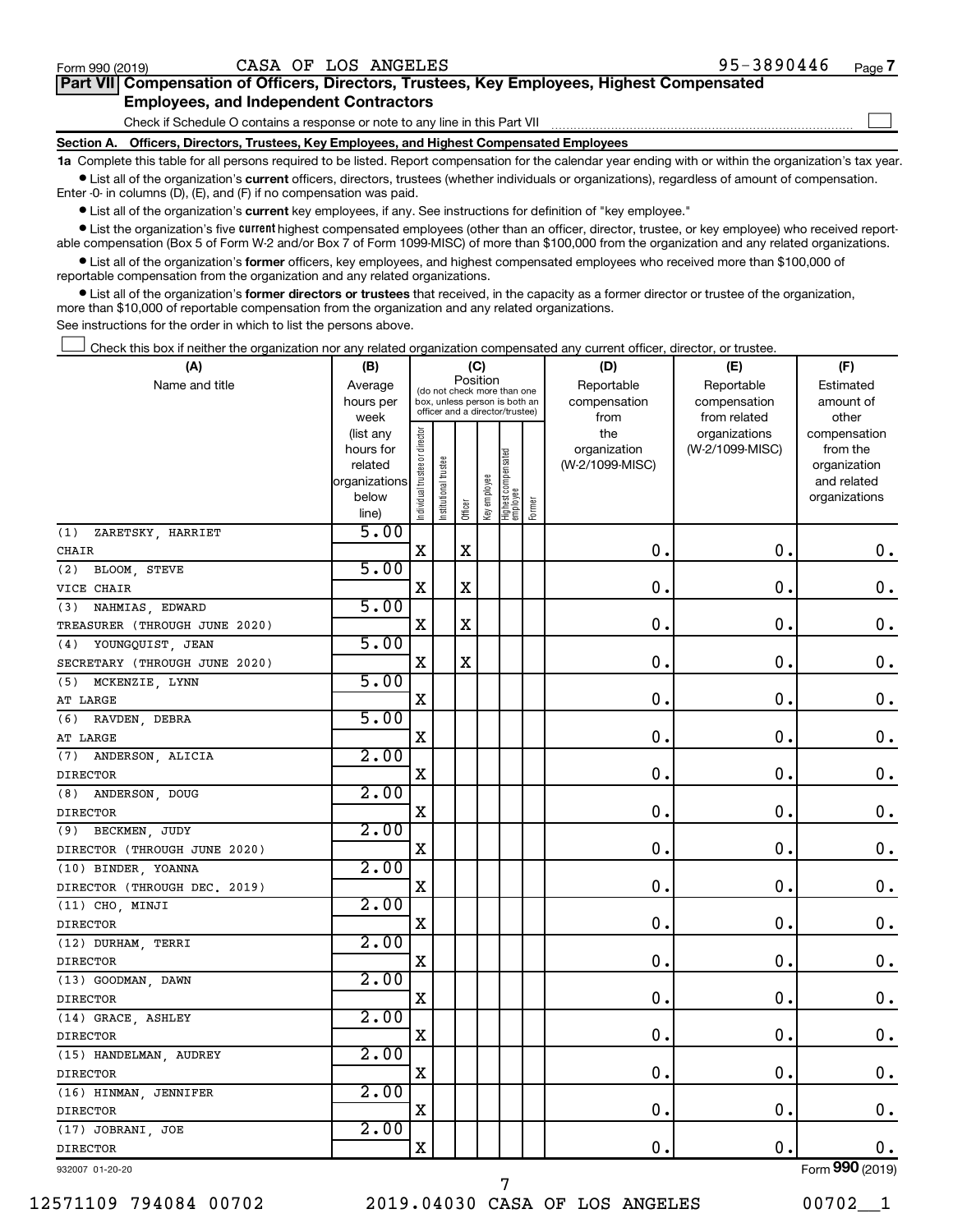$\Box$ 

| Part VII Compensation of Officers, Directors, Trustees, Key Employees, Highest Compensated |  |  |
|--------------------------------------------------------------------------------------------|--|--|
| <b>Employees, and Independent Contractors</b>                                              |  |  |

Check if Schedule O contains a response or note to any line in this Part VII

**Section A. Officers, Directors, Trustees, Key Employees, and Highest Compensated Employees**

**1a**  Complete this table for all persons required to be listed. Report compensation for the calendar year ending with or within the organization's tax year.  $\bullet$  List all of the organization's current officers, directors, trustees (whether individuals or organizations), regardless of amount of compensation.

Enter -0- in columns (D), (E), and (F) if no compensation was paid.

**•** List all of the organization's current key employees, if any. See instructions for definition of "key employee."

• List the organization's five *current* highest compensated employees (other than an officer, director, trustee, or key employee) who received reportable compensation (Box 5 of Form W-2 and/or Box 7 of Form 1099-MISC) of more than \$100,000 from the organization and any related organizations.

 $\bullet$  List all of the organization's former officers, key employees, and highest compensated employees who received more than \$100,000 of reportable compensation from the organization and any related organizations.

**•** List all of the organization's former directors or trustees that received, in the capacity as a former director or trustee of the organization, more than \$10,000 of reportable compensation from the organization and any related organizations.

See instructions for the order in which to list the persons above.

Check this box if neither the organization nor any related organization compensated any current officer, director, or trustee.  $\Box$ 

| (A)                           | (B)                  |                                         |                                                                  | (C)         |              |                                 |        | (D)                             | (E)             | (F)                      |
|-------------------------------|----------------------|-----------------------------------------|------------------------------------------------------------------|-------------|--------------|---------------------------------|--------|---------------------------------|-----------------|--------------------------|
| Name and title                | Average              | Position<br>(do not check more than one |                                                                  |             |              |                                 |        | Reportable                      | Reportable      | Estimated                |
|                               | hours per            |                                         | box, unless person is both an<br>officer and a director/trustee) |             |              |                                 |        | compensation                    | compensation    | amount of                |
|                               | week                 |                                         |                                                                  |             |              |                                 |        | from                            | from related    | other                    |
|                               | (list any            |                                         |                                                                  |             |              |                                 |        | the                             | organizations   | compensation             |
|                               | hours for<br>related |                                         |                                                                  |             |              |                                 |        | organization<br>(W-2/1099-MISC) | (W-2/1099-MISC) | from the<br>organization |
|                               | organizations        |                                         |                                                                  |             |              |                                 |        |                                 |                 | and related              |
|                               | below                |                                         |                                                                  |             |              |                                 |        |                                 |                 | organizations            |
|                               | line)                | Individual trustee or director          | Institutional trustee                                            | Officer     | Key employee | Highest compensated<br>employee | Former |                                 |                 |                          |
| ZARETSKY, HARRIET<br>(1)      | 5.00                 |                                         |                                                                  |             |              |                                 |        |                                 |                 |                          |
| CHAIR                         |                      | X                                       |                                                                  | $\mathbf X$ |              |                                 |        | $\mathbf 0$ .                   | О.              | 0.                       |
| BLOOM, STEVE<br>(2)           | 5.00                 |                                         |                                                                  |             |              |                                 |        |                                 |                 |                          |
| VICE CHAIR                    |                      | $\mathbf X$                             |                                                                  | $\mathbf X$ |              |                                 |        | $\mathbf 0$ .                   | $\mathbf 0$ .   | $\mathbf 0$ .            |
| (3) NAHMIAS, EDWARD           | 5.00                 |                                         |                                                                  |             |              |                                 |        |                                 |                 |                          |
| TREASURER (THROUGH JUNE 2020) |                      | X                                       |                                                                  | $\mathbf x$ |              |                                 |        | $\mathbf 0$ .                   | $\mathbf 0$ .   | $\mathbf 0$ .            |
| (4)<br>YOUNGQUIST, JEAN       | 5.00                 |                                         |                                                                  |             |              |                                 |        |                                 |                 |                          |
| SECRETARY (THROUGH JUNE 2020) |                      | $\mathbf X$                             |                                                                  | $\mathbf X$ |              |                                 |        | $\mathbf 0$ .                   | $\mathbf 0$ .   | $\mathbf 0$ .            |
| (5) MCKENZIE, LYNN            | 5.00                 |                                         |                                                                  |             |              |                                 |        |                                 |                 |                          |
| AT LARGE                      |                      | X                                       |                                                                  |             |              |                                 |        | $\mathbf 0$                     | $\mathbf 0$ .   | $\mathbf 0$ .            |
| (6)<br>RAVDEN, DEBRA          | 5.00                 |                                         |                                                                  |             |              |                                 |        |                                 |                 |                          |
| AT LARGE                      |                      | X                                       |                                                                  |             |              |                                 |        | $\mathbf 0$                     | $\mathbf 0$ .   | $\mathbf 0$ .            |
| (7)<br>ANDERSON, ALICIA       | 2.00                 |                                         |                                                                  |             |              |                                 |        |                                 |                 |                          |
| <b>DIRECTOR</b>               |                      | X                                       |                                                                  |             |              |                                 |        | 0.                              | $\mathbf 0$ .   | $\mathbf 0$ .            |
| ANDERSON, DOUG<br>(8)         | 2.00                 |                                         |                                                                  |             |              |                                 |        |                                 |                 |                          |
| <b>DIRECTOR</b>               |                      | X                                       |                                                                  |             |              |                                 |        | 0.                              | $\mathbf 0$ .   | $\mathbf 0$ .            |
| (9) BECKMEN, JUDY             | 2.00                 |                                         |                                                                  |             |              |                                 |        |                                 |                 |                          |
| DIRECTOR (THROUGH JUNE 2020)  |                      | X                                       |                                                                  |             |              |                                 |        | $\mathbf 0$ .                   | $\mathbf 0$ .   | $\mathbf 0$ .            |
| (10) BINDER, YOANNA           | 2.00                 |                                         |                                                                  |             |              |                                 |        |                                 |                 |                          |
| DIRECTOR (THROUGH DEC. 2019)  |                      | $\mathbf X$                             |                                                                  |             |              |                                 |        | 0.                              | $\mathbf 0$ .   | $\mathbf 0$ .            |
| (11) CHO, MINJI               | 2.00                 |                                         |                                                                  |             |              |                                 |        |                                 |                 |                          |
| <b>DIRECTOR</b>               |                      | X                                       |                                                                  |             |              |                                 |        | 0.                              | $\mathbf 0$ .   | $\mathbf 0$ .            |
| (12) DURHAM, TERRI            | 2.00                 |                                         |                                                                  |             |              |                                 |        |                                 |                 |                          |
| <b>DIRECTOR</b>               |                      | $\mathbf X$                             |                                                                  |             |              |                                 |        | 0.                              | $\mathbf 0$ .   | $\mathbf 0$ .            |
| (13) GOODMAN, DAWN            | 2.00                 |                                         |                                                                  |             |              |                                 |        |                                 |                 |                          |
| <b>DIRECTOR</b>               |                      | $\mathbf X$                             |                                                                  |             |              |                                 |        | 0.                              | $\mathbf 0$ .   | $\mathbf 0$ .            |
| (14) GRACE, ASHLEY            | 2.00                 |                                         |                                                                  |             |              |                                 |        |                                 |                 |                          |
| <b>DIRECTOR</b>               |                      | $\mathbf X$                             |                                                                  |             |              |                                 |        | $\mathbf 0$                     | $\mathbf 0$     | $\mathbf 0$ .            |
| (15) HANDELMAN, AUDREY        | 2.00                 |                                         |                                                                  |             |              |                                 |        |                                 |                 |                          |
| <b>DIRECTOR</b>               |                      | X                                       |                                                                  |             |              |                                 |        | 0.                              | 0.              | $\mathbf 0$ .            |
| (16) HINMAN, JENNIFER         | 2.00                 |                                         |                                                                  |             |              |                                 |        |                                 |                 |                          |
| <b>DIRECTOR</b>               |                      | X                                       |                                                                  |             |              |                                 |        | $\mathbf 0$ .                   | $\mathbf 0$ .   | $\mathbf 0$ .            |
| (17) JOBRANI, JOE             | 2.00                 |                                         |                                                                  |             |              |                                 |        |                                 |                 |                          |
| <b>DIRECTOR</b>               |                      | $\mathbf X$                             |                                                                  |             |              |                                 |        | $\mathbf 0$ .                   | $\mathbf 0$ .   | 0.                       |
|                               |                      |                                         |                                                                  |             |              |                                 |        |                                 |                 | $000$ ( $0.21$           |

932007 01-20-20

7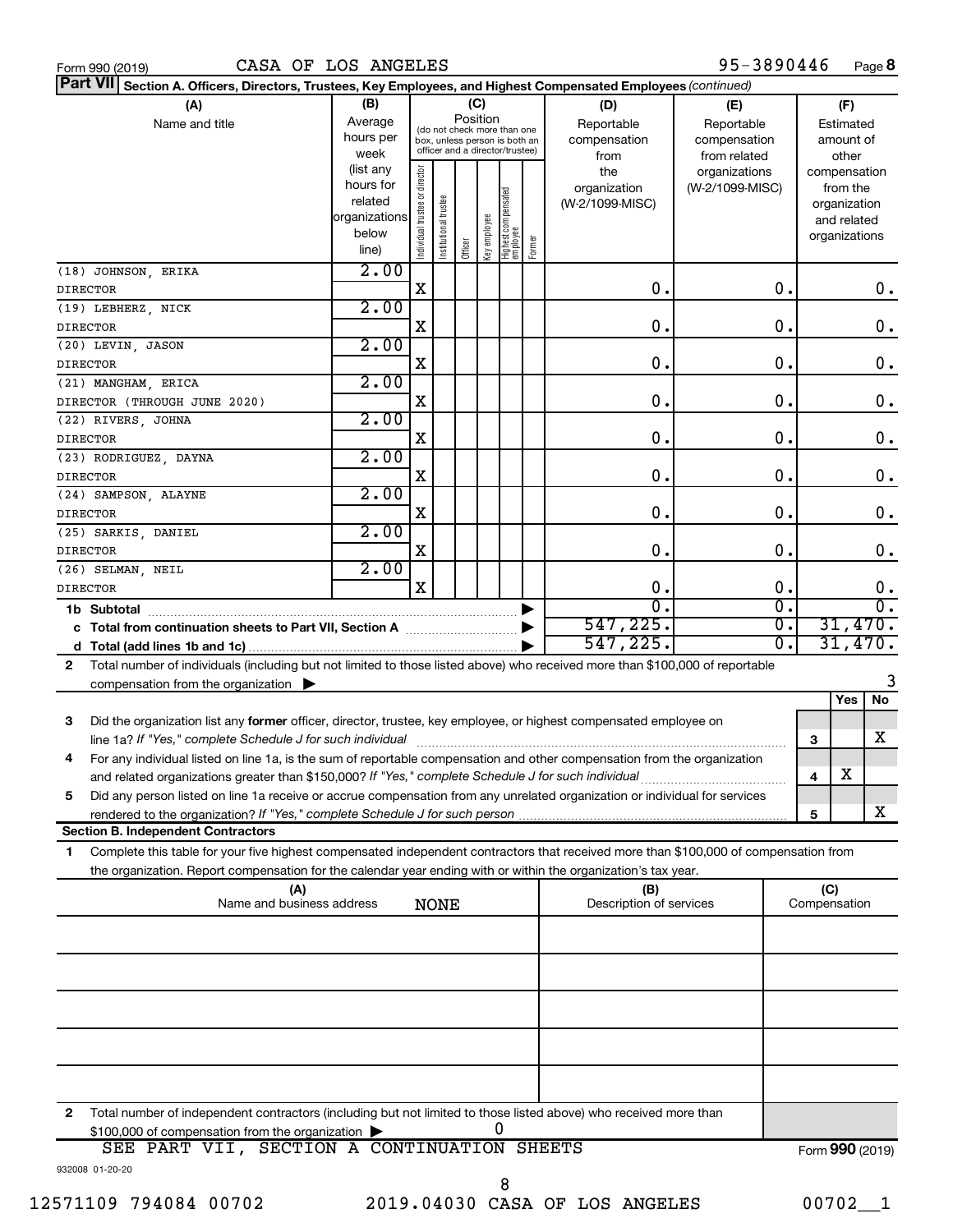| Form 990 (2019 |  |  |
|----------------|--|--|

| Part VII Section A. Officers, Directors, Trustees, Key Employees, and Highest Compensated Employees (continued)                           |                |                                |                       |         |              |                                                              |        |                         |                 |              |                 |
|-------------------------------------------------------------------------------------------------------------------------------------------|----------------|--------------------------------|-----------------------|---------|--------------|--------------------------------------------------------------|--------|-------------------------|-----------------|--------------|-----------------|
| (A)                                                                                                                                       | (B)            |                                |                       |         | (C)          |                                                              |        | (D)                     | (E)             |              | (F)             |
| Name and title                                                                                                                            | Average        |                                |                       |         | Position     |                                                              |        | Reportable              | Reportable      |              | Estimated       |
|                                                                                                                                           | hours per      |                                |                       |         |              | (do not check more than one<br>box, unless person is both an |        | compensation            | compensation    |              | amount of       |
|                                                                                                                                           | week           |                                |                       |         |              | officer and a director/trustee)                              |        | from                    | from related    |              | other           |
|                                                                                                                                           | (list any      |                                |                       |         |              |                                                              |        | the                     | organizations   |              | compensation    |
|                                                                                                                                           | hours for      |                                |                       |         |              |                                                              |        | organization            | (W-2/1099-MISC) |              | from the        |
|                                                                                                                                           | related        |                                |                       |         |              |                                                              |        | (W-2/1099-MISC)         |                 |              | organization    |
|                                                                                                                                           | organizations  |                                |                       |         |              |                                                              |        |                         |                 |              | and related     |
|                                                                                                                                           | below<br>line) | Individual trustee or director | Institutional trustee | Officer | Key employee | Highest compensated<br>employee                              | Former |                         |                 |              | organizations   |
|                                                                                                                                           |                |                                |                       |         |              |                                                              |        |                         |                 |              |                 |
| (18) JOHNSON, ERIKA                                                                                                                       | 2.00           |                                |                       |         |              |                                                              |        |                         |                 |              |                 |
| <b>DIRECTOR</b>                                                                                                                           |                | X                              |                       |         |              |                                                              |        | О.                      | 0.              |              | 0.              |
| (19) LEBHERZ, NICK                                                                                                                        | 2.00           |                                |                       |         |              |                                                              |        |                         |                 |              |                 |
| <b>DIRECTOR</b>                                                                                                                           |                | X                              |                       |         |              |                                                              |        | О.                      | 0.              |              | 0.              |
| (20) LEVIN, JASON                                                                                                                         | 2.00           |                                |                       |         |              |                                                              |        |                         |                 |              |                 |
| <b>DIRECTOR</b>                                                                                                                           |                | X                              |                       |         |              |                                                              |        | О.                      | 0.              |              | $\mathbf 0$ .   |
| (21) MANGHAM, ERICA                                                                                                                       | 2.00           |                                |                       |         |              |                                                              |        |                         |                 |              |                 |
| DIRECTOR (THROUGH JUNE 2020)                                                                                                              |                | X                              |                       |         |              |                                                              |        | 0.                      | 0.              |              | 0.              |
| (22) RIVERS, JOHNA                                                                                                                        | 2.00           |                                |                       |         |              |                                                              |        |                         |                 |              |                 |
| <b>DIRECTOR</b>                                                                                                                           |                | X                              |                       |         |              |                                                              |        | 0.                      | 0.              |              | 0.              |
|                                                                                                                                           | 2.00           |                                |                       |         |              |                                                              |        |                         |                 |              |                 |
| (23) RODRIGUEZ, DAYNA                                                                                                                     |                | X                              |                       |         |              |                                                              |        | О.                      | 0.              |              | 0.              |
| <b>DIRECTOR</b>                                                                                                                           |                |                                |                       |         |              |                                                              |        |                         |                 |              |                 |
| (24) SAMPSON, ALAYNE                                                                                                                      | 2.00           |                                |                       |         |              |                                                              |        |                         |                 |              |                 |
| <b>DIRECTOR</b>                                                                                                                           |                | X                              |                       |         |              |                                                              |        | О.                      | 0.              |              | $\mathbf 0$ .   |
| (25) SARKIS, DANIEL                                                                                                                       | 2.00           |                                |                       |         |              |                                                              |        |                         |                 |              |                 |
| <b>DIRECTOR</b>                                                                                                                           |                | X                              |                       |         |              |                                                              |        | О.                      | О.              |              | 0.              |
| (26) SELMAN, NEIL                                                                                                                         | 2.00           |                                |                       |         |              |                                                              |        |                         |                 |              |                 |
| <b>DIRECTOR</b>                                                                                                                           |                | X                              |                       |         |              |                                                              |        | О.                      | О.              |              | 0.              |
| 1b Subtotal                                                                                                                               |                |                                |                       |         |              |                                                              |        | $\overline{0}$          | σ.              |              | σ.              |
|                                                                                                                                           |                |                                |                       |         |              |                                                              |        | 547,225.                | σ.              |              | 31,470.         |
|                                                                                                                                           |                |                                |                       |         |              |                                                              |        | 547,225.                | Ο.              |              | 31,470.         |
| Total number of individuals (including but not limited to those listed above) who received more than \$100,000 of reportable<br>2         |                |                                |                       |         |              |                                                              |        |                         |                 |              |                 |
| compensation from the organization                                                                                                        |                |                                |                       |         |              |                                                              |        |                         |                 |              | 3               |
|                                                                                                                                           |                |                                |                       |         |              |                                                              |        |                         |                 |              | No<br>Yes       |
| Did the organization list any former officer, director, trustee, key employee, or highest compensated employee on<br>3                    |                |                                |                       |         |              |                                                              |        |                         |                 |              |                 |
| line 1a? If "Yes," complete Schedule J for such individual                                                                                |                |                                |                       |         |              |                                                              |        |                         |                 | 3            | x               |
|                                                                                                                                           |                |                                |                       |         |              |                                                              |        |                         |                 |              |                 |
| For any individual listed on line 1a, is the sum of reportable compensation and other compensation from the organization<br>4             |                |                                |                       |         |              |                                                              |        |                         |                 |              | X               |
| and related organizations greater than \$150,000? If "Yes," complete Schedule J for such individual                                       |                |                                |                       |         |              |                                                              |        |                         |                 | 4            |                 |
| Did any person listed on line 1a receive or accrue compensation from any unrelated organization or individual for services<br>5           |                |                                |                       |         |              |                                                              |        |                         |                 |              |                 |
|                                                                                                                                           |                |                                |                       |         |              |                                                              |        |                         |                 | 5            | x               |
| <b>Section B. Independent Contractors</b>                                                                                                 |                |                                |                       |         |              |                                                              |        |                         |                 |              |                 |
| Complete this table for your five highest compensated independent contractors that received more than \$100,000 of compensation from<br>1 |                |                                |                       |         |              |                                                              |        |                         |                 |              |                 |
| the organization. Report compensation for the calendar year ending with or within the organization's tax year.                            |                |                                |                       |         |              |                                                              |        |                         |                 |              |                 |
| (A)                                                                                                                                       |                |                                |                       |         |              |                                                              |        | (B)                     |                 | (C)          |                 |
| Name and business address                                                                                                                 |                |                                | <b>NONE</b>           |         |              |                                                              |        | Description of services |                 | Compensation |                 |
|                                                                                                                                           |                |                                |                       |         |              |                                                              |        |                         |                 |              |                 |
|                                                                                                                                           |                |                                |                       |         |              |                                                              |        |                         |                 |              |                 |
|                                                                                                                                           |                |                                |                       |         |              |                                                              |        |                         |                 |              |                 |
|                                                                                                                                           |                |                                |                       |         |              |                                                              |        |                         |                 |              |                 |
|                                                                                                                                           |                |                                |                       |         |              |                                                              |        |                         |                 |              |                 |
|                                                                                                                                           |                |                                |                       |         |              |                                                              |        |                         |                 |              |                 |
|                                                                                                                                           |                |                                |                       |         |              |                                                              |        |                         |                 |              |                 |
|                                                                                                                                           |                |                                |                       |         |              |                                                              |        |                         |                 |              |                 |
|                                                                                                                                           |                |                                |                       |         |              |                                                              |        |                         |                 |              |                 |
|                                                                                                                                           |                |                                |                       |         |              |                                                              |        |                         |                 |              |                 |
|                                                                                                                                           |                |                                |                       |         |              |                                                              |        |                         |                 |              |                 |
| Total number of independent contractors (including but not limited to those listed above) who received more than<br>2                     |                |                                |                       |         |              |                                                              |        |                         |                 |              |                 |
| \$100,000 of compensation from the organization                                                                                           |                |                                |                       |         |              | O                                                            |        |                         |                 |              |                 |
| SEE PART VII, SECTION A CONTINUATION SHEETS                                                                                               |                |                                |                       |         |              |                                                              |        |                         |                 |              | Form 990 (2019) |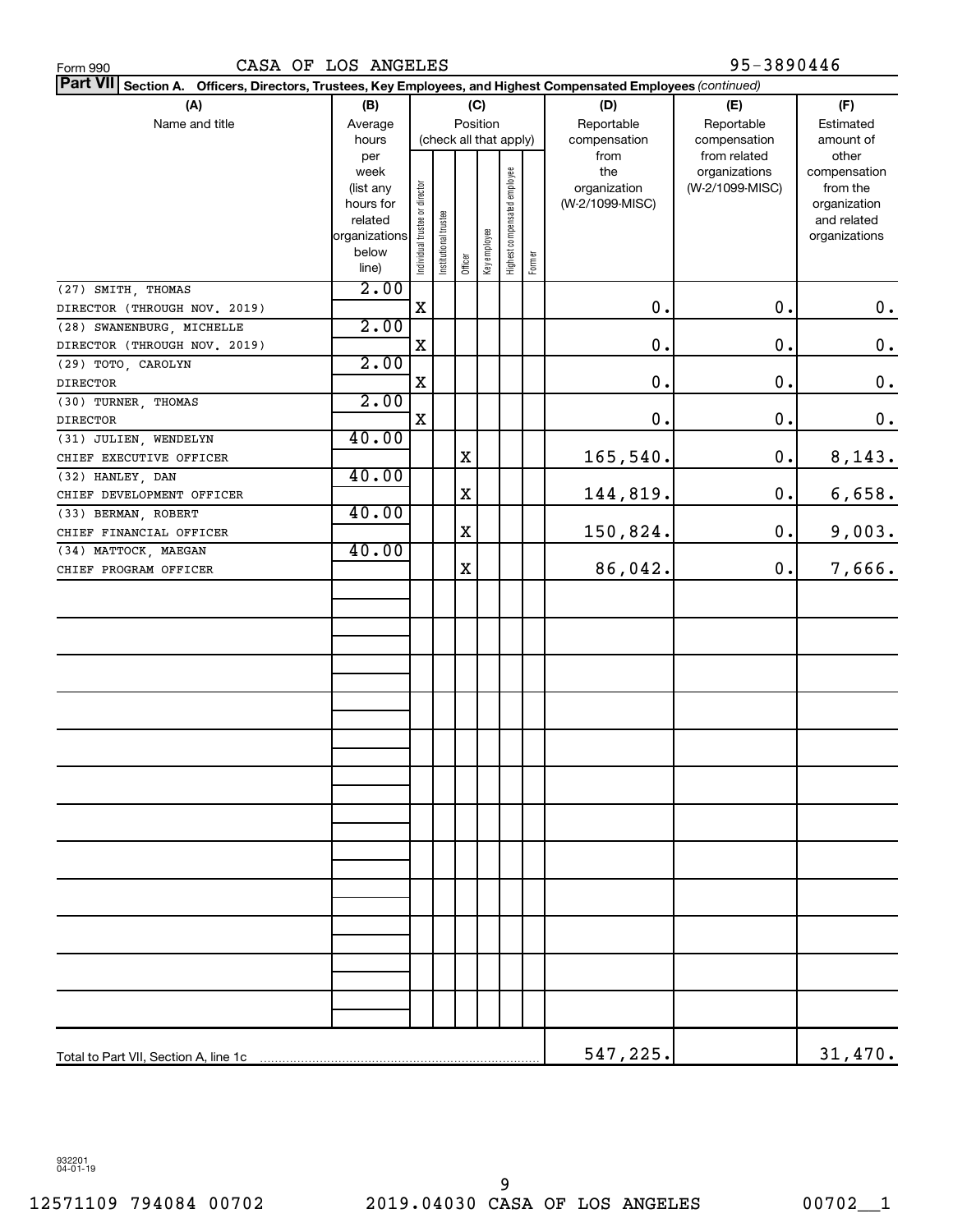| CASA OF LOS ANGELES<br>Form 990                                                                                           |                        |                                |                       |         |                        |                              |        |                                 | 95-3890446      |                          |
|---------------------------------------------------------------------------------------------------------------------------|------------------------|--------------------------------|-----------------------|---------|------------------------|------------------------------|--------|---------------------------------|-----------------|--------------------------|
| <b>Part VII</b><br>Section A. Officers, Directors, Trustees, Key Employees, and Highest Compensated Employees (continued) |                        |                                |                       |         |                        |                              |        |                                 |                 |                          |
| (A)                                                                                                                       | (B)                    |                                |                       |         | (C)                    |                              |        | (D)                             | (E)             | (F)                      |
| Name and title                                                                                                            | Average                |                                |                       |         |                        |                              |        |                                 | Reportable      | Estimated                |
|                                                                                                                           | hours                  |                                |                       |         | (check all that apply) |                              |        | compensation                    | compensation    | amount of                |
|                                                                                                                           | per                    |                                |                       |         |                        |                              |        | from                            | from related    | other                    |
|                                                                                                                           | week                   |                                |                       |         |                        |                              |        | the                             | organizations   | compensation             |
|                                                                                                                           | (list any<br>hours for |                                |                       |         |                        |                              |        | organization<br>(W-2/1099-MISC) | (W-2/1099-MISC) | from the<br>organization |
|                                                                                                                           | related                |                                |                       |         |                        |                              |        |                                 |                 | and related              |
|                                                                                                                           | organizations          |                                |                       |         |                        |                              |        |                                 |                 | organizations            |
|                                                                                                                           | below                  | Individual trustee or director | Institutional trustee |         | Key employee           | Highest compensated employee |        |                                 |                 |                          |
|                                                                                                                           | line)                  |                                |                       | Officer |                        |                              | Former |                                 |                 |                          |
| (27) SMITH, THOMAS                                                                                                        | 2.00                   |                                |                       |         |                        |                              |        |                                 |                 |                          |
| DIRECTOR (THROUGH NOV. 2019)                                                                                              |                        | X                              |                       |         |                        |                              |        | $\mathbf 0$ .                   | 0.              | 0.                       |
| (28) SWANENBURG, MICHELLE                                                                                                 | 2.00                   |                                |                       |         |                        |                              |        |                                 |                 |                          |
| DIRECTOR (THROUGH NOV. 2019)                                                                                              |                        | X                              |                       |         |                        |                              |        | $\mathbf 0$ .                   | $\mathbf 0$ .   | $\boldsymbol{0}$ .       |
| (29) TOTO, CAROLYN                                                                                                        | 2.00                   |                                |                       |         |                        |                              |        |                                 |                 |                          |
| <b>DIRECTOR</b>                                                                                                           |                        | X                              |                       |         |                        |                              |        | $\mathbf 0$ .                   | $\mathbf 0$ .   | $\boldsymbol{0}$ .       |
| (30) TURNER, THOMAS                                                                                                       | 2.00                   |                                |                       |         |                        |                              |        |                                 |                 |                          |
| <b>DIRECTOR</b>                                                                                                           |                        | X                              |                       |         |                        |                              |        | 0.                              | 0.              | 0.                       |
| (31) JULIEN, WENDELYN                                                                                                     | 40.00                  |                                |                       |         |                        |                              |        |                                 |                 |                          |
| CHIEF EXECUTIVE OFFICER                                                                                                   |                        |                                |                       | х       |                        |                              |        | 165,540.                        | 0.              | 8,143.                   |
| (32) HANLEY, DAN                                                                                                          | 40.00                  |                                |                       |         |                        |                              |        |                                 |                 |                          |
| CHIEF DEVELOPMENT OFFICER                                                                                                 |                        |                                |                       | х       |                        |                              |        | 144,819.                        | 0.              | 6,658.                   |
| (33) BERMAN, ROBERT                                                                                                       | 40.00                  |                                |                       |         |                        |                              |        |                                 |                 |                          |
| CHIEF FINANCIAL OFFICER                                                                                                   |                        |                                |                       | х       |                        |                              |        | 150,824.                        | 0.              | 9,003.                   |
| (34) MATTOCK, MAEGAN                                                                                                      | 40.00                  |                                |                       |         |                        |                              |        |                                 |                 |                          |
| CHIEF PROGRAM OFFICER                                                                                                     |                        |                                |                       | X       |                        |                              |        | 86,042.                         | 0.              | 7,666.                   |
|                                                                                                                           |                        |                                |                       |         |                        |                              |        |                                 |                 |                          |
|                                                                                                                           |                        |                                |                       |         |                        |                              |        |                                 |                 |                          |
|                                                                                                                           |                        |                                |                       |         |                        |                              |        |                                 |                 |                          |
|                                                                                                                           |                        |                                |                       |         |                        |                              |        |                                 |                 |                          |
|                                                                                                                           |                        |                                |                       |         |                        |                              |        |                                 |                 |                          |
|                                                                                                                           |                        |                                |                       |         |                        |                              |        |                                 |                 |                          |
|                                                                                                                           |                        |                                |                       |         |                        |                              |        |                                 |                 |                          |
|                                                                                                                           |                        |                                |                       |         |                        |                              |        |                                 |                 |                          |
|                                                                                                                           |                        |                                |                       |         |                        |                              |        |                                 |                 |                          |
|                                                                                                                           |                        |                                |                       |         |                        |                              |        |                                 |                 |                          |
|                                                                                                                           |                        |                                |                       |         |                        |                              |        |                                 |                 |                          |
|                                                                                                                           |                        |                                |                       |         |                        |                              |        |                                 |                 |                          |
|                                                                                                                           |                        |                                |                       |         |                        |                              |        |                                 |                 |                          |
|                                                                                                                           |                        |                                |                       |         |                        |                              |        |                                 |                 |                          |
|                                                                                                                           |                        |                                |                       |         |                        |                              |        |                                 |                 |                          |
|                                                                                                                           |                        |                                |                       |         |                        |                              |        |                                 |                 |                          |
|                                                                                                                           |                        |                                |                       |         |                        |                              |        |                                 |                 |                          |
|                                                                                                                           |                        |                                |                       |         |                        |                              |        |                                 |                 |                          |
|                                                                                                                           |                        |                                |                       |         |                        |                              |        |                                 |                 |                          |
|                                                                                                                           |                        |                                |                       |         |                        |                              |        |                                 |                 |                          |
|                                                                                                                           |                        |                                |                       |         |                        |                              |        |                                 |                 |                          |
|                                                                                                                           |                        |                                |                       |         |                        |                              |        |                                 |                 |                          |
|                                                                                                                           |                        |                                |                       |         |                        |                              |        |                                 |                 |                          |
|                                                                                                                           |                        |                                |                       |         |                        |                              |        |                                 |                 |                          |
| Total to Part VII, Section A, line 1c                                                                                     |                        |                                |                       |         |                        |                              |        | 547,225.                        |                 | 31,470.                  |

932201 04-01-19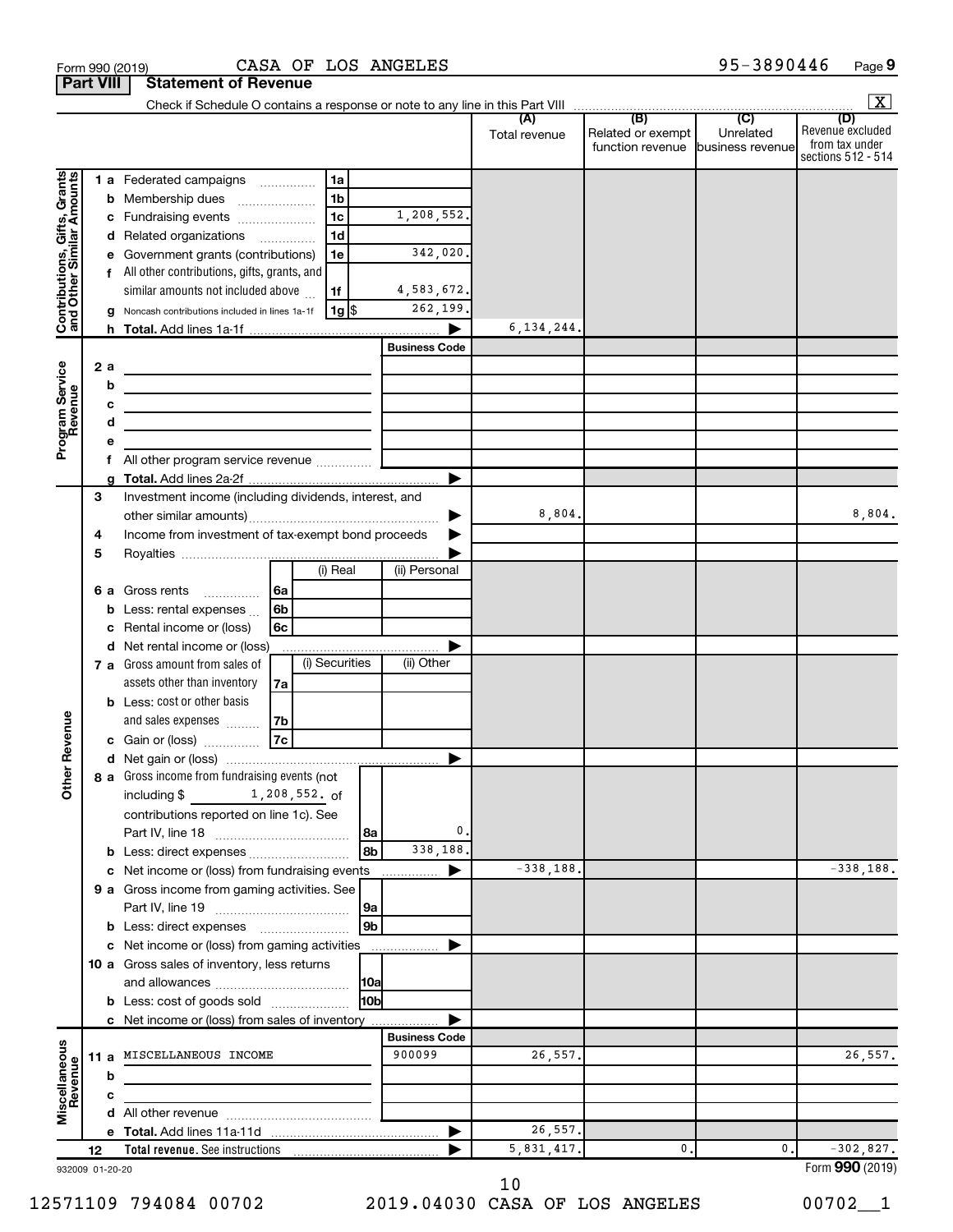|                                                           |     |   | Form 990 (2019)                                               |               |                |           | CASA OF LOS ANGELES  |                      |                                                               | 95-3890446                  | Page 9                                                          |
|-----------------------------------------------------------|-----|---|---------------------------------------------------------------|---------------|----------------|-----------|----------------------|----------------------|---------------------------------------------------------------|-----------------------------|-----------------------------------------------------------------|
| <b>Part VIII</b>                                          |     |   | <b>Statement of Revenue</b>                                   |               |                |           |                      |                      |                                                               |                             |                                                                 |
|                                                           |     |   |                                                               |               |                |           |                      |                      |                                                               |                             | $\overline{\mathbf{x}}$                                         |
|                                                           |     |   |                                                               |               |                |           |                      | (A)<br>Total revenue | (B)<br>Related or exempt<br>function revenue business revenue | $\overline{C}$<br>Unrelated | (D)<br>Revenue excluded<br>from tax under<br>sections 512 - 514 |
|                                                           |     |   | 1 a Federated campaigns                                       |               | 1a             |           |                      |                      |                                                               |                             |                                                                 |
|                                                           |     |   | <b>b</b> Membership dues                                      |               | 1 <sub>b</sub> |           |                      |                      |                                                               |                             |                                                                 |
|                                                           |     |   | c Fundraising events                                          |               | 1 <sub>c</sub> |           | 1,208,552.           |                      |                                                               |                             |                                                                 |
|                                                           |     |   | d Related organizations                                       |               | 1 <sub>d</sub> |           |                      |                      |                                                               |                             |                                                                 |
|                                                           |     |   | e Government grants (contributions)                           |               | 1e             |           | 342,020.             |                      |                                                               |                             |                                                                 |
| Contributions, Gifts, Grants<br>and Other Similar Amounts |     |   | f All other contributions, gifts, grants, and                 |               |                |           |                      |                      |                                                               |                             |                                                                 |
|                                                           |     |   | similar amounts not included above                            |               | 1f             |           | 4,583,672.           |                      |                                                               |                             |                                                                 |
|                                                           |     |   | g Noncash contributions included in lines 1a-1f               |               | $1g$ \$        |           | 262,199.             |                      |                                                               |                             |                                                                 |
|                                                           |     |   |                                                               |               |                |           |                      | 6, 134, 244.         |                                                               |                             |                                                                 |
|                                                           |     |   |                                                               |               |                |           | <b>Business Code</b> |                      |                                                               |                             |                                                                 |
|                                                           | 2 a |   |                                                               |               |                |           |                      |                      |                                                               |                             |                                                                 |
|                                                           |     | b |                                                               |               |                |           |                      |                      |                                                               |                             |                                                                 |
|                                                           |     | с |                                                               |               |                |           |                      |                      |                                                               |                             |                                                                 |
| Program Service                                           |     | d |                                                               |               |                |           |                      |                      |                                                               |                             |                                                                 |
|                                                           |     | е | f All other program service revenue                           |               |                |           |                      |                      |                                                               |                             |                                                                 |
|                                                           |     |   |                                                               |               |                |           |                      |                      |                                                               |                             |                                                                 |
|                                                           | З   |   | Investment income (including dividends, interest, and         |               |                |           |                      |                      |                                                               |                             |                                                                 |
|                                                           |     |   |                                                               |               |                |           |                      | 8,804.               |                                                               |                             | 8,804.                                                          |
|                                                           | 4   |   | Income from investment of tax-exempt bond proceeds            |               |                |           |                      |                      |                                                               |                             |                                                                 |
|                                                           | 5   |   |                                                               |               |                |           |                      |                      |                                                               |                             |                                                                 |
|                                                           |     |   |                                                               |               | (i) Real       |           | (ii) Personal        |                      |                                                               |                             |                                                                 |
|                                                           |     |   | <b>6 a</b> Gross rents<br>.                                   | 6a            |                |           |                      |                      |                                                               |                             |                                                                 |
|                                                           |     |   | <b>b</b> Less: rental expenses                                | 6b            |                |           |                      |                      |                                                               |                             |                                                                 |
|                                                           |     |   | c Rental income or (loss)                                     | 6c            |                |           |                      |                      |                                                               |                             |                                                                 |
|                                                           |     |   | d Net rental income or (loss)                                 |               |                |           |                      |                      |                                                               |                             |                                                                 |
|                                                           |     |   | <b>7 a</b> Gross amount from sales of                         |               | (i) Securities |           | (ii) Other           |                      |                                                               |                             |                                                                 |
|                                                           |     |   | assets other than inventory                                   | 7a            |                |           |                      |                      |                                                               |                             |                                                                 |
|                                                           |     |   | <b>b</b> Less: cost or other basis                            |               |                |           |                      |                      |                                                               |                             |                                                                 |
| evenue                                                    |     |   | and sales expenses                                            | 7b            |                |           |                      |                      |                                                               |                             |                                                                 |
|                                                           |     |   | c Gain or (loss)                                              | 7c            |                |           |                      |                      |                                                               |                             |                                                                 |
|                                                           |     |   |                                                               |               |                |           |                      |                      |                                                               |                             |                                                                 |
| Other R                                                   |     |   | 8 a Gross income from fundraising events (not<br>including \$ | 1,208,552. of |                |           |                      |                      |                                                               |                             |                                                                 |
|                                                           |     |   | contributions reported on line 1c). See                       |               |                |           |                      |                      |                                                               |                             |                                                                 |
|                                                           |     |   |                                                               |               |                | 8a        | 0.                   |                      |                                                               |                             |                                                                 |
|                                                           |     |   |                                                               |               |                | 8b        | 338,188.             |                      |                                                               |                             |                                                                 |
|                                                           |     |   | c Net income or (loss) from fundraising events                |               |                |           | ▶                    | $-338,188.$          |                                                               |                             | $-338,188.$                                                     |
|                                                           |     |   | 9 a Gross income from gaming activities. See                  |               |                |           |                      |                      |                                                               |                             |                                                                 |
|                                                           |     |   |                                                               |               |                | <b>9a</b> |                      |                      |                                                               |                             |                                                                 |
|                                                           |     |   |                                                               |               |                |           |                      |                      |                                                               |                             |                                                                 |

Form (2019) **990** 5,831,417. 0. 0. -302,827.

932009 01-20-20 **12**

**b c**

**Miscellaneous Revenue**

**Total revenue.**  See instructions

**b** Less: direct expenses ........................ **c** Net income or (loss) from gaming activities

**b** Less: cost of goods sold .................... **c** Net income or (loss) from sales of inventory

and allowances ~~~~~~~~~~~~

**d** All other revenue ~~~~~~~~~~~~~

**e Total.**  Add lines 11a-11d |

**10 a** Gross sales of inventory, less returns

26,557.

**Business Code**

 $\blacktriangleright$ 

 $\blacktriangleright$ 

**11 a** MISCELLANEOUS INCOME 900099 26,557.

**9b**

**10a 10b**

|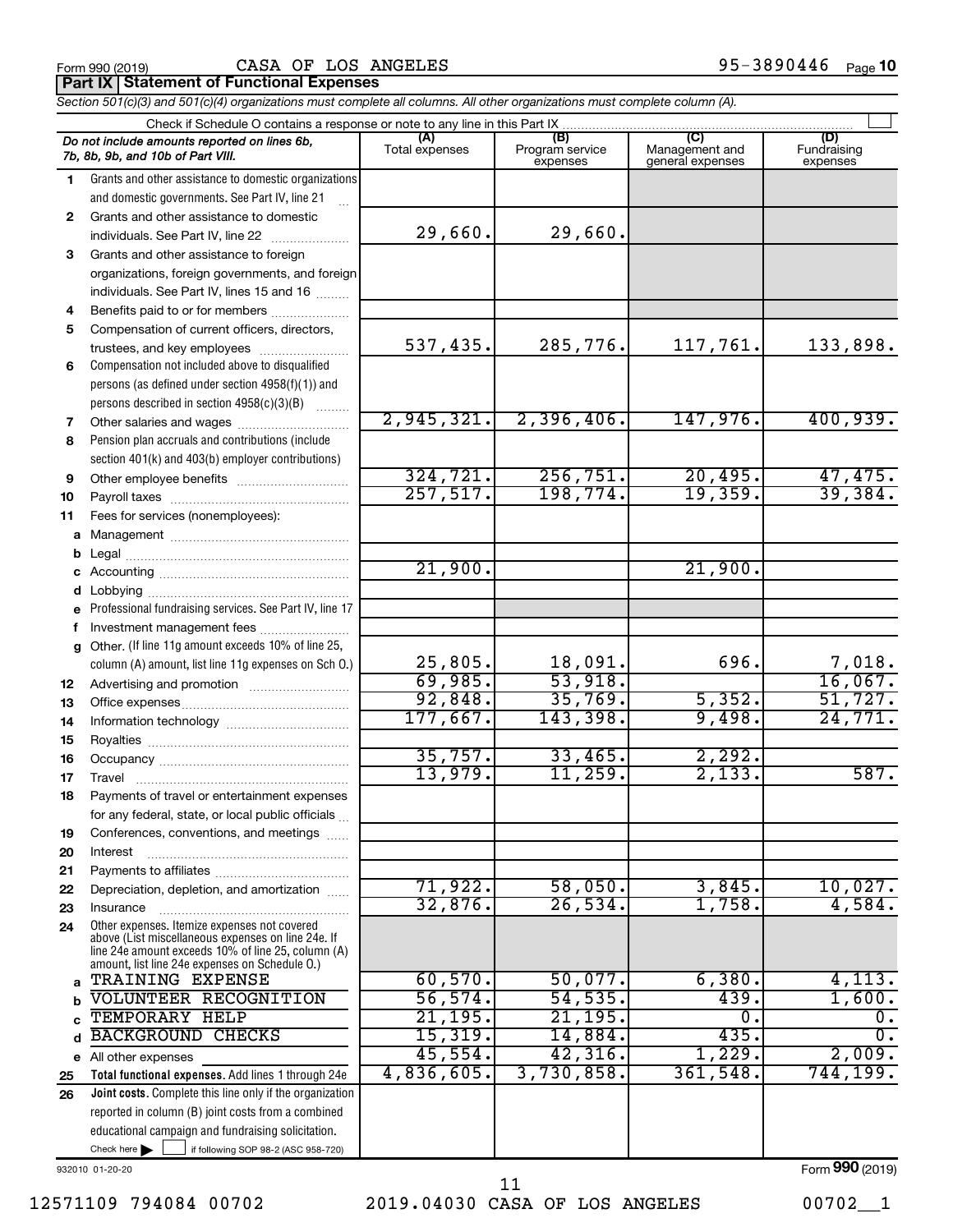|  | Form 990 (2019) |  |
|--|-----------------|--|
|  |                 |  |

Form 990 (2019)  $\begin{array}{cccc} \text{CASA} \text{ OF LOS ANGELES} \end{array}$  95-3890446  $\begin{array}{cccc} \text{Page} \end{array}$ 

**Part IX | Statement of Functional Expenses** 

*Section 501(c)(3) and 501(c)(4) organizations must complete all columns. All other organizations must complete column (A).*

|              | Check if Schedule O contains a response or note to any line in this Part IX                                                                                                                                |                       |                                    |                                           |                                |
|--------------|------------------------------------------------------------------------------------------------------------------------------------------------------------------------------------------------------------|-----------------------|------------------------------------|-------------------------------------------|--------------------------------|
|              | Do not include amounts reported on lines 6b,<br>7b, 8b, 9b, and 10b of Part VIII.                                                                                                                          | (A)<br>Total expenses | (B)<br>Program service<br>expenses | (C)<br>Management and<br>general expenses | (D)<br>Fundraising<br>expenses |
| 1.           | Grants and other assistance to domestic organizations                                                                                                                                                      |                       |                                    |                                           |                                |
|              | and domestic governments. See Part IV, line 21                                                                                                                                                             |                       |                                    |                                           |                                |
| $\mathbf{2}$ | Grants and other assistance to domestic                                                                                                                                                                    |                       |                                    |                                           |                                |
|              | individuals. See Part IV, line 22                                                                                                                                                                          | 29,660.               | 29,660.                            |                                           |                                |
| 3            | Grants and other assistance to foreign                                                                                                                                                                     |                       |                                    |                                           |                                |
|              | organizations, foreign governments, and foreign                                                                                                                                                            |                       |                                    |                                           |                                |
|              | individuals. See Part IV, lines 15 and 16                                                                                                                                                                  |                       |                                    |                                           |                                |
| 4            | Benefits paid to or for members                                                                                                                                                                            |                       |                                    |                                           |                                |
| 5            | Compensation of current officers, directors,                                                                                                                                                               |                       |                                    |                                           |                                |
|              | trustees, and key employees                                                                                                                                                                                | 537,435.              | 285,776.                           | 117,761.                                  | 133,898.                       |
| 6            | Compensation not included above to disqualified                                                                                                                                                            |                       |                                    |                                           |                                |
|              | persons (as defined under section 4958(f)(1)) and                                                                                                                                                          |                       |                                    |                                           |                                |
|              | persons described in section 4958(c)(3)(B)                                                                                                                                                                 |                       |                                    |                                           |                                |
| 7            |                                                                                                                                                                                                            | 2,945,321.            | 2,396,406.                         | 147,976.                                  | 400,939.                       |
| 8            | Pension plan accruals and contributions (include                                                                                                                                                           |                       |                                    |                                           |                                |
|              | section 401(k) and 403(b) employer contributions)                                                                                                                                                          |                       |                                    |                                           |                                |
| 9            | Other employee benefits                                                                                                                                                                                    | 324, 721.             | 256,751.                           | 20,495.                                   |                                |
| 10           |                                                                                                                                                                                                            | 257,517.              | 198,774.                           | 19, 359.                                  | $\frac{47,475.}{39,384.}$      |
| 11           | Fees for services (nonemployees):                                                                                                                                                                          |                       |                                    |                                           |                                |
| a            |                                                                                                                                                                                                            |                       |                                    |                                           |                                |
|              |                                                                                                                                                                                                            |                       |                                    |                                           |                                |
| b            |                                                                                                                                                                                                            | 21,900.               |                                    | 21,900.                                   |                                |
| c            |                                                                                                                                                                                                            |                       |                                    |                                           |                                |
| d            | Professional fundraising services. See Part IV, line 17                                                                                                                                                    |                       |                                    |                                           |                                |
| e            |                                                                                                                                                                                                            |                       |                                    |                                           |                                |
| f            | Investment management fees<br>Other. (If line 11g amount exceeds 10% of line 25,                                                                                                                           |                       |                                    |                                           |                                |
|              | column (A) amount, list line 11g expenses on Sch O.)                                                                                                                                                       | 25,805.               | 18,091.                            | 696.                                      | 7,018.                         |
|              |                                                                                                                                                                                                            | 69,985.               | 53,918.                            |                                           | 16,067.                        |
| 12           |                                                                                                                                                                                                            | 92,848.               | 35,769.                            | 5,352.                                    | 51,727.                        |
| 13           |                                                                                                                                                                                                            | 177,667.              | 143,398.                           | 9,498.                                    | 24,771.                        |
| 14           |                                                                                                                                                                                                            |                       |                                    |                                           |                                |
| 15           |                                                                                                                                                                                                            | 35,757.               | 33,465.                            | 2,292.                                    |                                |
| 16           |                                                                                                                                                                                                            | 13,979.               | 11, 259.                           | 2,133.                                    | 587.                           |
| 17           | Travel                                                                                                                                                                                                     |                       |                                    |                                           |                                |
| 18           | Payments of travel or entertainment expenses                                                                                                                                                               |                       |                                    |                                           |                                |
|              | for any federal, state, or local public officials                                                                                                                                                          |                       |                                    |                                           |                                |
| 19           | Conferences, conventions, and meetings                                                                                                                                                                     |                       |                                    |                                           |                                |
| 20           | Interest                                                                                                                                                                                                   |                       |                                    |                                           |                                |
| 21           |                                                                                                                                                                                                            | 71,922.               | 58,050.                            | 3,845.                                    | 10,027.                        |
| 22           | Depreciation, depletion, and amortization                                                                                                                                                                  | 32,876.               | 26,534.                            | 1,758.                                    | 4,584.                         |
| 23           | Insurance                                                                                                                                                                                                  |                       |                                    |                                           |                                |
| 24           | Other expenses. Itemize expenses not covered<br>above (List miscellaneous expenses on line 24e. If<br>line 24e amount exceeds 10% of line 25, column (A)<br>amount, list line 24e expenses on Schedule O.) |                       |                                    |                                           |                                |
| a            | TRAINING EXPENSE                                                                                                                                                                                           | 60,570.               | 50,077.                            | 6,380.                                    | 4,113.                         |
| b            | VOLUNTEER RECOGNITION                                                                                                                                                                                      | 56, 574.              | 54, 535.                           | 439.                                      | 1,600.                         |
| C            | TEMPORARY HELP                                                                                                                                                                                             | 21, 195.              | 21, 195.                           | $\mathbf 0$ .                             | $\overline{0}$ .               |
| d            | <b>BACKGROUND CHECKS</b>                                                                                                                                                                                   | 15,319.               | 14,884.                            | 435.                                      | σ.                             |
| е            | All other expenses                                                                                                                                                                                         | 45,554.               | 42,316.                            | 1,229.                                    | 2,009.                         |
| 25           | Total functional expenses. Add lines 1 through 24e                                                                                                                                                         | 4,836,605.            | 3,730,858.                         | 361,548.                                  | 744,199.                       |
| 26           | Joint costs. Complete this line only if the organization                                                                                                                                                   |                       |                                    |                                           |                                |
|              | reported in column (B) joint costs from a combined                                                                                                                                                         |                       |                                    |                                           |                                |
|              | educational campaign and fundraising solicitation.                                                                                                                                                         |                       |                                    |                                           |                                |

932010 01-20-20

Check here

 $\Box$ 

if following SOP 98-2 (ASC 958-720)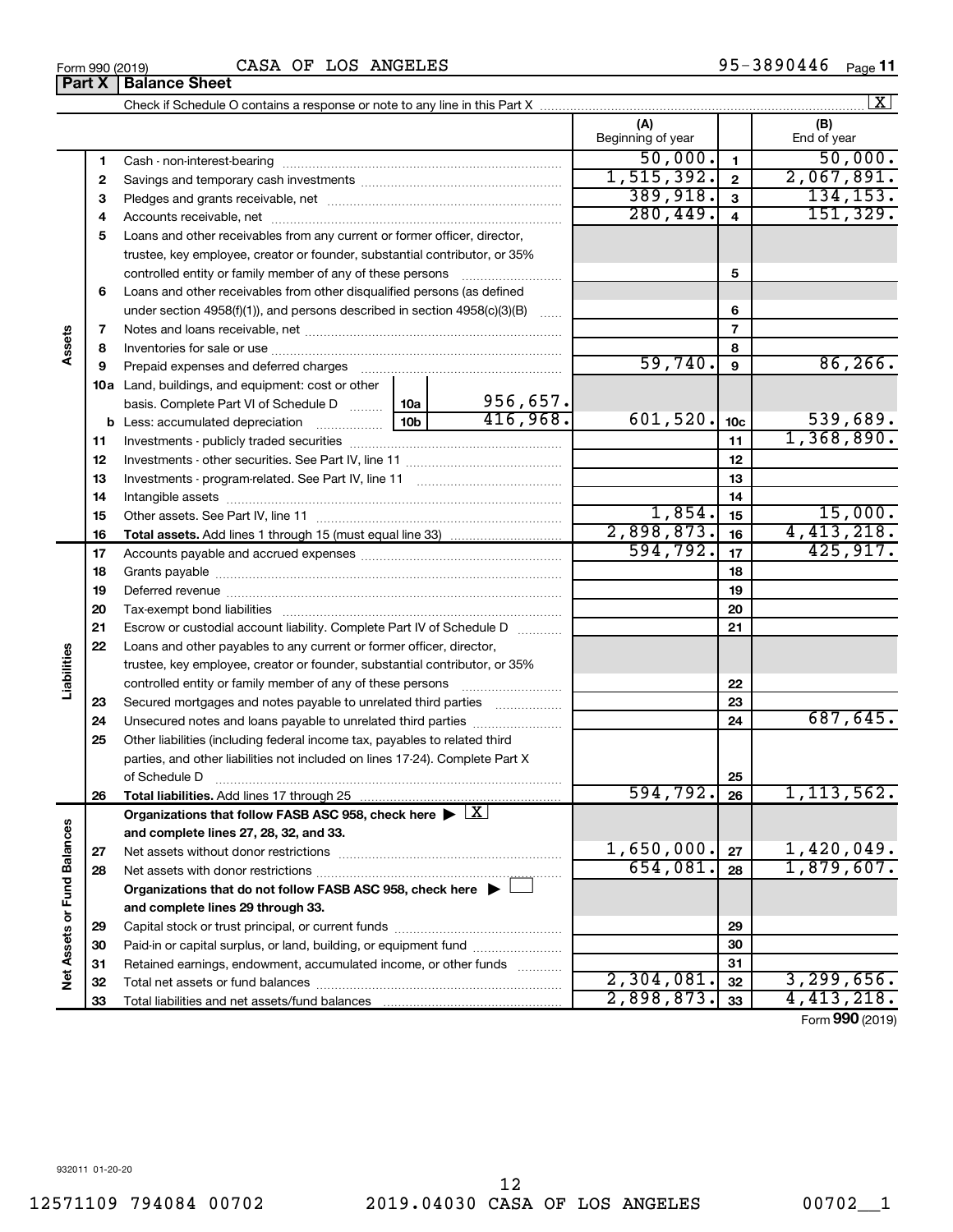**Part X Balance Sheet**

|                             |          |                                                                                                        |                 |          |                          |                         | $\lfloor x \rfloor$ |
|-----------------------------|----------|--------------------------------------------------------------------------------------------------------|-----------------|----------|--------------------------|-------------------------|---------------------|
|                             |          |                                                                                                        |                 |          | (A)<br>Beginning of year |                         | (B)<br>End of year  |
|                             | 1        |                                                                                                        |                 |          | 50,000.                  | $\mathbf{1}$            | 50,000.             |
|                             | 2        |                                                                                                        |                 |          | 1, 515, 392.             | $\overline{2}$          | 2,067,891.          |
|                             | З        |                                                                                                        |                 |          | 389,918.                 | $\overline{\mathbf{3}}$ | 134, 153.           |
|                             | 4        |                                                                                                        |                 |          | 280, 449.                | $\overline{4}$          | 151, 329.           |
|                             | 5        | Loans and other receivables from any current or former officer, director,                              |                 |          |                          |                         |                     |
|                             |          | trustee, key employee, creator or founder, substantial contributor, or 35%                             |                 |          |                          |                         |                     |
|                             |          |                                                                                                        |                 |          |                          | 5                       |                     |
|                             | 6        | Loans and other receivables from other disqualified persons (as defined                                |                 |          |                          |                         |                     |
|                             |          | under section $4958(f)(1)$ , and persons described in section $4958(c)(3)(B)$                          |                 |          |                          | 6                       |                     |
|                             | 7        |                                                                                                        |                 |          |                          | $\overline{7}$          |                     |
| Assets                      | 8        |                                                                                                        |                 |          |                          | 8                       |                     |
|                             | 9        |                                                                                                        |                 |          | 59,740.                  | $\boldsymbol{9}$        | 86, 266.            |
|                             |          | 10a Land, buildings, and equipment: cost or other                                                      |                 |          |                          |                         |                     |
|                             |          | basis. Complete Part VI of Schedule D                                                                  | 10a             | 956,657. |                          |                         |                     |
|                             |          | <b>b</b> Less: accumulated depreciation                                                                | 10 <sub>b</sub> | 416,968. | 601,520.                 | 10 <sub>c</sub>         | 539,689.            |
|                             | 11       |                                                                                                        |                 |          |                          | 11                      | 1,368,890.          |
|                             | 12       |                                                                                                        |                 |          |                          | 12                      |                     |
|                             | 13       |                                                                                                        |                 |          |                          | 13                      |                     |
|                             | 14       |                                                                                                        |                 |          |                          | 14                      |                     |
|                             | 15       |                                                                                                        |                 |          | 1,854.                   | 15                      | 15,000.             |
|                             | 16       |                                                                                                        |                 |          | 2,898,873.               | 16                      | 4,413,218.          |
|                             | 17       |                                                                                                        | 594, 792.       | 17       | 425,917.                 |                         |                     |
|                             | 18       |                                                                                                        |                 | 18<br>19 |                          |                         |                     |
|                             | 19       |                                                                                                        |                 |          |                          |                         |                     |
|                             | 20       |                                                                                                        |                 |          |                          | 20                      |                     |
|                             | 21       | Escrow or custodial account liability. Complete Part IV of Schedule D                                  |                 |          |                          | 21                      |                     |
|                             | 22       | Loans and other payables to any current or former officer, director,                                   |                 |          |                          |                         |                     |
| iabilities                  |          | trustee, key employee, creator or founder, substantial contributor, or 35%                             |                 |          |                          |                         |                     |
|                             |          | controlled entity or family member of any of these persons                                             |                 |          |                          | 22                      |                     |
|                             | 23       | Secured mortgages and notes payable to unrelated third parties                                         |                 |          |                          | 23                      |                     |
|                             | 24       |                                                                                                        |                 |          |                          | 24                      | 687,645.            |
|                             | 25       | Other liabilities (including federal income tax, payables to related third                             |                 |          |                          |                         |                     |
|                             |          | parties, and other liabilities not included on lines 17-24). Complete Part X                           |                 |          |                          |                         |                     |
|                             |          |                                                                                                        |                 |          | 594, 792.                | 25                      | 1,113,562.          |
|                             | 26       |                                                                                                        |                 |          |                          | 26                      |                     |
|                             |          | Organizations that follow FASB ASC 958, check here $\blacktriangleright \lfloor \underline{X} \rfloor$ |                 |          |                          |                         |                     |
|                             |          | and complete lines 27, 28, 32, and 33.                                                                 |                 |          | 1,650,000.               |                         | 1,420,049.          |
|                             | 27       |                                                                                                        |                 |          | 654,081.                 | 27                      | 1,879,607.          |
|                             | 28       |                                                                                                        |                 |          |                          | 28                      |                     |
|                             |          | Organizations that do not follow FASB ASC 958, check here $\blacktriangleright$                        |                 |          |                          |                         |                     |
|                             |          | and complete lines 29 through 33.                                                                      |                 |          |                          |                         |                     |
| Net Assets or Fund Balances | 29       |                                                                                                        |                 |          |                          | 29                      |                     |
|                             | 30       | Paid-in or capital surplus, or land, building, or equipment fund                                       |                 |          |                          | 30<br>31                |                     |
|                             | 31       | Retained earnings, endowment, accumulated income, or other funds                                       |                 |          | 2,304,081.               | 32                      | 3, 299, 656.        |
|                             | 32<br>33 |                                                                                                        |                 |          | 2,898,873.               | 33                      | 4,413,218.          |
|                             |          |                                                                                                        |                 |          |                          |                         |                     |

Form (2019) **990**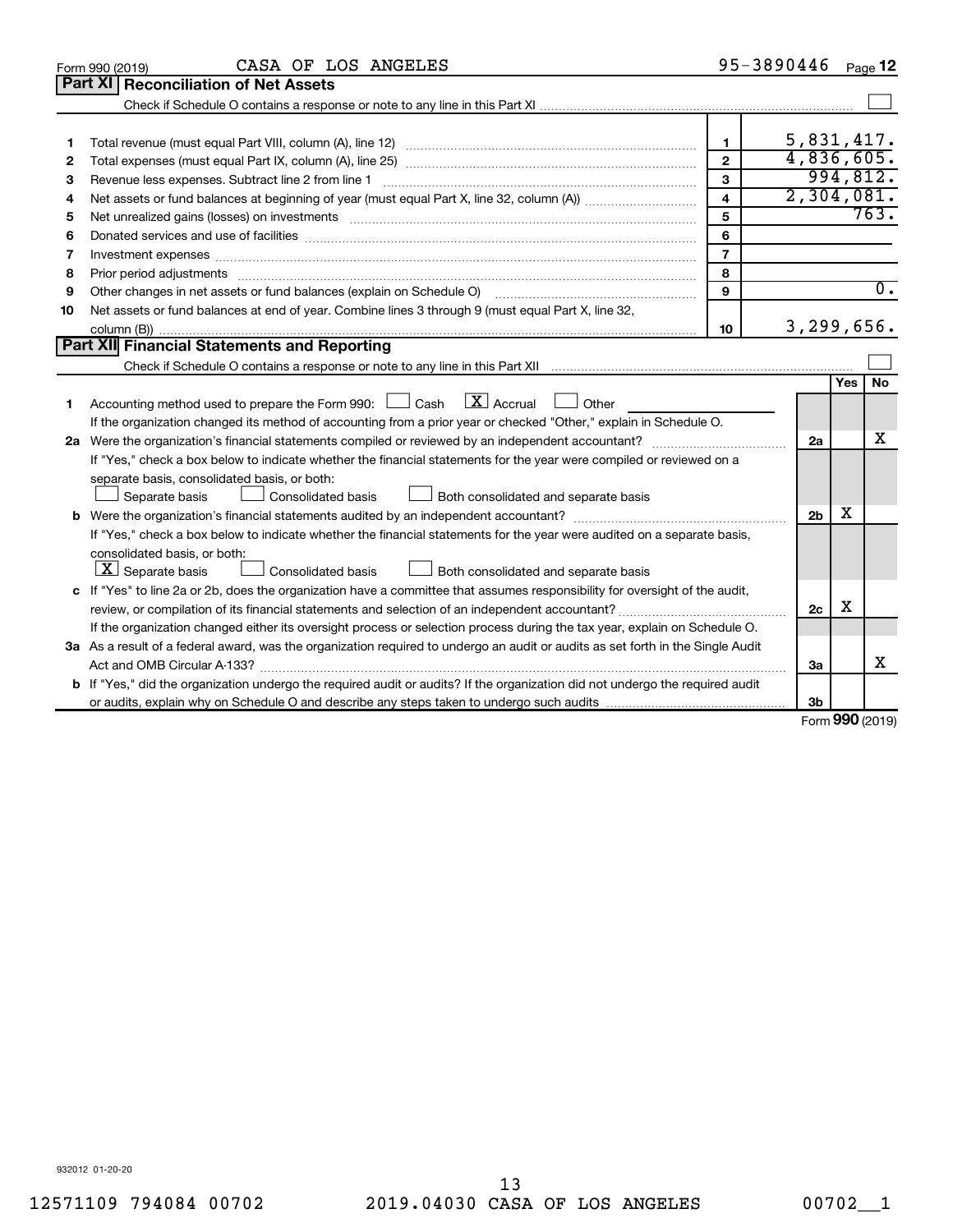|    | CASA OF LOS ANGELES<br>Form 990 (2019)                                                                                          |                         | 95-3890446     |            | Page 12          |
|----|---------------------------------------------------------------------------------------------------------------------------------|-------------------------|----------------|------------|------------------|
|    | Part XI<br><b>Reconciliation of Net Assets</b>                                                                                  |                         |                |            |                  |
|    |                                                                                                                                 |                         |                |            |                  |
|    |                                                                                                                                 |                         |                |            |                  |
| 1  |                                                                                                                                 | $\blacksquare$          | 5,831,417.     |            |                  |
| 2  |                                                                                                                                 | $\mathbf{2}$            | 4,836,605.     |            |                  |
| 3  |                                                                                                                                 | 3                       |                |            | 994,812.         |
| 4  |                                                                                                                                 | $\overline{\mathbf{4}}$ | 2,304,081.     |            |                  |
| 5  | Net unrealized gains (losses) on investments [11] non-manufactured manufactured manufactured manufactured manu                  | 5                       |                |            | 763.             |
| 6  |                                                                                                                                 | 6                       |                |            |                  |
| 7  | Investment expenses www.communication.com/www.communication.com/www.communication.com/www.com                                   | $\overline{7}$          |                |            |                  |
| 8  |                                                                                                                                 | 8                       |                |            |                  |
| 9  |                                                                                                                                 | 9                       |                |            | $\overline{0}$ . |
| 10 | Net assets or fund balances at end of year. Combine lines 3 through 9 (must equal Part X, line 32,                              |                         |                |            |                  |
|    |                                                                                                                                 | 10                      | 3,299,656.     |            |                  |
|    | Part XII Financial Statements and Reporting                                                                                     |                         |                |            |                  |
|    |                                                                                                                                 |                         |                |            |                  |
|    |                                                                                                                                 |                         |                | <b>Yes</b> | No               |
| 1  | $\boxed{\mathbf{X}}$ Accrual<br>Accounting method used to prepare the Form 990: [130] Cash<br>Other                             |                         |                |            |                  |
|    | If the organization changed its method of accounting from a prior year or checked "Other," explain in Schedule O.               |                         |                |            |                  |
|    |                                                                                                                                 |                         | 2a             |            | x                |
|    | If "Yes," check a box below to indicate whether the financial statements for the year were compiled or reviewed on a            |                         |                |            |                  |
|    | separate basis, consolidated basis, or both:                                                                                    |                         |                |            |                  |
|    | Both consolidated and separate basis<br>Separate basis<br>Consolidated basis                                                    |                         |                |            |                  |
|    |                                                                                                                                 |                         | 2 <sub>b</sub> | х          |                  |
|    | If "Yes," check a box below to indicate whether the financial statements for the year were audited on a separate basis,         |                         |                |            |                  |
|    | consolidated basis, or both:                                                                                                    |                         |                |            |                  |
|    | $\lfloor x \rfloor$ Separate basis<br><b>Consolidated basis</b><br>Both consolidated and separate basis                         |                         |                |            |                  |
|    | c If "Yes" to line 2a or 2b, does the organization have a committee that assumes responsibility for oversight of the audit,     |                         |                |            |                  |
|    | review, or compilation of its financial statements and selection of an independent accountant?                                  |                         | 2c             | х          |                  |
|    | If the organization changed either its oversight process or selection process during the tax year, explain on Schedule O.       |                         |                |            |                  |
|    | 3a As a result of a federal award, was the organization required to undergo an audit or audits as set forth in the Single Audit |                         |                |            |                  |
|    |                                                                                                                                 |                         | За             |            | х                |
|    | b If "Yes," did the organization undergo the required audit or audits? If the organization did not undergo the required audit   |                         |                |            |                  |
|    |                                                                                                                                 |                         | 3 <sub>b</sub> |            |                  |

Form (2019) **990**

932012 01-20-20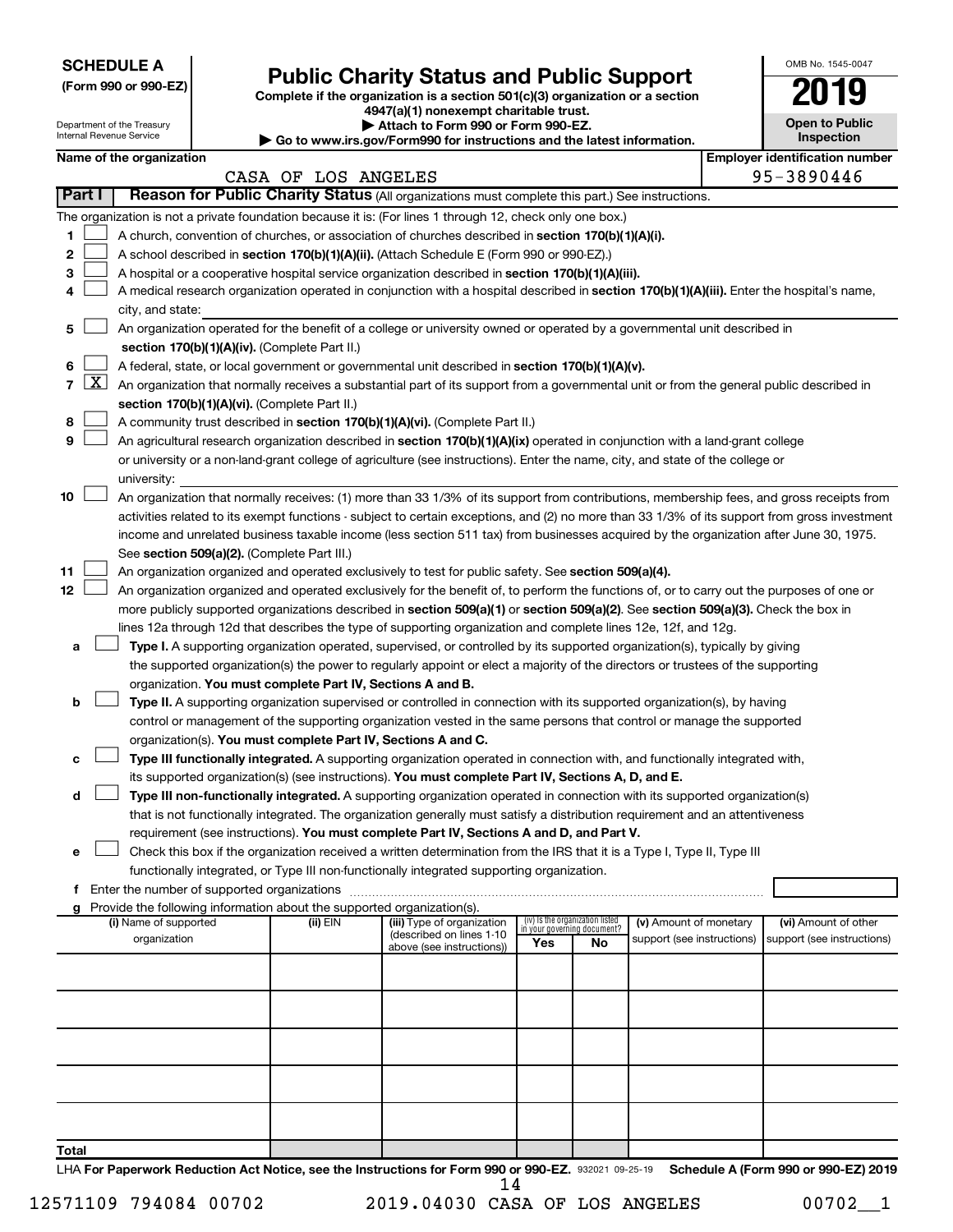| <b>SCHEDULE A</b> |  |
|-------------------|--|
|-------------------|--|

Department of the Treasury

|  | (Form 990 or 990-EZ) |
|--|----------------------|
|  |                      |

# Form 990 or 990-EZ) **Public Charity Status and Public Support**<br>
Complete if the organization is a section 501(c)(3) organization or a section<br> **2019**

**4947(a)(1) nonexempt charitable trust. | Attach to Form 990 or Form 990-EZ.** 

| <b>Open to Public</b><br>Inspection |
|-------------------------------------|
|                                     |

OMB No. 1545-0047

|        |                    | Internal Revenue Service                    |                                                                        | Go to www.irs.gov/Form990 for instructions and the latest information.                                                                                                                                                   |                                 |                             |                            | Inspection                                                                                                                                    |
|--------|--------------------|---------------------------------------------|------------------------------------------------------------------------|--------------------------------------------------------------------------------------------------------------------------------------------------------------------------------------------------------------------------|---------------------------------|-----------------------------|----------------------------|-----------------------------------------------------------------------------------------------------------------------------------------------|
|        |                    | Name of the organization                    |                                                                        |                                                                                                                                                                                                                          |                                 |                             |                            | <b>Employer identification number</b>                                                                                                         |
|        |                    |                                             | CASA OF LOS ANGELES                                                    |                                                                                                                                                                                                                          |                                 |                             |                            | 95-3890446                                                                                                                                    |
| Part I |                    |                                             |                                                                        | Reason for Public Charity Status (All organizations must complete this part.) See instructions.                                                                                                                          |                                 |                             |                            |                                                                                                                                               |
|        |                    |                                             |                                                                        | The organization is not a private foundation because it is: (For lines 1 through 12, check only one box.)                                                                                                                |                                 |                             |                            |                                                                                                                                               |
| 1      |                    |                                             |                                                                        | A church, convention of churches, or association of churches described in section 170(b)(1)(A)(i).                                                                                                                       |                                 |                             |                            |                                                                                                                                               |
| 2      |                    |                                             |                                                                        | A school described in section 170(b)(1)(A)(ii). (Attach Schedule E (Form 990 or 990-EZ).)                                                                                                                                |                                 |                             |                            |                                                                                                                                               |
| з      |                    |                                             |                                                                        | A hospital or a cooperative hospital service organization described in section 170(b)(1)(A)(iii).                                                                                                                        |                                 |                             |                            |                                                                                                                                               |
| 4      |                    |                                             |                                                                        | A medical research organization operated in conjunction with a hospital described in section 170(b)(1)(A)(iii). Enter the hospital's name,                                                                               |                                 |                             |                            |                                                                                                                                               |
|        |                    | city, and state:                            |                                                                        |                                                                                                                                                                                                                          |                                 |                             |                            |                                                                                                                                               |
| 5      |                    |                                             |                                                                        | An organization operated for the benefit of a college or university owned or operated by a governmental unit described in                                                                                                |                                 |                             |                            |                                                                                                                                               |
|        |                    |                                             | section 170(b)(1)(A)(iv). (Complete Part II.)                          |                                                                                                                                                                                                                          |                                 |                             |                            |                                                                                                                                               |
| 6      |                    |                                             |                                                                        | A federal, state, or local government or governmental unit described in section 170(b)(1)(A)(v).                                                                                                                         |                                 |                             |                            |                                                                                                                                               |
| 7      | $\boxed{\text{X}}$ |                                             |                                                                        | An organization that normally receives a substantial part of its support from a governmental unit or from the general public described in                                                                                |                                 |                             |                            |                                                                                                                                               |
|        |                    |                                             | section 170(b)(1)(A)(vi). (Complete Part II.)                          |                                                                                                                                                                                                                          |                                 |                             |                            |                                                                                                                                               |
| 8      |                    |                                             |                                                                        | A community trust described in section 170(b)(1)(A)(vi). (Complete Part II.)                                                                                                                                             |                                 |                             |                            |                                                                                                                                               |
| 9      |                    |                                             |                                                                        | An agricultural research organization described in section 170(b)(1)(A)(ix) operated in conjunction with a land-grant college                                                                                            |                                 |                             |                            |                                                                                                                                               |
|        |                    |                                             |                                                                        | or university or a non-land-grant college of agriculture (see instructions). Enter the name, city, and state of the college or                                                                                           |                                 |                             |                            |                                                                                                                                               |
|        |                    | university:                                 |                                                                        |                                                                                                                                                                                                                          |                                 |                             |                            |                                                                                                                                               |
| 10     |                    |                                             |                                                                        | An organization that normally receives: (1) more than 33 1/3% of its support from contributions, membership fees, and gross receipts from                                                                                |                                 |                             |                            |                                                                                                                                               |
|        |                    |                                             |                                                                        |                                                                                                                                                                                                                          |                                 |                             |                            | activities related to its exempt functions - subject to certain exceptions, and (2) no more than 33 1/3% of its support from gross investment |
|        |                    |                                             |                                                                        | income and unrelated business taxable income (less section 511 tax) from businesses acquired by the organization after June 30, 1975.                                                                                    |                                 |                             |                            |                                                                                                                                               |
|        |                    |                                             | See section 509(a)(2). (Complete Part III.)                            |                                                                                                                                                                                                                          |                                 |                             |                            |                                                                                                                                               |
| 11     |                    |                                             |                                                                        | An organization organized and operated exclusively to test for public safety. See section 509(a)(4).                                                                                                                     |                                 |                             |                            |                                                                                                                                               |
| 12     |                    |                                             |                                                                        | An organization organized and operated exclusively for the benefit of, to perform the functions of, or to carry out the purposes of one or                                                                               |                                 |                             |                            |                                                                                                                                               |
|        |                    |                                             |                                                                        | more publicly supported organizations described in section 509(a)(1) or section 509(a)(2). See section 509(a)(3). Check the box in                                                                                       |                                 |                             |                            |                                                                                                                                               |
|        |                    |                                             |                                                                        | lines 12a through 12d that describes the type of supporting organization and complete lines 12e, 12f, and 12g.                                                                                                           |                                 |                             |                            |                                                                                                                                               |
| а      |                    |                                             |                                                                        | Type I. A supporting organization operated, supervised, or controlled by its supported organization(s), typically by giving                                                                                              |                                 |                             |                            |                                                                                                                                               |
|        |                    |                                             |                                                                        | the supported organization(s) the power to regularly appoint or elect a majority of the directors or trustees of the supporting                                                                                          |                                 |                             |                            |                                                                                                                                               |
|        |                    |                                             | organization. You must complete Part IV, Sections A and B.             |                                                                                                                                                                                                                          |                                 |                             |                            |                                                                                                                                               |
| b      |                    |                                             |                                                                        | Type II. A supporting organization supervised or controlled in connection with its supported organization(s), by having                                                                                                  |                                 |                             |                            |                                                                                                                                               |
|        |                    |                                             |                                                                        | control or management of the supporting organization vested in the same persons that control or manage the supported                                                                                                     |                                 |                             |                            |                                                                                                                                               |
|        |                    |                                             | organization(s). You must complete Part IV, Sections A and C.          |                                                                                                                                                                                                                          |                                 |                             |                            |                                                                                                                                               |
|        |                    |                                             |                                                                        | Type III functionally integrated. A supporting organization operated in connection with, and functionally integrated with,                                                                                               |                                 |                             |                            |                                                                                                                                               |
|        |                    |                                             |                                                                        | its supported organization(s) (see instructions). You must complete Part IV, Sections A, D, and E.                                                                                                                       |                                 |                             |                            |                                                                                                                                               |
| d      |                    |                                             |                                                                        | Type III non-functionally integrated. A supporting organization operated in connection with its supported organization(s)                                                                                                |                                 |                             |                            |                                                                                                                                               |
|        |                    |                                             |                                                                        | that is not functionally integrated. The organization generally must satisfy a distribution requirement and an attentiveness<br>requirement (see instructions). You must complete Part IV, Sections A and D, and Part V. |                                 |                             |                            |                                                                                                                                               |
| е      |                    |                                             |                                                                        | Check this box if the organization received a written determination from the IRS that it is a Type I, Type II, Type III                                                                                                  |                                 |                             |                            |                                                                                                                                               |
|        |                    |                                             |                                                                        | functionally integrated, or Type III non-functionally integrated supporting organization.                                                                                                                                |                                 |                             |                            |                                                                                                                                               |
| f      |                    | Enter the number of supported organizations |                                                                        |                                                                                                                                                                                                                          |                                 |                             |                            |                                                                                                                                               |
|        |                    |                                             | Provide the following information about the supported organization(s). |                                                                                                                                                                                                                          |                                 |                             |                            |                                                                                                                                               |
|        |                    | (i) Name of supported                       | (ii) EIN                                                               | (iii) Type of organization                                                                                                                                                                                               | (iv) Is the organization listed | in your governing document? | (v) Amount of monetary     | (vi) Amount of other                                                                                                                          |
|        |                    | organization                                |                                                                        | (described on lines 1-10<br>above (see instructions))                                                                                                                                                                    | Yes                             | No                          | support (see instructions) | support (see instructions)                                                                                                                    |
|        |                    |                                             |                                                                        |                                                                                                                                                                                                                          |                                 |                             |                            |                                                                                                                                               |
|        |                    |                                             |                                                                        |                                                                                                                                                                                                                          |                                 |                             |                            |                                                                                                                                               |
|        |                    |                                             |                                                                        |                                                                                                                                                                                                                          |                                 |                             |                            |                                                                                                                                               |
|        |                    |                                             |                                                                        |                                                                                                                                                                                                                          |                                 |                             |                            |                                                                                                                                               |
|        |                    |                                             |                                                                        |                                                                                                                                                                                                                          |                                 |                             |                            |                                                                                                                                               |
|        |                    |                                             |                                                                        |                                                                                                                                                                                                                          |                                 |                             |                            |                                                                                                                                               |
|        |                    |                                             |                                                                        |                                                                                                                                                                                                                          |                                 |                             |                            |                                                                                                                                               |
|        |                    |                                             |                                                                        |                                                                                                                                                                                                                          |                                 |                             |                            |                                                                                                                                               |
|        |                    |                                             |                                                                        |                                                                                                                                                                                                                          |                                 |                             |                            |                                                                                                                                               |
|        |                    |                                             |                                                                        |                                                                                                                                                                                                                          |                                 |                             |                            |                                                                                                                                               |
| Total  |                    |                                             |                                                                        |                                                                                                                                                                                                                          |                                 |                             |                            |                                                                                                                                               |

LHA For Paperwork Reduction Act Notice, see the Instructions for Form 990 or 990-EZ. 932021 09-25-19 Schedule A (Form 990 or 990-EZ) 2019 14

12571109 794084 00702 2019.04030 CASA OF LOS ANGELES 00702\_\_1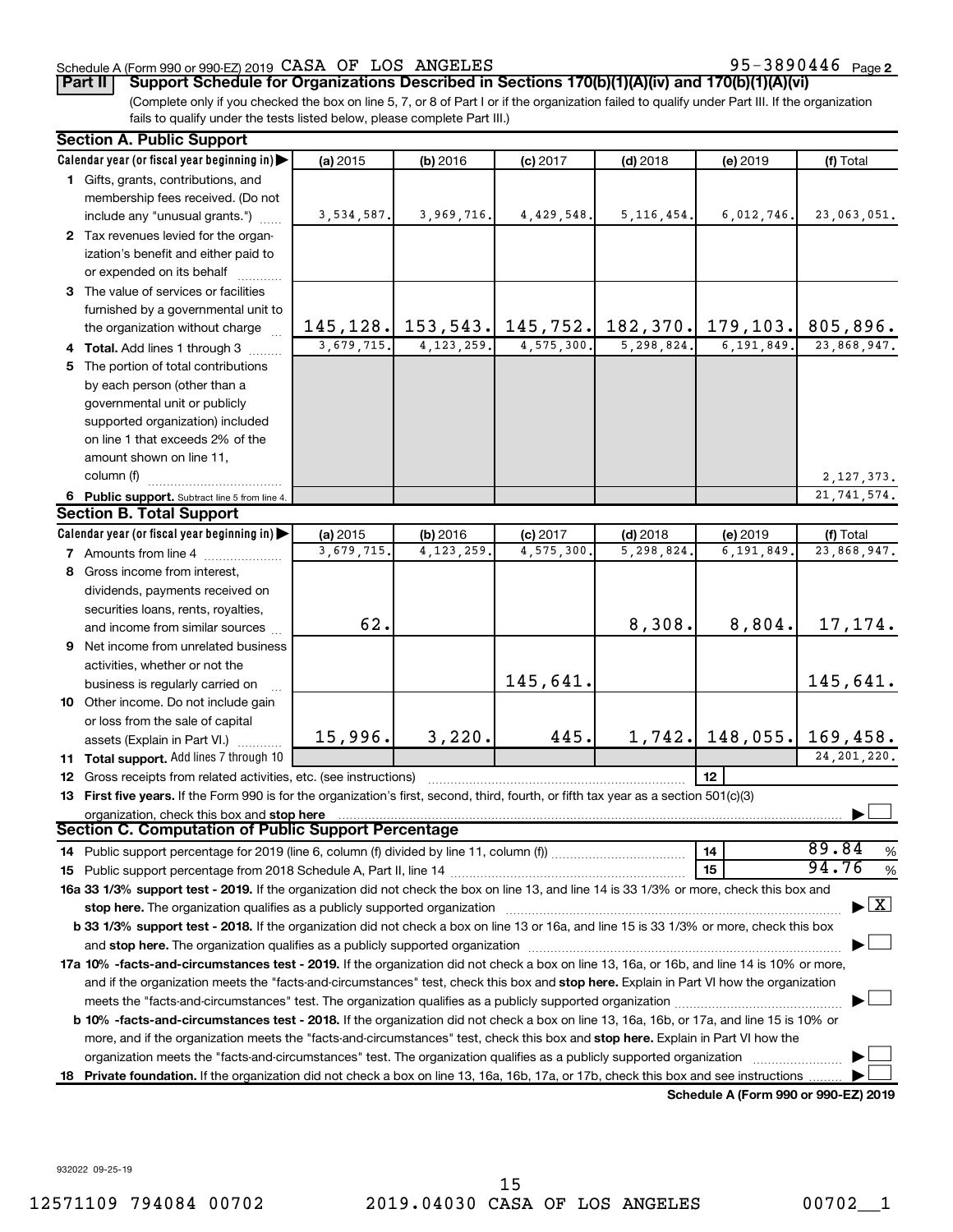# Schedule A (Form 990 or 990-EZ) 2019  $\verb|CASA OF LOS ANGELES$  95-3890446 Page

95-3890446 Page 2

**Part II Support Schedule for Organizations Described in Sections 170(b)(1)(A)(iv) and 170(b)(1)(A)(vi)**

(Complete only if you checked the box on line 5, 7, or 8 of Part I or if the organization failed to qualify under Part III. If the organization fails to qualify under the tests listed below, please complete Part III.)

|    | <b>Section A. Public Support</b>                                                                                                                                                                                               |            |              |                                         |              |              |                                              |
|----|--------------------------------------------------------------------------------------------------------------------------------------------------------------------------------------------------------------------------------|------------|--------------|-----------------------------------------|--------------|--------------|----------------------------------------------|
|    | Calendar year (or fiscal year beginning in)                                                                                                                                                                                    | (a) 2015   | (b) 2016     | $(c)$ 2017                              | $(d)$ 2018   | (e) 2019     | (f) Total                                    |
|    | 1 Gifts, grants, contributions, and                                                                                                                                                                                            |            |              |                                         |              |              |                                              |
|    | membership fees received. (Do not                                                                                                                                                                                              |            |              |                                         |              |              |                                              |
|    | include any "unusual grants.")                                                                                                                                                                                                 | 3,534,587. | 3,969,716.   | 4,429,548.                              | 5, 116, 454. | 6,012,746.   | 23,063,051.                                  |
|    | 2 Tax revenues levied for the organ-                                                                                                                                                                                           |            |              |                                         |              |              |                                              |
|    | ization's benefit and either paid to                                                                                                                                                                                           |            |              |                                         |              |              |                                              |
|    | or expended on its behalf                                                                                                                                                                                                      |            |              |                                         |              |              |                                              |
|    | 3 The value of services or facilities                                                                                                                                                                                          |            |              |                                         |              |              |                                              |
|    | furnished by a governmental unit to                                                                                                                                                                                            |            |              |                                         |              |              |                                              |
|    | the organization without charge                                                                                                                                                                                                |            |              | 145, 128. 153, 543. 145, 752. 182, 370. |              | 179, 103.    | 805,896.                                     |
|    | 4 Total. Add lines 1 through 3                                                                                                                                                                                                 | 3,679,715. | 4, 123, 259. | 4,575,300.                              | 5,298,824.   | 6, 191, 849. | 23,868,947.                                  |
|    | 5 The portion of total contributions                                                                                                                                                                                           |            |              |                                         |              |              |                                              |
|    | by each person (other than a                                                                                                                                                                                                   |            |              |                                         |              |              |                                              |
|    | governmental unit or publicly                                                                                                                                                                                                  |            |              |                                         |              |              |                                              |
|    | supported organization) included                                                                                                                                                                                               |            |              |                                         |              |              |                                              |
|    | on line 1 that exceeds 2% of the                                                                                                                                                                                               |            |              |                                         |              |              |                                              |
|    | amount shown on line 11,                                                                                                                                                                                                       |            |              |                                         |              |              |                                              |
|    | column (f)                                                                                                                                                                                                                     |            |              |                                         |              |              | 2, 127, 373.                                 |
|    | 6 Public support. Subtract line 5 from line 4.                                                                                                                                                                                 |            |              |                                         |              |              | 21,741,574.                                  |
|    | <b>Section B. Total Support</b>                                                                                                                                                                                                |            |              |                                         |              |              |                                              |
|    | Calendar year (or fiscal year beginning in)                                                                                                                                                                                    | (a) 2015   | (b) 2016     | $(c)$ 2017                              | $(d)$ 2018   | (e) 2019     | (f) Total                                    |
|    | <b>7</b> Amounts from line 4                                                                                                                                                                                                   | 3,679,715. | 4, 123, 259  | 4,575,300                               | 5,298,824    | 6, 191, 849  | 23,868,947.                                  |
|    |                                                                                                                                                                                                                                |            |              |                                         |              |              |                                              |
| 8  | Gross income from interest,                                                                                                                                                                                                    |            |              |                                         |              |              |                                              |
|    | dividends, payments received on                                                                                                                                                                                                |            |              |                                         |              |              |                                              |
|    | securities loans, rents, royalties,                                                                                                                                                                                            | 62.        |              |                                         | 8,308.       | 8,804.       | 17,174.                                      |
|    | and income from similar sources                                                                                                                                                                                                |            |              |                                         |              |              |                                              |
|    | 9 Net income from unrelated business                                                                                                                                                                                           |            |              |                                         |              |              |                                              |
|    | activities, whether or not the                                                                                                                                                                                                 |            |              | 145,641.                                |              |              |                                              |
|    | business is regularly carried on                                                                                                                                                                                               |            |              |                                         |              |              | 145,641.                                     |
|    | 10 Other income. Do not include gain                                                                                                                                                                                           |            |              |                                         |              |              |                                              |
|    | or loss from the sale of capital                                                                                                                                                                                               |            | 3,220.       | 445.                                    |              |              |                                              |
|    | assets (Explain in Part VI.)                                                                                                                                                                                                   | 15,996.    |              |                                         | 1,742.       | 148,055.     | 169,458.                                     |
|    | 11 Total support. Add lines 7 through 10                                                                                                                                                                                       |            |              |                                         |              |              | 24, 201, 220.                                |
|    | <b>12</b> Gross receipts from related activities, etc. (see instructions)                                                                                                                                                      |            |              |                                         |              | 12           |                                              |
|    | 13 First five years. If the Form 990 is for the organization's first, second, third, fourth, or fifth tax year as a section 501(c)(3)                                                                                          |            |              |                                         |              |              |                                              |
|    | organization, check this box and stop here                                                                                                                                                                                     |            |              |                                         |              |              |                                              |
|    | Section C. Computation of Public Support Percentage                                                                                                                                                                            |            |              |                                         |              |              |                                              |
|    | 14 Public support percentage for 2019 (line 6, column (f) divided by line 11, column (f) <i>mummumumum</i>                                                                                                                     |            |              |                                         |              | 14           | 89.84<br>%                                   |
|    |                                                                                                                                                                                                                                |            |              |                                         |              | 15           | 94.76<br>$\%$                                |
|    | 16a 33 1/3% support test - 2019. If the organization did not check the box on line 13, and line 14 is 33 1/3% or more, check this box and                                                                                      |            |              |                                         |              |              |                                              |
|    | stop here. The organization qualifies as a publicly supported organization manufactured content and the organization of the state of the state of the state of the state of the state of the state of the state of the state o |            |              |                                         |              |              | $\blacktriangleright$ $\mid$ X               |
|    | b 33 1/3% support test - 2018. If the organization did not check a box on line 13 or 16a, and line 15 is 33 1/3% or more, check this box                                                                                       |            |              |                                         |              |              |                                              |
|    |                                                                                                                                                                                                                                |            |              |                                         |              |              |                                              |
|    | 17a 10% -facts-and-circumstances test - 2019. If the organization did not check a box on line 13, 16a, or 16b, and line 14 is 10% or more,                                                                                     |            |              |                                         |              |              |                                              |
|    | and if the organization meets the "facts-and-circumstances" test, check this box and stop here. Explain in Part VI how the organization                                                                                        |            |              |                                         |              |              |                                              |
|    |                                                                                                                                                                                                                                |            |              |                                         |              |              |                                              |
|    | b 10% -facts-and-circumstances test - 2018. If the organization did not check a box on line 13, 16a, 16b, or 17a, and line 15 is 10% or                                                                                        |            |              |                                         |              |              |                                              |
|    | more, and if the organization meets the "facts-and-circumstances" test, check this box and stop here. Explain in Part VI how the                                                                                               |            |              |                                         |              |              |                                              |
|    | organization meets the "facts-and-circumstances" test. The organization qualifies as a publicly supported organization                                                                                                         |            |              |                                         |              |              |                                              |
| 18 | Private foundation. If the organization did not check a box on line 13, 16a, 16b, 17a, or 17b, check this box and see instructions.                                                                                            |            |              |                                         |              |              |                                              |
|    |                                                                                                                                                                                                                                |            |              |                                         |              |              | $0.00 \rightarrow 0.00$ $F \rightarrow 0.00$ |

**Schedule A (Form 990 or 990-EZ) 2019**

932022 09-25-19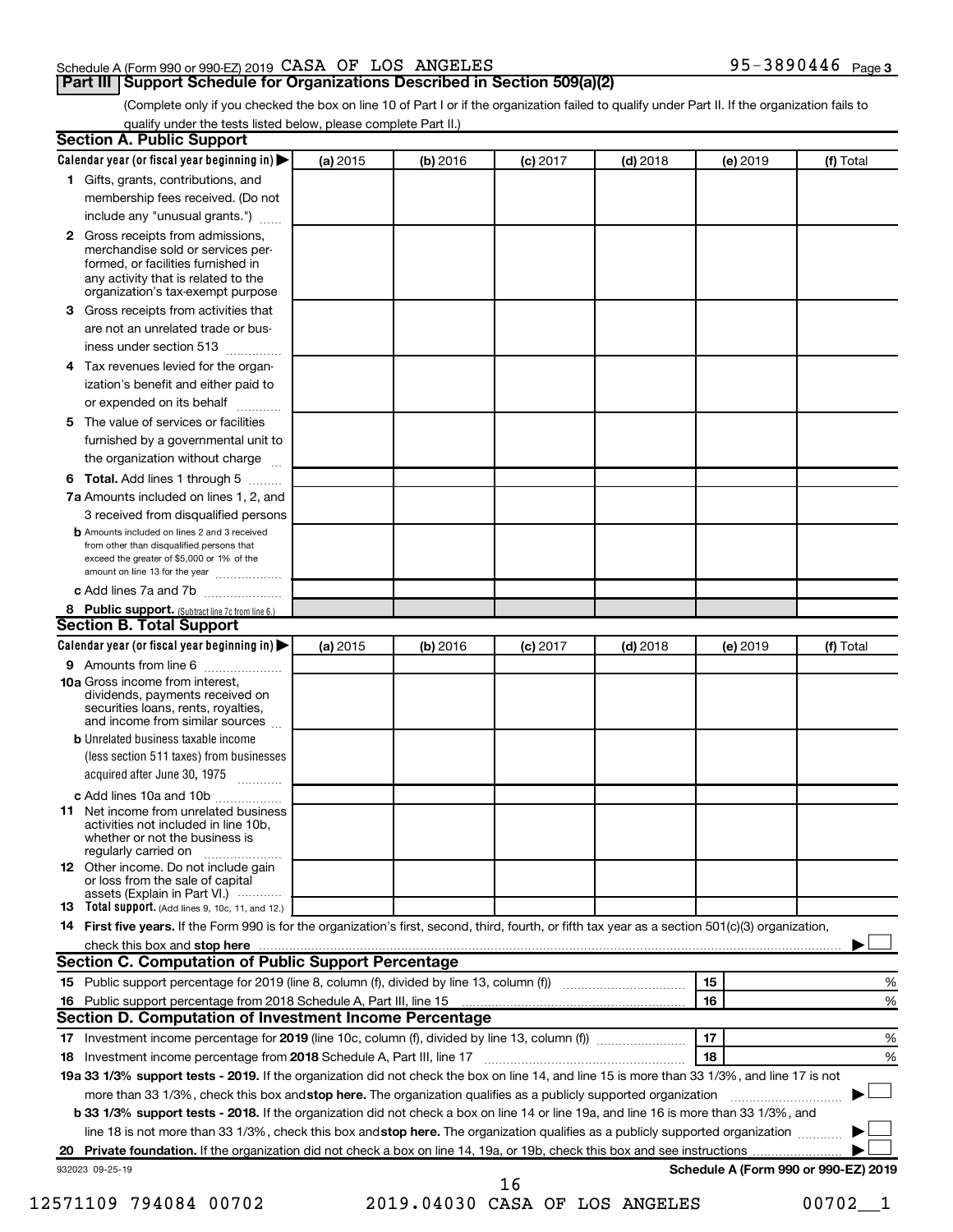# Schedule A (Form 990 or 990-EZ) 2019  $\verb|CASA OF LOS ANGELES$  95-3890446 Page

# **Part III Support Schedule for Organizations Described in Section 509(a)(2)**

(Complete only if you checked the box on line 10 of Part I or if the organization failed to qualify under Part II. If the organization fails to qualify under the tests listed below, please complete Part II.)

| <b>Section A. Public Support</b>                                                                                                                                                         |          |          |            |            |          |                                      |
|------------------------------------------------------------------------------------------------------------------------------------------------------------------------------------------|----------|----------|------------|------------|----------|--------------------------------------|
| Calendar year (or fiscal year beginning in)                                                                                                                                              | (a) 2015 | (b) 2016 | $(c)$ 2017 | $(d)$ 2018 | (e) 2019 | (f) Total                            |
| 1 Gifts, grants, contributions, and                                                                                                                                                      |          |          |            |            |          |                                      |
| membership fees received. (Do not                                                                                                                                                        |          |          |            |            |          |                                      |
| include any "unusual grants.")                                                                                                                                                           |          |          |            |            |          |                                      |
| 2 Gross receipts from admissions,<br>merchandise sold or services per-<br>formed, or facilities furnished in<br>any activity that is related to the<br>organization's tax-exempt purpose |          |          |            |            |          |                                      |
| 3 Gross receipts from activities that                                                                                                                                                    |          |          |            |            |          |                                      |
| are not an unrelated trade or bus-                                                                                                                                                       |          |          |            |            |          |                                      |
| iness under section 513                                                                                                                                                                  |          |          |            |            |          |                                      |
| 4 Tax revenues levied for the organ-                                                                                                                                                     |          |          |            |            |          |                                      |
| ization's benefit and either paid to                                                                                                                                                     |          |          |            |            |          |                                      |
| or expended on its behalf<br>.                                                                                                                                                           |          |          |            |            |          |                                      |
| 5 The value of services or facilities                                                                                                                                                    |          |          |            |            |          |                                      |
| furnished by a governmental unit to                                                                                                                                                      |          |          |            |            |          |                                      |
| the organization without charge                                                                                                                                                          |          |          |            |            |          |                                      |
| 6 Total. Add lines 1 through 5                                                                                                                                                           |          |          |            |            |          |                                      |
| 7a Amounts included on lines 1, 2, and                                                                                                                                                   |          |          |            |            |          |                                      |
| 3 received from disqualified persons                                                                                                                                                     |          |          |            |            |          |                                      |
| <b>b</b> Amounts included on lines 2 and 3 received<br>from other than disqualified persons that<br>exceed the greater of \$5,000 or 1% of the<br>amount on line 13 for the year         |          |          |            |            |          |                                      |
| c Add lines 7a and 7b                                                                                                                                                                    |          |          |            |            |          |                                      |
| 8 Public support. (Subtract line 7c from line 6.)                                                                                                                                        |          |          |            |            |          |                                      |
| <b>Section B. Total Support</b>                                                                                                                                                          |          |          |            |            |          |                                      |
| Calendar year (or fiscal year beginning in)                                                                                                                                              | (a) 2015 | (b) 2016 | $(c)$ 2017 | $(d)$ 2018 | (e) 2019 | (f) Total                            |
| <b>9</b> Amounts from line 6                                                                                                                                                             |          |          |            |            |          |                                      |
| <b>10a</b> Gross income from interest,<br>dividends, payments received on<br>securities loans, rents, royalties,<br>and income from similar sources                                      |          |          |            |            |          |                                      |
| <b>b</b> Unrelated business taxable income<br>(less section 511 taxes) from businesses                                                                                                   |          |          |            |            |          |                                      |
| acquired after June 30, 1975                                                                                                                                                             |          |          |            |            |          |                                      |
| c Add lines 10a and 10b                                                                                                                                                                  |          |          |            |            |          |                                      |
| 11 Net income from unrelated business<br>activities not included in line 10b.<br>whether or not the business is<br>regularly carried on                                                  |          |          |            |            |          |                                      |
| <b>12</b> Other income. Do not include gain<br>or loss from the sale of capital<br>assets (Explain in Part VI.)                                                                          |          |          |            |            |          |                                      |
| <b>13</b> Total support. (Add lines 9, 10c, 11, and 12.)                                                                                                                                 |          |          |            |            |          |                                      |
| 14 First five years. If the Form 990 is for the organization's first, second, third, fourth, or fifth tax year as a section 501(c)(3) organization,                                      |          |          |            |            |          |                                      |
|                                                                                                                                                                                          |          |          |            |            |          |                                      |
| <b>Section C. Computation of Public Support Percentage</b>                                                                                                                               |          |          |            |            |          |                                      |
| 15 Public support percentage for 2019 (line 8, column (f), divided by line 13, column (f) <i>manumeronominimi</i> ng.                                                                    |          |          |            |            | 15       | ℅                                    |
| 16 Public support percentage from 2018 Schedule A, Part III, line 15                                                                                                                     |          |          |            |            | 16       | %                                    |
| Section D. Computation of Investment Income Percentage                                                                                                                                   |          |          |            |            |          |                                      |
|                                                                                                                                                                                          |          |          |            |            | 17       | %                                    |
| 18 Investment income percentage from 2018 Schedule A, Part III, line 17                                                                                                                  |          |          |            |            | 18       | %                                    |
| 19a 33 1/3% support tests - 2019. If the organization did not check the box on line 14, and line 15 is more than 33 1/3%, and line 17 is not                                             |          |          |            |            |          |                                      |
| more than 33 1/3%, check this box and stop here. The organization qualifies as a publicly supported organization                                                                         |          |          |            |            |          |                                      |
| b 33 1/3% support tests - 2018. If the organization did not check a box on line 14 or line 19a, and line 16 is more than 33 1/3%, and                                                    |          |          |            |            |          |                                      |
| line 18 is not more than 33 1/3%, check this box and stop here. The organization qualifies as a publicly supported organization                                                          |          |          |            |            |          |                                      |
|                                                                                                                                                                                          |          |          |            |            |          |                                      |
| 932023 09-25-19                                                                                                                                                                          |          |          | 16         |            |          | Schedule A (Form 990 or 990-EZ) 2019 |

12571109 794084 00702 2019.04030 CASA OF LOS ANGELES 00702\_\_1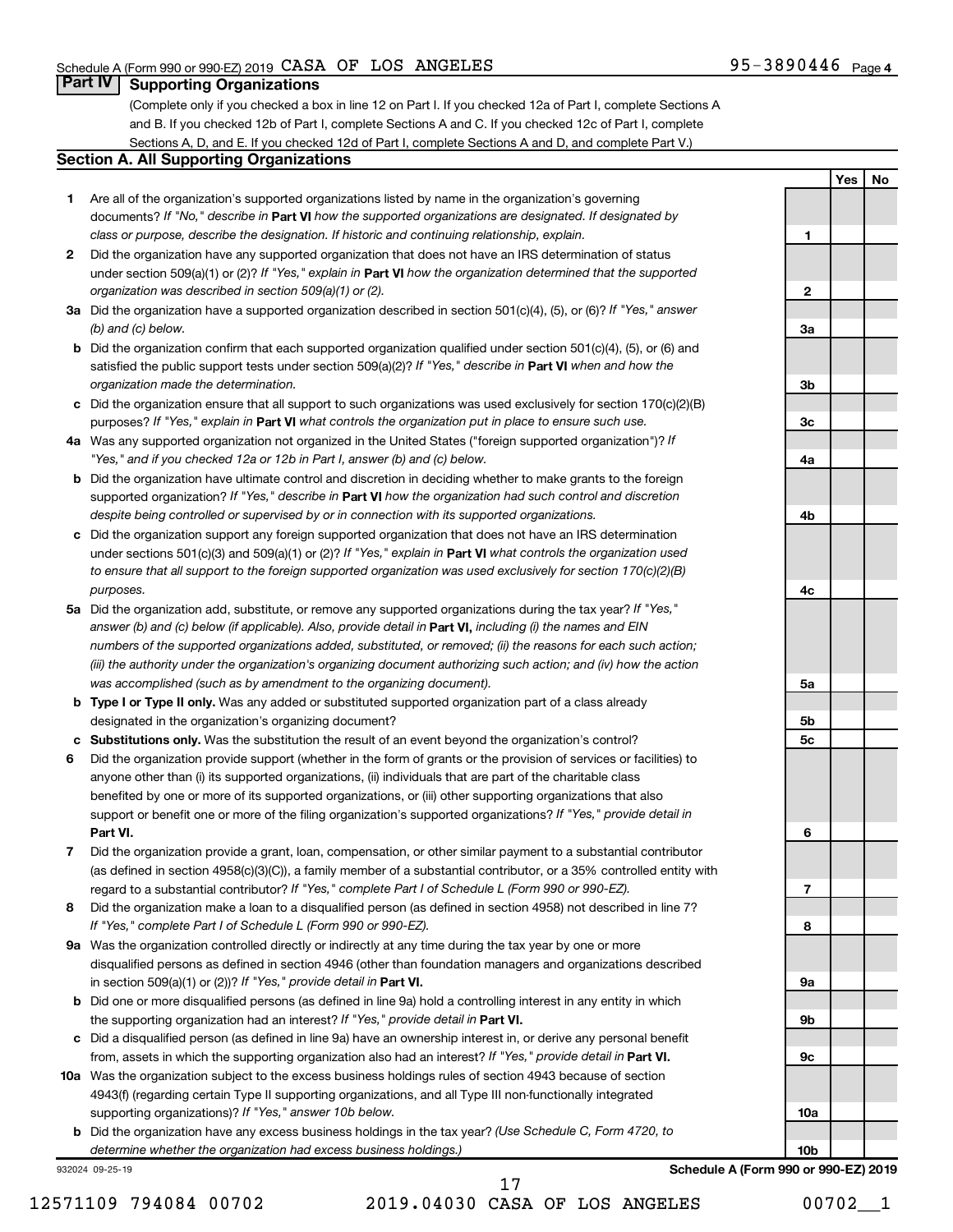**1**

**2**

**3a**

**3b**

**3c**

**4a**

**4b**

**4c**

**5a**

**5b 5c**

**6**

**7**

**8**

**9a**

**9b**

**9c**

**10a**

**Yes No**

# **Part IV Supporting Organizations**

(Complete only if you checked a box in line 12 on Part I. If you checked 12a of Part I, complete Sections A and B. If you checked 12b of Part I, complete Sections A and C. If you checked 12c of Part I, complete Sections A, D, and E. If you checked 12d of Part I, complete Sections A and D, and complete Part V.)

# **Section A. All Supporting Organizations**

- **1** Are all of the organization's supported organizations listed by name in the organization's governing documents? If "No," describe in Part VI how the supported organizations are designated. If designated by *class or purpose, describe the designation. If historic and continuing relationship, explain.*
- **2** Did the organization have any supported organization that does not have an IRS determination of status under section 509(a)(1) or (2)? If "Yes," explain in Part **VI** how the organization determined that the supported *organization was described in section 509(a)(1) or (2).*
- **3a** Did the organization have a supported organization described in section 501(c)(4), (5), or (6)? If "Yes," answer *(b) and (c) below.*
- **b** Did the organization confirm that each supported organization qualified under section 501(c)(4), (5), or (6) and satisfied the public support tests under section 509(a)(2)? If "Yes," describe in Part VI when and how the *organization made the determination.*
- **c** Did the organization ensure that all support to such organizations was used exclusively for section 170(c)(2)(B) purposes? If "Yes," explain in Part VI what controls the organization put in place to ensure such use.
- **4 a** *If* Was any supported organization not organized in the United States ("foreign supported organization")? *"Yes," and if you checked 12a or 12b in Part I, answer (b) and (c) below.*
- **b** Did the organization have ultimate control and discretion in deciding whether to make grants to the foreign supported organization? If "Yes," describe in Part VI how the organization had such control and discretion *despite being controlled or supervised by or in connection with its supported organizations.*
- **c** Did the organization support any foreign supported organization that does not have an IRS determination under sections 501(c)(3) and 509(a)(1) or (2)? If "Yes," explain in Part VI what controls the organization used *to ensure that all support to the foreign supported organization was used exclusively for section 170(c)(2)(B) purposes.*
- **5a** Did the organization add, substitute, or remove any supported organizations during the tax year? If "Yes," answer (b) and (c) below (if applicable). Also, provide detail in **Part VI,** including (i) the names and EIN *numbers of the supported organizations added, substituted, or removed; (ii) the reasons for each such action; (iii) the authority under the organization's organizing document authorizing such action; and (iv) how the action was accomplished (such as by amendment to the organizing document).*
- **b Type I or Type II only.** Was any added or substituted supported organization part of a class already designated in the organization's organizing document?
- **c Substitutions only.**  Was the substitution the result of an event beyond the organization's control?
- **6** Did the organization provide support (whether in the form of grants or the provision of services or facilities) to **Part VI.** support or benefit one or more of the filing organization's supported organizations? If "Yes," provide detail in anyone other than (i) its supported organizations, (ii) individuals that are part of the charitable class benefited by one or more of its supported organizations, or (iii) other supporting organizations that also
- **7** Did the organization provide a grant, loan, compensation, or other similar payment to a substantial contributor regard to a substantial contributor? If "Yes," complete Part I of Schedule L (Form 990 or 990-EZ). (as defined in section 4958(c)(3)(C)), a family member of a substantial contributor, or a 35% controlled entity with
- **8** Did the organization make a loan to a disqualified person (as defined in section 4958) not described in line 7? *If "Yes," complete Part I of Schedule L (Form 990 or 990-EZ).*
- **9 a** Was the organization controlled directly or indirectly at any time during the tax year by one or more in section 509(a)(1) or (2))? If "Yes," provide detail in **Part VI.** disqualified persons as defined in section 4946 (other than foundation managers and organizations described
- **b** Did one or more disqualified persons (as defined in line 9a) hold a controlling interest in any entity in which the supporting organization had an interest? If "Yes," provide detail in Part VI.
- **c** Did a disqualified person (as defined in line 9a) have an ownership interest in, or derive any personal benefit from, assets in which the supporting organization also had an interest? If "Yes," provide detail in Part VI.
- **10 a** Was the organization subject to the excess business holdings rules of section 4943 because of section supporting organizations)? If "Yes," answer 10b below. 4943(f) (regarding certain Type II supporting organizations, and all Type III non-functionally integrated
	- **b** Did the organization have any excess business holdings in the tax year? (Use Schedule C, Form 4720, to *determine whether the organization had excess business holdings.)*

932024 09-25-19

12571109 794084 00702 2019.04030 CASA OF LOS ANGELES 00702\_\_1 17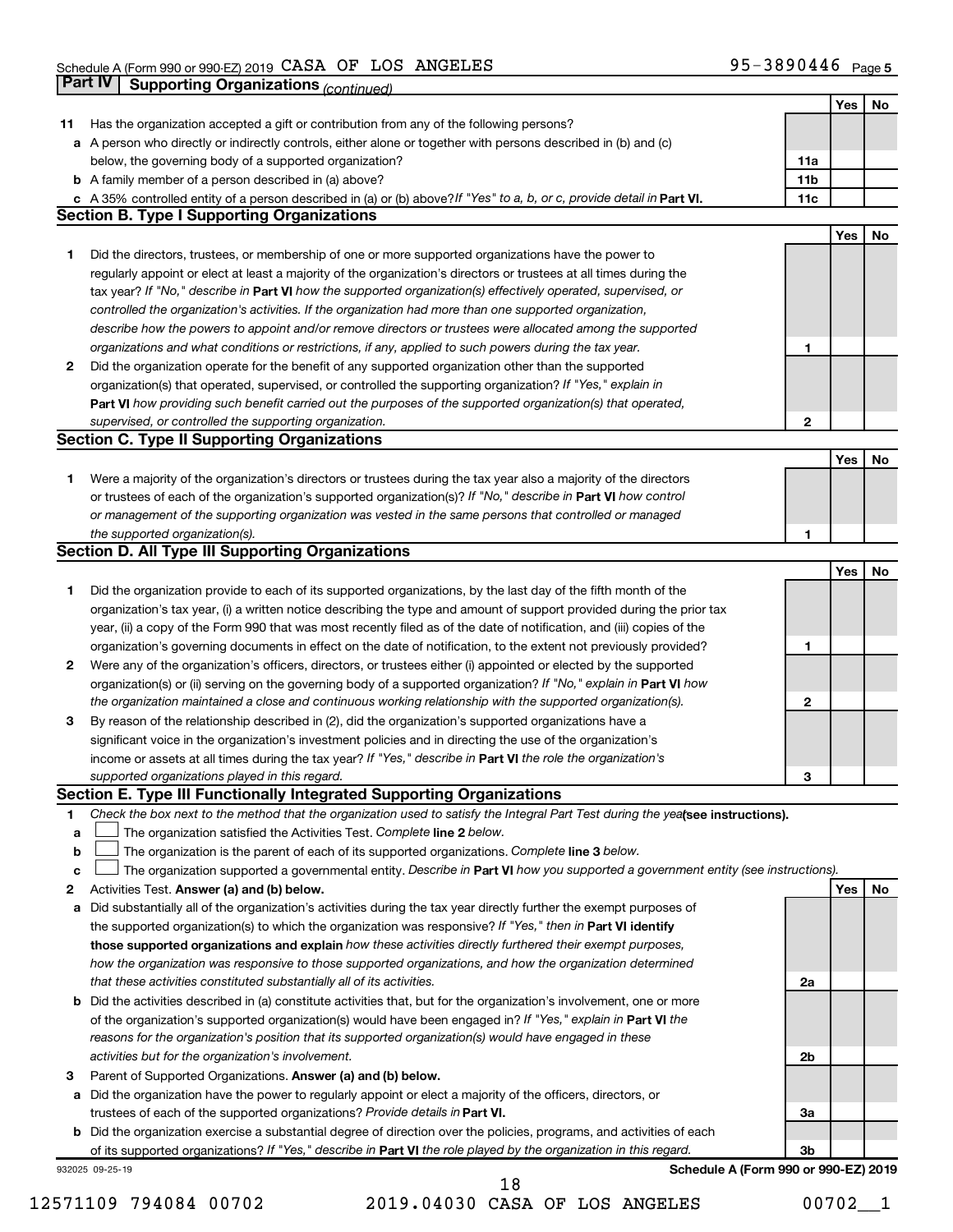|    | Part IV<br><b>Supporting Organizations (continued)</b>                                                                          |                 |     |    |
|----|---------------------------------------------------------------------------------------------------------------------------------|-----------------|-----|----|
|    |                                                                                                                                 |                 | Yes | No |
| 11 | Has the organization accepted a gift or contribution from any of the following persons?                                         |                 |     |    |
|    | a A person who directly or indirectly controls, either alone or together with persons described in (b) and (c)                  |                 |     |    |
|    | below, the governing body of a supported organization?                                                                          | 11a             |     |    |
|    | <b>b</b> A family member of a person described in (a) above?                                                                    | 11 <sub>b</sub> |     |    |
|    | c A 35% controlled entity of a person described in (a) or (b) above? If "Yes" to a, b, or c, provide detail in Part VI.         | 11c             |     |    |
|    | <b>Section B. Type I Supporting Organizations</b>                                                                               |                 |     |    |
|    |                                                                                                                                 |                 | Yes | No |
| 1  | Did the directors, trustees, or membership of one or more supported organizations have the power to                             |                 |     |    |
|    | regularly appoint or elect at least a majority of the organization's directors or trustees at all times during the              |                 |     |    |
|    | tax year? If "No," describe in Part VI how the supported organization(s) effectively operated, supervised, or                   |                 |     |    |
|    | controlled the organization's activities. If the organization had more than one supported organization,                         |                 |     |    |
|    | describe how the powers to appoint and/or remove directors or trustees were allocated among the supported                       |                 |     |    |
|    | organizations and what conditions or restrictions, if any, applied to such powers during the tax year.                          | 1               |     |    |
| 2  | Did the organization operate for the benefit of any supported organization other than the supported                             |                 |     |    |
|    | organization(s) that operated, supervised, or controlled the supporting organization? If "Yes," explain in                      |                 |     |    |
|    | Part VI how providing such benefit carried out the purposes of the supported organization(s) that operated,                     |                 |     |    |
|    | supervised, or controlled the supporting organization.                                                                          | $\mathbf{2}$    |     |    |
|    | <b>Section C. Type II Supporting Organizations</b>                                                                              |                 |     |    |
|    |                                                                                                                                 |                 | Yes | No |
| 1. | Were a majority of the organization's directors or trustees during the tax year also a majority of the directors                |                 |     |    |
|    | or trustees of each of the organization's supported organization(s)? If "No," describe in Part VI how control                   |                 |     |    |
|    | or management of the supporting organization was vested in the same persons that controlled or managed                          |                 |     |    |
|    | the supported organization(s).                                                                                                  | 1               |     |    |
|    | <b>Section D. All Type III Supporting Organizations</b>                                                                         |                 |     |    |
|    |                                                                                                                                 |                 | Yes | No |
| 1  | Did the organization provide to each of its supported organizations, by the last day of the fifth month of the                  |                 |     |    |
|    | organization's tax year, (i) a written notice describing the type and amount of support provided during the prior tax           |                 |     |    |
|    | year, (ii) a copy of the Form 990 that was most recently filed as of the date of notification, and (iii) copies of the          |                 |     |    |
|    | organization's governing documents in effect on the date of notification, to the extent not previously provided?                | 1               |     |    |
| 2  | Were any of the organization's officers, directors, or trustees either (i) appointed or elected by the supported                |                 |     |    |
|    | organization(s) or (ii) serving on the governing body of a supported organization? If "No," explain in Part VI how              |                 |     |    |
|    | the organization maintained a close and continuous working relationship with the supported organization(s).                     | $\mathbf{2}$    |     |    |
| 3  | By reason of the relationship described in (2), did the organization's supported organizations have a                           |                 |     |    |
|    | significant voice in the organization's investment policies and in directing the use of the organization's                      |                 |     |    |
|    | income or assets at all times during the tax year? If "Yes," describe in Part VI the role the organization's                    |                 |     |    |
|    | supported organizations played in this regard.                                                                                  |                 |     |    |
|    | Section E. Type III Functionally Integrated Supporting Organizations                                                            | з               |     |    |
| 1  | Check the box next to the method that the organization used to satisfy the Integral Part Test during the yealsee instructions). |                 |     |    |
| a  | The organization satisfied the Activities Test. Complete line 2 below.                                                          |                 |     |    |
| b  | The organization is the parent of each of its supported organizations. Complete line 3 below.                                   |                 |     |    |
| с  | The organization supported a governmental entity. Describe in Part VI how you supported a government entity (see instructions). |                 |     |    |
| 2  | Activities Test. Answer (a) and (b) below.                                                                                      |                 | Yes | No |
| а  | Did substantially all of the organization's activities during the tax year directly further the exempt purposes of              |                 |     |    |
|    | the supported organization(s) to which the organization was responsive? If "Yes," then in Part VI identify                      |                 |     |    |
|    | those supported organizations and explain how these activities directly furthered their exempt purposes,                        |                 |     |    |
|    | how the organization was responsive to those supported organizations, and how the organization determined                       |                 |     |    |
|    | that these activities constituted substantially all of its activities.                                                          | 2a              |     |    |
|    |                                                                                                                                 |                 |     |    |
|    | b Did the activities described in (a) constitute activities that, but for the organization's involvement, one or more           |                 |     |    |
|    | of the organization's supported organization(s) would have been engaged in? If "Yes," explain in Part VI the                    |                 |     |    |
|    | reasons for the organization's position that its supported organization(s) would have engaged in these                          |                 |     |    |
|    | activities but for the organization's involvement.                                                                              | 2b              |     |    |
| з  | Parent of Supported Organizations. Answer (a) and (b) below.                                                                    |                 |     |    |
| а  | Did the organization have the power to regularly appoint or elect a majority of the officers, directors, or                     |                 |     |    |
|    | trustees of each of the supported organizations? Provide details in Part VI.                                                    | За              |     |    |
|    | <b>b</b> Did the organization exercise a substantial degree of direction over the policies, programs, and activities of each    |                 |     |    |
|    | of its supported organizations? If "Yes," describe in Part VI the role played by the organization in this regard.               | 3b              |     |    |
|    | Schedule A (Form 990 or 990-EZ) 2019<br>932025 09-25-19                                                                         |                 |     |    |

12571109 794084 00702 2019.04030 CASA OF LOS ANGELES 00702\_\_1 18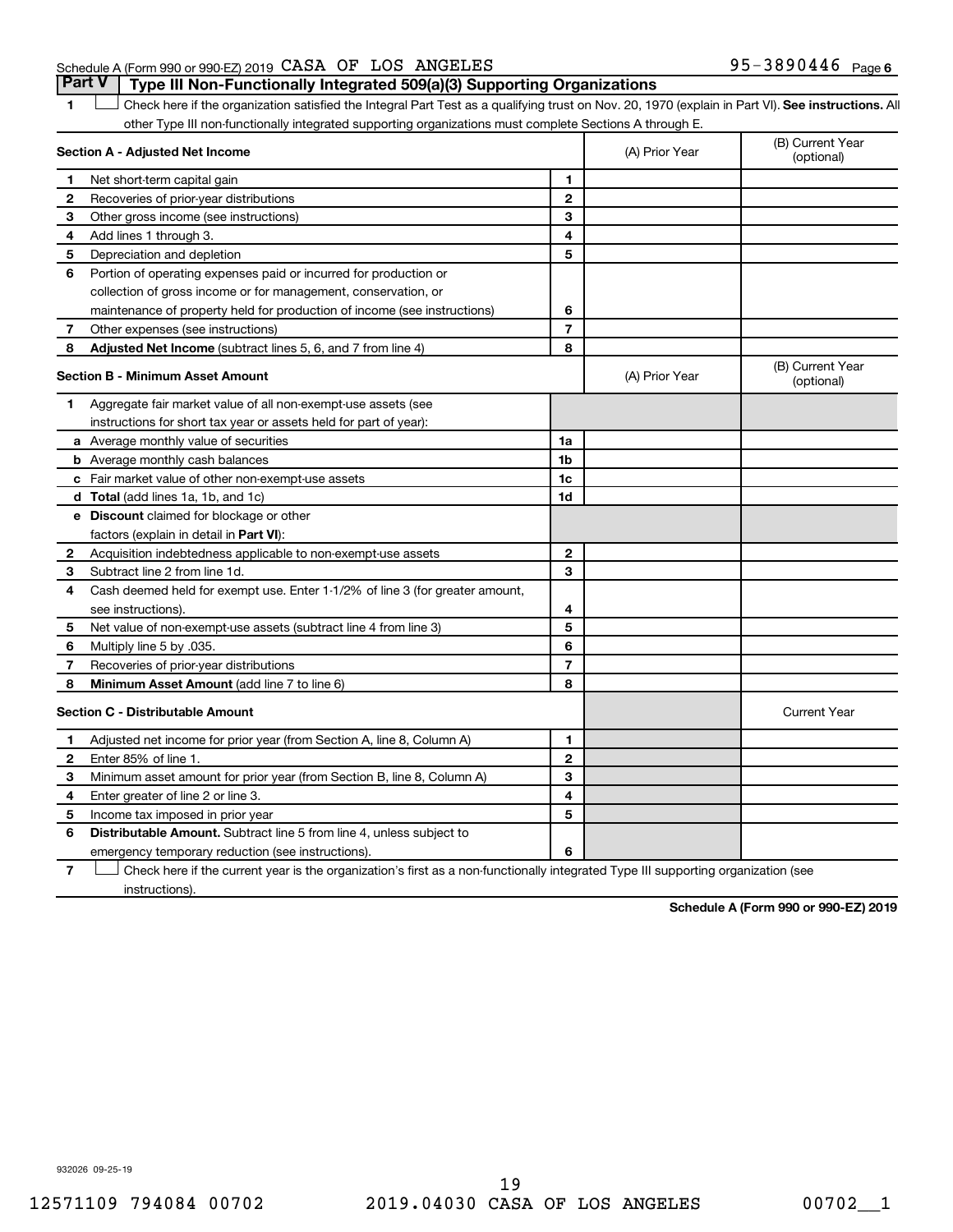# Schedule A (Form 990 or 990-EZ) 2019  $\verb|CASA OF LOS ANGELES$  95-3890446 Page **Part V Type III Non-Functionally Integrated 509(a)(3) Supporting Organizations**

1 **Letter See instructions.** All Check here if the organization satisfied the Integral Part Test as a qualifying trust on Nov. 20, 1970 (explain in Part VI). See instructions. All other Type III non-functionally integrated supporting organizations must complete Sections A through E.

|              | Section A - Adjusted Net Income                                              |                | (A) Prior Year | (B) Current Year<br>(optional) |
|--------------|------------------------------------------------------------------------------|----------------|----------------|--------------------------------|
| 1            | Net short-term capital gain                                                  | $\mathbf{1}$   |                |                                |
| 2            | Recoveries of prior-year distributions                                       | $\overline{2}$ |                |                                |
| З            | Other gross income (see instructions)                                        | 3              |                |                                |
| 4            | Add lines 1 through 3.                                                       | 4              |                |                                |
| 5            | Depreciation and depletion                                                   | 5              |                |                                |
| 6            | Portion of operating expenses paid or incurred for production or             |                |                |                                |
|              | collection of gross income or for management, conservation, or               |                |                |                                |
|              | maintenance of property held for production of income (see instructions)     | 6              |                |                                |
| 7            | Other expenses (see instructions)                                            | $\overline{7}$ |                |                                |
| 8            | Adjusted Net Income (subtract lines 5, 6, and 7 from line 4)                 | 8              |                |                                |
|              | <b>Section B - Minimum Asset Amount</b>                                      |                | (A) Prior Year | (B) Current Year<br>(optional) |
| 1.           | Aggregate fair market value of all non-exempt-use assets (see                |                |                |                                |
|              | instructions for short tax year or assets held for part of year):            |                |                |                                |
|              | <b>a</b> Average monthly value of securities                                 | 1a             |                |                                |
|              | <b>b</b> Average monthly cash balances                                       | 1 <sub>b</sub> |                |                                |
|              | c Fair market value of other non-exempt-use assets                           | 1c             |                |                                |
|              | d Total (add lines 1a, 1b, and 1c)                                           | 1d             |                |                                |
|              | <b>e</b> Discount claimed for blockage or other                              |                |                |                                |
|              | factors (explain in detail in <b>Part VI</b> ):                              |                |                |                                |
| $\mathbf{2}$ | Acquisition indebtedness applicable to non-exempt-use assets                 | $\mathbf{2}$   |                |                                |
| З            | Subtract line 2 from line 1d.                                                | 3              |                |                                |
| 4            | Cash deemed held for exempt use. Enter 1-1/2% of line 3 (for greater amount, |                |                |                                |
|              | see instructions)                                                            | 4              |                |                                |
| 5            | Net value of non-exempt-use assets (subtract line 4 from line 3)             | 5              |                |                                |
| 6            | Multiply line 5 by .035.                                                     | 6              |                |                                |
| 7            | Recoveries of prior-year distributions                                       | $\overline{7}$ |                |                                |
| 8            | Minimum Asset Amount (add line 7 to line 6)                                  | 8              |                |                                |
|              | <b>Section C - Distributable Amount</b>                                      |                |                | <b>Current Year</b>            |
| 1            | Adjusted net income for prior year (from Section A, line 8, Column A)        | 1              |                |                                |
| $\mathbf{2}$ | Enter 85% of line 1                                                          | $\mathbf{2}$   |                |                                |
| З            | Minimum asset amount for prior year (from Section B, line 8, Column A)       | 3              |                |                                |
| 4            | Enter greater of line 2 or line 3.                                           | 4              |                |                                |
| 5            | Income tax imposed in prior year                                             | 5              |                |                                |
| 6            | <b>Distributable Amount.</b> Subtract line 5 from line 4, unless subject to  |                |                |                                |
|              | emergency temporary reduction (see instructions).                            | 6              |                |                                |
|              |                                                                              |                |                |                                |

**7** Check here if the current year is the organization's first as a non-functionally integrated Type III supporting organization (see † instructions).

**Schedule A (Form 990 or 990-EZ) 2019**

932026 09-25-19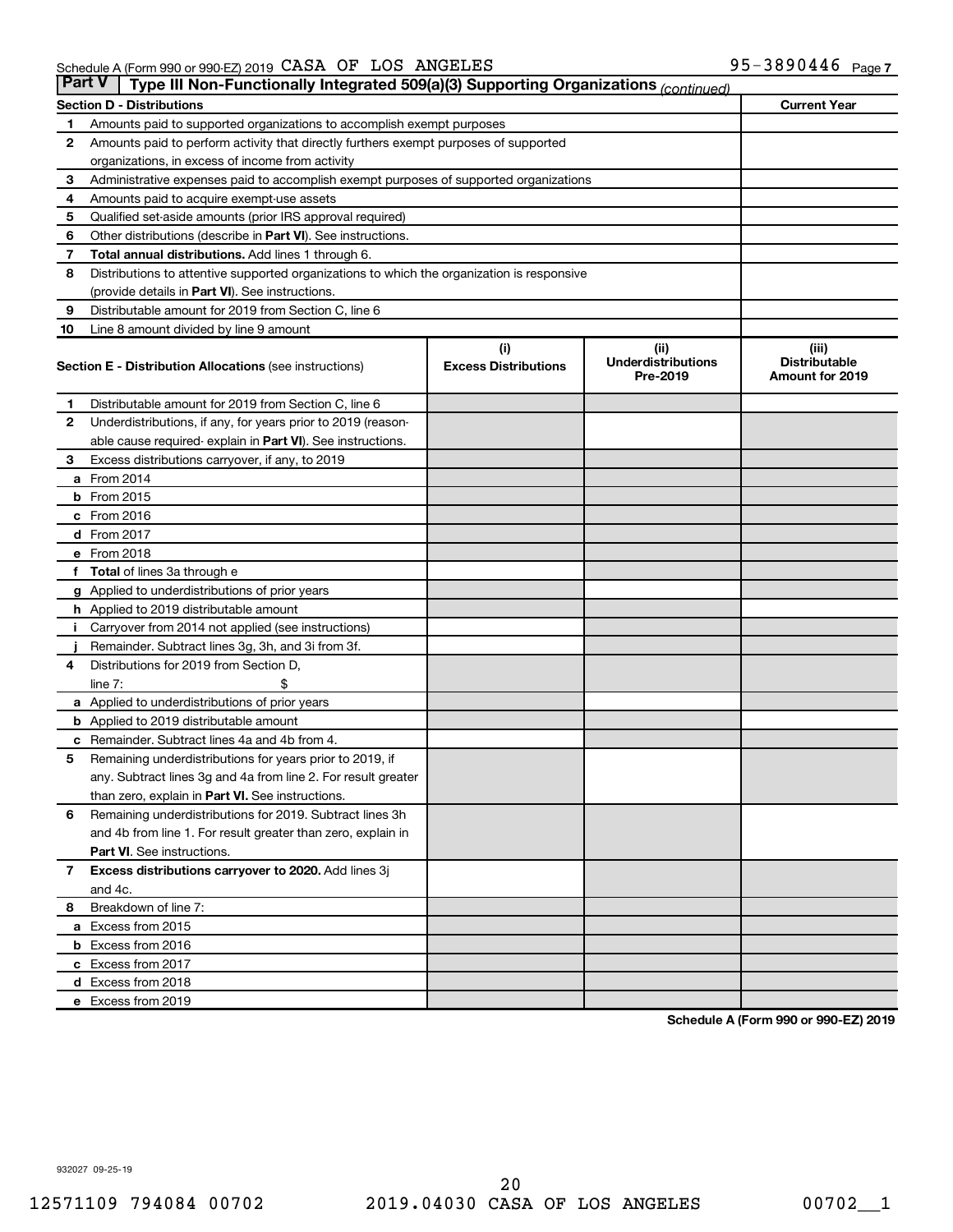| <b>Part V</b> | Type III Non-Functionally Integrated 509(a)(3) Supporting Organizations (continued)        |                             |                                       |                                                |
|---------------|--------------------------------------------------------------------------------------------|-----------------------------|---------------------------------------|------------------------------------------------|
|               | <b>Section D - Distributions</b>                                                           |                             |                                       | <b>Current Year</b>                            |
| 1             | Amounts paid to supported organizations to accomplish exempt purposes                      |                             |                                       |                                                |
| $\mathbf{2}$  | Amounts paid to perform activity that directly furthers exempt purposes of supported       |                             |                                       |                                                |
|               | organizations, in excess of income from activity                                           |                             |                                       |                                                |
| 3             | Administrative expenses paid to accomplish exempt purposes of supported organizations      |                             |                                       |                                                |
| 4             | Amounts paid to acquire exempt-use assets                                                  |                             |                                       |                                                |
| 5             | Qualified set-aside amounts (prior IRS approval required)                                  |                             |                                       |                                                |
| 6             | Other distributions (describe in Part VI). See instructions.                               |                             |                                       |                                                |
| 7             | Total annual distributions. Add lines 1 through 6.                                         |                             |                                       |                                                |
| 8             | Distributions to attentive supported organizations to which the organization is responsive |                             |                                       |                                                |
|               | (provide details in Part VI). See instructions.                                            |                             |                                       |                                                |
| 9             | Distributable amount for 2019 from Section C, line 6                                       |                             |                                       |                                                |
| 10            | Line 8 amount divided by line 9 amount                                                     |                             |                                       |                                                |
|               |                                                                                            | (i)                         | (ii)                                  | (iii)                                          |
|               | <b>Section E - Distribution Allocations (see instructions)</b>                             | <b>Excess Distributions</b> | <b>Underdistributions</b><br>Pre-2019 | <b>Distributable</b><br><b>Amount for 2019</b> |
| 1             | Distributable amount for 2019 from Section C, line 6                                       |                             |                                       |                                                |
| $\mathbf{2}$  | Underdistributions, if any, for years prior to 2019 (reason-                               |                             |                                       |                                                |
|               | able cause required- explain in Part VI). See instructions.                                |                             |                                       |                                                |
| 3             | Excess distributions carryover, if any, to 2019                                            |                             |                                       |                                                |
|               | a From 2014                                                                                |                             |                                       |                                                |
|               | <b>b</b> From 2015                                                                         |                             |                                       |                                                |
|               | c From 2016                                                                                |                             |                                       |                                                |
|               | <b>d</b> From 2017                                                                         |                             |                                       |                                                |
|               | e From 2018                                                                                |                             |                                       |                                                |
|               | f Total of lines 3a through e                                                              |                             |                                       |                                                |
|               | <b>g</b> Applied to underdistributions of prior years                                      |                             |                                       |                                                |
|               | h Applied to 2019 distributable amount                                                     |                             |                                       |                                                |
| Ť.            | Carryover from 2014 not applied (see instructions)                                         |                             |                                       |                                                |
|               | Remainder. Subtract lines 3g, 3h, and 3i from 3f.                                          |                             |                                       |                                                |
| 4             | Distributions for 2019 from Section D,                                                     |                             |                                       |                                                |
|               | line $7:$                                                                                  |                             |                                       |                                                |
|               | a Applied to underdistributions of prior years                                             |                             |                                       |                                                |
|               | <b>b</b> Applied to 2019 distributable amount                                              |                             |                                       |                                                |
| с             | Remainder. Subtract lines 4a and 4b from 4.                                                |                             |                                       |                                                |
| 5             | Remaining underdistributions for years prior to 2019, if                                   |                             |                                       |                                                |
|               | any. Subtract lines 3g and 4a from line 2. For result greater                              |                             |                                       |                                                |
|               | than zero, explain in Part VI. See instructions.                                           |                             |                                       |                                                |
| 6             | Remaining underdistributions for 2019. Subtract lines 3h                                   |                             |                                       |                                                |
|               | and 4b from line 1. For result greater than zero, explain in                               |                             |                                       |                                                |
|               | <b>Part VI.</b> See instructions.                                                          |                             |                                       |                                                |
| $\mathbf{7}$  | Excess distributions carryover to 2020. Add lines 3j                                       |                             |                                       |                                                |
|               | and 4c.                                                                                    |                             |                                       |                                                |
| 8             | Breakdown of line 7:                                                                       |                             |                                       |                                                |
|               | a Excess from 2015                                                                         |                             |                                       |                                                |
|               | <b>b</b> Excess from 2016                                                                  |                             |                                       |                                                |
|               | c Excess from 2017                                                                         |                             |                                       |                                                |
|               | d Excess from 2018                                                                         |                             |                                       |                                                |
|               | e Excess from 2019                                                                         |                             |                                       |                                                |

**Schedule A (Form 990 or 990-EZ) 2019**

932027 09-25-19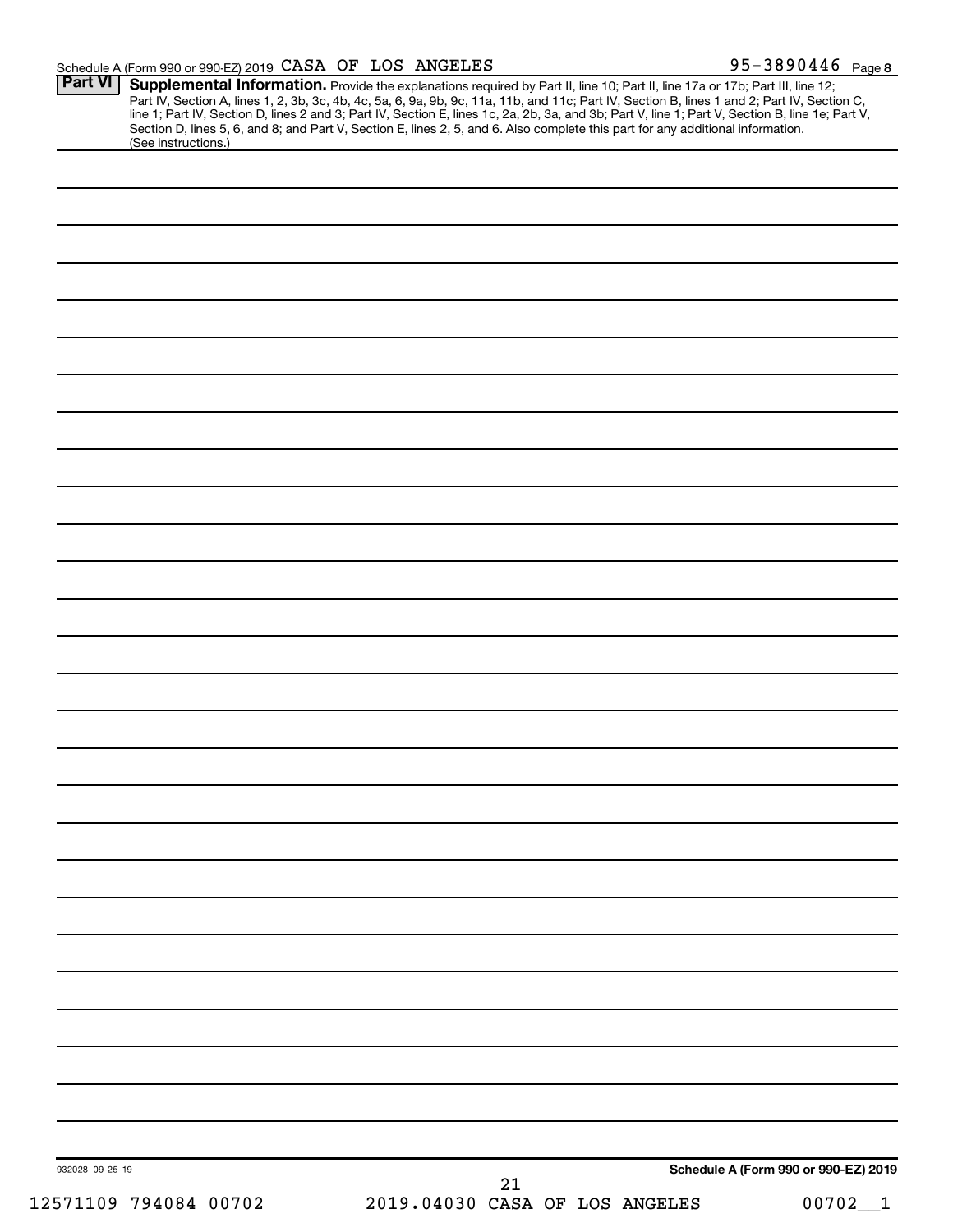|                 | (See instructions.) |  |  | Section D, lines 5, 6, and 8; and Part V, Section E, lines 2, 5, and 6. Also complete this part for any additional information. |  |
|-----------------|---------------------|--|--|---------------------------------------------------------------------------------------------------------------------------------|--|
|                 |                     |  |  |                                                                                                                                 |  |
|                 |                     |  |  |                                                                                                                                 |  |
|                 |                     |  |  |                                                                                                                                 |  |
|                 |                     |  |  |                                                                                                                                 |  |
|                 |                     |  |  |                                                                                                                                 |  |
|                 |                     |  |  |                                                                                                                                 |  |
|                 |                     |  |  |                                                                                                                                 |  |
|                 |                     |  |  |                                                                                                                                 |  |
|                 |                     |  |  |                                                                                                                                 |  |
|                 |                     |  |  |                                                                                                                                 |  |
|                 |                     |  |  |                                                                                                                                 |  |
|                 |                     |  |  |                                                                                                                                 |  |
|                 |                     |  |  |                                                                                                                                 |  |
|                 |                     |  |  |                                                                                                                                 |  |
|                 |                     |  |  |                                                                                                                                 |  |
|                 |                     |  |  |                                                                                                                                 |  |
|                 |                     |  |  |                                                                                                                                 |  |
|                 |                     |  |  |                                                                                                                                 |  |
|                 |                     |  |  |                                                                                                                                 |  |
|                 |                     |  |  |                                                                                                                                 |  |
|                 |                     |  |  |                                                                                                                                 |  |
|                 |                     |  |  |                                                                                                                                 |  |
|                 |                     |  |  |                                                                                                                                 |  |
|                 |                     |  |  |                                                                                                                                 |  |
|                 |                     |  |  |                                                                                                                                 |  |
|                 |                     |  |  |                                                                                                                                 |  |
|                 |                     |  |  |                                                                                                                                 |  |
|                 |                     |  |  |                                                                                                                                 |  |
|                 |                     |  |  |                                                                                                                                 |  |
|                 |                     |  |  |                                                                                                                                 |  |
|                 |                     |  |  |                                                                                                                                 |  |
|                 |                     |  |  |                                                                                                                                 |  |
|                 |                     |  |  |                                                                                                                                 |  |
|                 |                     |  |  |                                                                                                                                 |  |
|                 |                     |  |  |                                                                                                                                 |  |
|                 |                     |  |  |                                                                                                                                 |  |
|                 |                     |  |  |                                                                                                                                 |  |
|                 |                     |  |  |                                                                                                                                 |  |
| 932028 09-25-19 |                     |  |  | Schedule A (Form 990 or 990-EZ) 2019                                                                                            |  |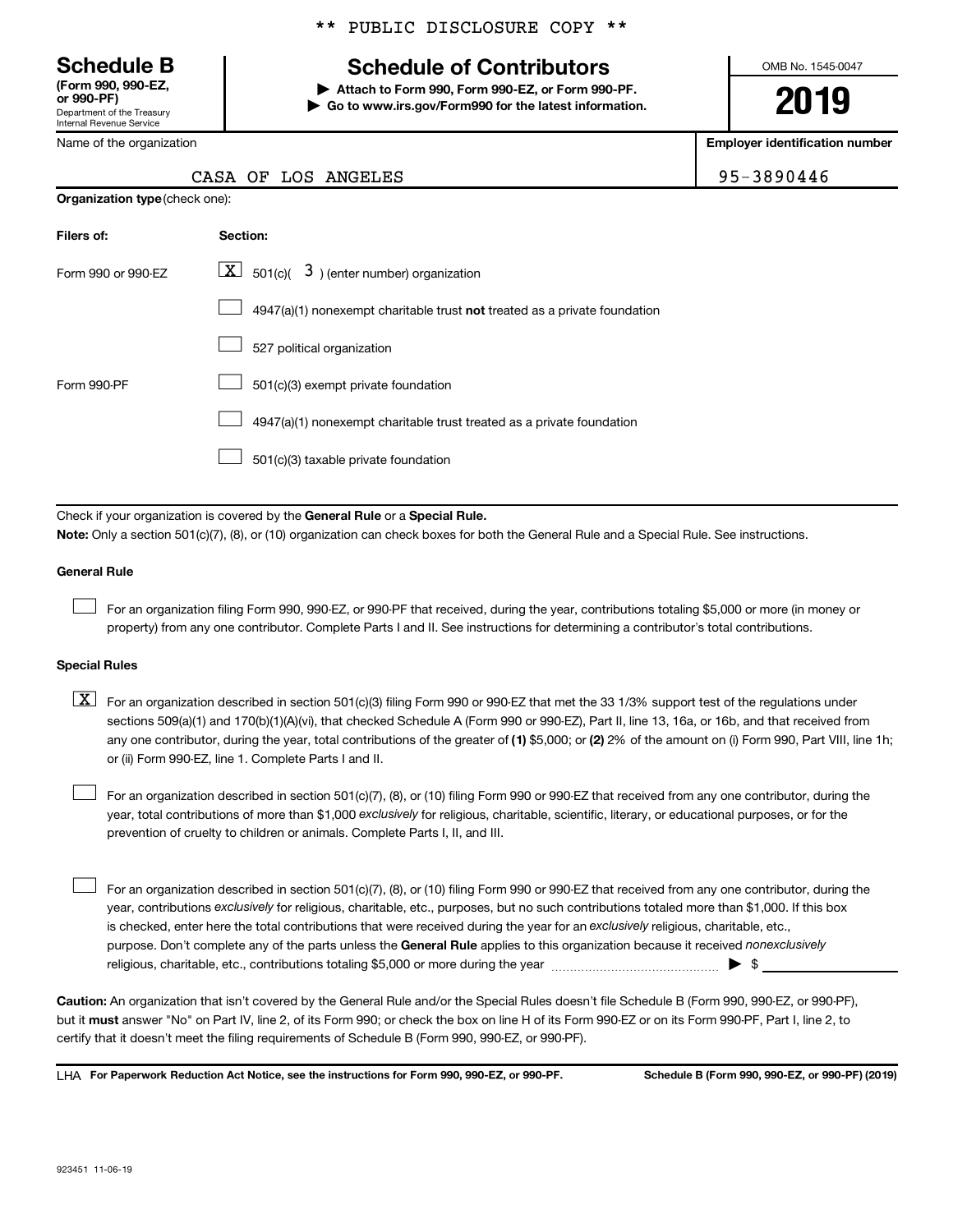Department of the Treasury Internal Revenue Service **(Form 990, 990-EZ,**

Name of the organization

**Organization type** (check one):

# \*\* PUBLIC DISCLOSURE COPY \*\*

# **Schedule B Schedule of Contributors**

**or 990-PF) | Attach to Form 990, Form 990-EZ, or Form 990-PF. | Go to www.irs.gov/Form990 for the latest information.** OMB No. 1545-0047

**2019**

**Employer identification number**

| $5 - 3890446$ |  |  |  |  |
|---------------|--|--|--|--|
|---------------|--|--|--|--|

|  |  | CASA OF LOS ANGELES | 95-3890446 |
|--|--|---------------------|------------|
|--|--|---------------------|------------|

| Filers of:         | Section:                                                                  |
|--------------------|---------------------------------------------------------------------------|
| Form 990 or 990-FZ | $ \mathbf{X} $ 501(c)( 3) (enter number) organization                     |
|                    | 4947(a)(1) nonexempt charitable trust not treated as a private foundation |
|                    | 527 political organization                                                |
| Form 990-PF        | 501(c)(3) exempt private foundation                                       |
|                    | 4947(a)(1) nonexempt charitable trust treated as a private foundation     |
|                    | 501(c)(3) taxable private foundation                                      |

Check if your organization is covered by the General Rule or a Special Rule.

**Note:**  Only a section 501(c)(7), (8), or (10) organization can check boxes for both the General Rule and a Special Rule. See instructions.

### **General Rule**

 $\Box$ 

For an organization filing Form 990, 990-EZ, or 990-PF that received, during the year, contributions totaling \$5,000 or more (in money or property) from any one contributor. Complete Parts I and II. See instructions for determining a contributor's total contributions.

# **Special Rules**

any one contributor, during the year, total contributions of the greater of (1) \$5,000; or (2) 2% of the amount on (i) Form 990, Part VIII, line 1h;  $\boxed{\text{X}}$  For an organization described in section 501(c)(3) filing Form 990 or 990-EZ that met the 33 1/3% support test of the regulations under sections 509(a)(1) and 170(b)(1)(A)(vi), that checked Schedule A (Form 990 or 990-EZ), Part II, line 13, 16a, or 16b, and that received from or (ii) Form 990-EZ, line 1. Complete Parts I and II.

year, total contributions of more than \$1,000 *exclusively* for religious, charitable, scientific, literary, or educational purposes, or for the For an organization described in section 501(c)(7), (8), or (10) filing Form 990 or 990-EZ that received from any one contributor, during the prevention of cruelty to children or animals. Complete Parts I, II, and III.  $\Box$ 

purpose. Don't complete any of the parts unless the General Rule applies to this organization because it received nonexclusively year, contributions exclusively for religious, charitable, etc., purposes, but no such contributions totaled more than \$1,000. If this box is checked, enter here the total contributions that were received during the year for an exclusively religious, charitable, etc., For an organization described in section 501(c)(7), (8), or (10) filing Form 990 or 990-EZ that received from any one contributor, during the religious, charitable, etc., contributions totaling \$5,000 or more during the year  $\ldots$  $\ldots$  $\ldots$  $\ldots$  $\ldots$  $\ldots$  $\Box$ 

**Caution:**  An organization that isn't covered by the General Rule and/or the Special Rules doesn't file Schedule B (Form 990, 990-EZ, or 990-PF),  **must** but it answer "No" on Part IV, line 2, of its Form 990; or check the box on line H of its Form 990-EZ or on its Form 990-PF, Part I, line 2, to certify that it doesn't meet the filing requirements of Schedule B (Form 990, 990-EZ, or 990-PF).

**For Paperwork Reduction Act Notice, see the instructions for Form 990, 990-EZ, or 990-PF. Schedule B (Form 990, 990-EZ, or 990-PF) (2019)** LHA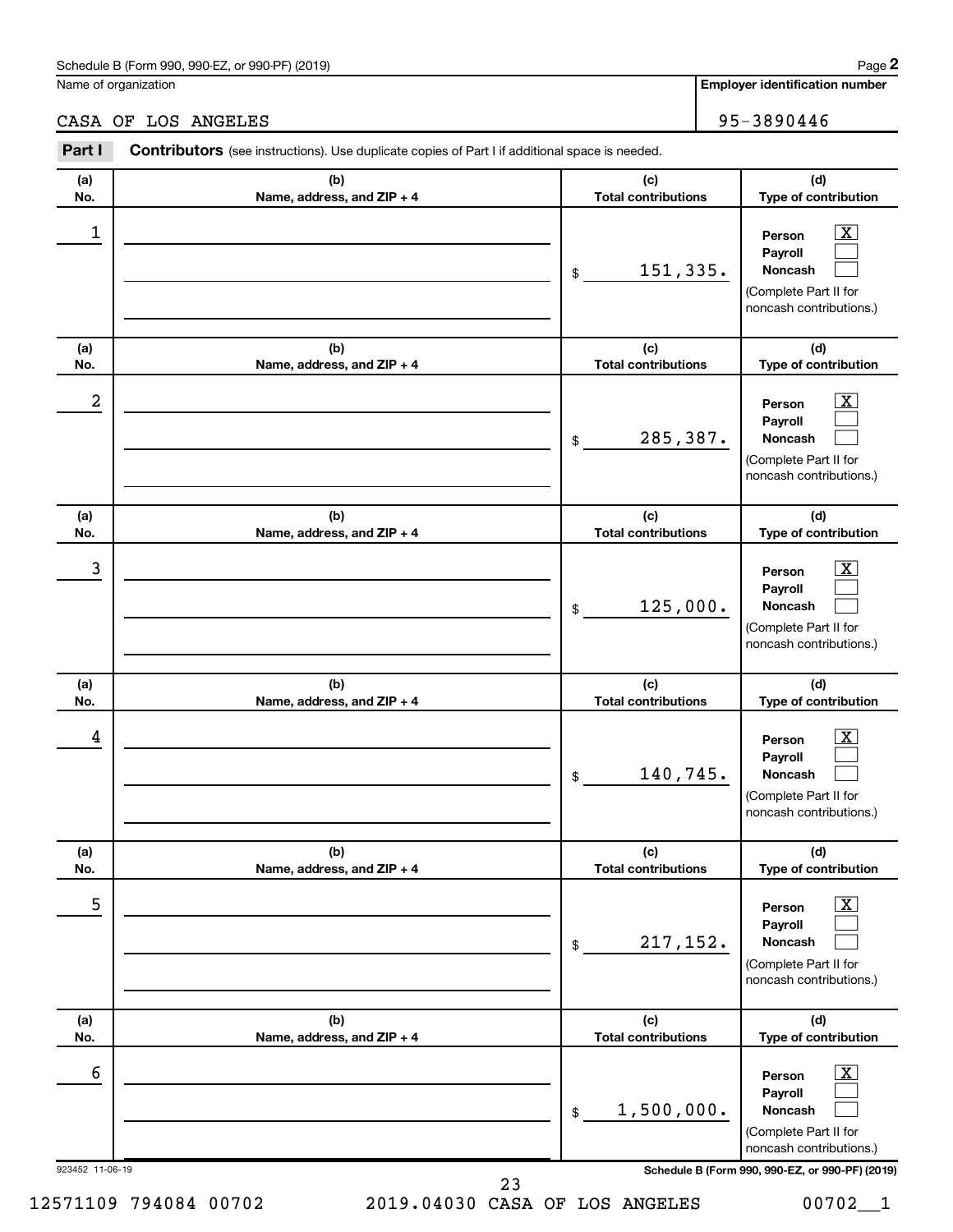### Schedule B (Form 990, 990-EZ, or 990-PF) (2019)

Name of organization

**Employer identification number**

### 923452 11-06-19 **Schedule B (Form 990, 990-EZ, or 990-PF) (2019) (a) No. (b) Name, address, and ZIP + 4 (c) Total contributions (d) Type of contribution Person Payroll Noncash (a) No. (b) Name, address, and ZIP + 4 (c) Total contributions (d) Type of contribution Person Payroll Noncash (a) No. (b) Name, address, and ZIP + 4 (c) Total contributions (d) Type of contribution Person Payroll Noncash (a) No. (b) Name, address, and ZIP + 4 (c) Total contributions (d) Type of contribution Person Payroll Noncash (a) No. (b) Name, address, and ZIP + 4 (c) Total contributions (d) Type of contribution Person Payroll Noncash (a) No. (b) Name, address, and ZIP + 4 (c) Total contributions (d) Type of contribution Person Payroll Noncash Part I** Contributors (see instructions). Use duplicate copies of Part I if additional space is needed. \$ (Complete Part II for noncash contributions.) \$ (Complete Part II for noncash contributions.) \$ (Complete Part II for noncash contributions.) \$ (Complete Part II for noncash contributions.) \$ (Complete Part II for noncash contributions.) \$ (Complete Part II for noncash contributions.)  $\lfloor x \rfloor$  $\Box$  $\Box$  $\boxed{\textbf{X}}$  $\Box$  $\Box$  $\boxed{\textbf{X}}$  $\Box$  $\Box$  $\boxed{\textbf{X}}$  $\Box$  $\Box$  $\boxed{\text{X}}$  $\Box$  $\Box$  $\boxed{\text{X}}$  $\Box$  $\Box$  $\begin{array}{|c|c|c|c|c|}\hline \ \text{1} & \text{Person} & \text{X} \ \hline \end{array}$ 151,335.  $2$  Person  $\overline{\text{X}}$ 285,387.  $\begin{array}{|c|c|c|c|c|c|}\hline \text{3} & \text{Person} & \text{X} \ \hline \end{array}$ 125,000.  $\begin{array}{|c|c|c|c|c|}\hline \text{4} & \text{Person} & \text{\textbf{X}}\ \hline \end{array}$ 140,745. 5 X 217,152.  $\overline{6}$  Person  $\overline{X}$ 1,500,000. 23

12571109 794084 00702 2019.04030 CASA OF LOS ANGELES 00702\_\_1

CASA OF LOS ANGELES 95-3890446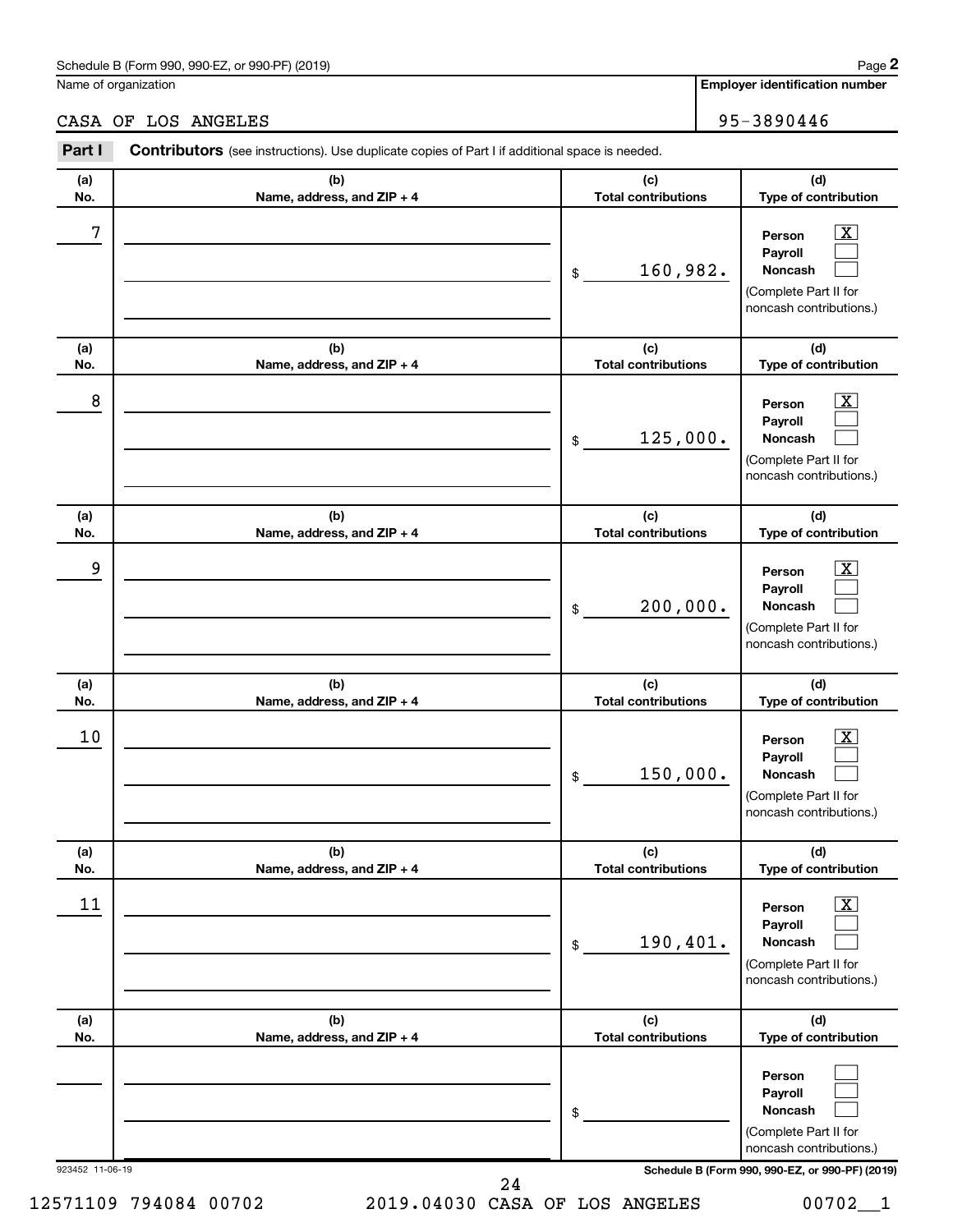# Schedule B (Form 990, 990-EZ, or 990-PF) (2019)

Name of organization

**Employer identification number**

CASA OF LOS ANGELES 95-3890446

| Part I          | Contributors (see instructions). Use duplicate copies of Part I if additional space is needed. |                                   |                                                                                                                 |
|-----------------|------------------------------------------------------------------------------------------------|-----------------------------------|-----------------------------------------------------------------------------------------------------------------|
| (a)<br>No.      | (b)<br>Name, address, and ZIP + 4                                                              | (c)<br><b>Total contributions</b> | (d)<br>Type of contribution                                                                                     |
| 7               |                                                                                                | 160,982.<br>\$                    | $\boxed{\textbf{X}}$<br>Person<br>Payroll<br>Noncash<br>(Complete Part II for<br>noncash contributions.)        |
| (a)<br>No.      | (b)<br>Name, address, and ZIP + 4                                                              | (c)<br><b>Total contributions</b> | (d)<br>Type of contribution                                                                                     |
| 8               |                                                                                                | 125,000.<br>\$                    | $\mathbf{X}$<br>Person<br>Payroll<br>Noncash<br>(Complete Part II for<br>noncash contributions.)                |
| (a)<br>No.      | (b)<br>Name, address, and ZIP + 4                                                              | (c)<br><b>Total contributions</b> | (d)<br>Type of contribution                                                                                     |
| 9               |                                                                                                | 200,000.<br>\$                    | $\mathbf{X}$<br>Person<br>Payroll<br>Noncash<br>(Complete Part II for<br>noncash contributions.)                |
| (a)<br>No.      | (b)<br>Name, address, and ZIP + 4                                                              | (c)<br><b>Total contributions</b> | (d)<br>Type of contribution                                                                                     |
| 10              |                                                                                                | 150,000.<br>\$                    | $\mathbf{X}$<br>Person<br>Payroll<br>Noncash<br>(Complete Part II for<br>noncash contributions.)                |
| (a)<br>No.      | (b)<br>Name, address, and ZIP + 4                                                              | (c)<br><b>Total contributions</b> | (d)<br>Type of contribution                                                                                     |
| 11              |                                                                                                | 190,401.<br>$\,$                  | $\boxed{\textbf{X}}$<br>Person<br>Payroll<br><b>Noncash</b><br>(Complete Part II for<br>noncash contributions.) |
| (a)<br>No.      | (b)<br>Name, address, and ZIP + 4                                                              | (c)<br><b>Total contributions</b> | (d)<br>Type of contribution                                                                                     |
|                 |                                                                                                | \$                                | Person<br>Payroll<br>Noncash<br>(Complete Part II for<br>noncash contributions.)                                |
| 923452 11-06-19 |                                                                                                | 24                                | Schedule B (Form 990, 990-EZ, or 990-PF) (2019)                                                                 |

12571109 794084 00702 2019.04030 CASA OF LOS ANGELES 00702\_\_1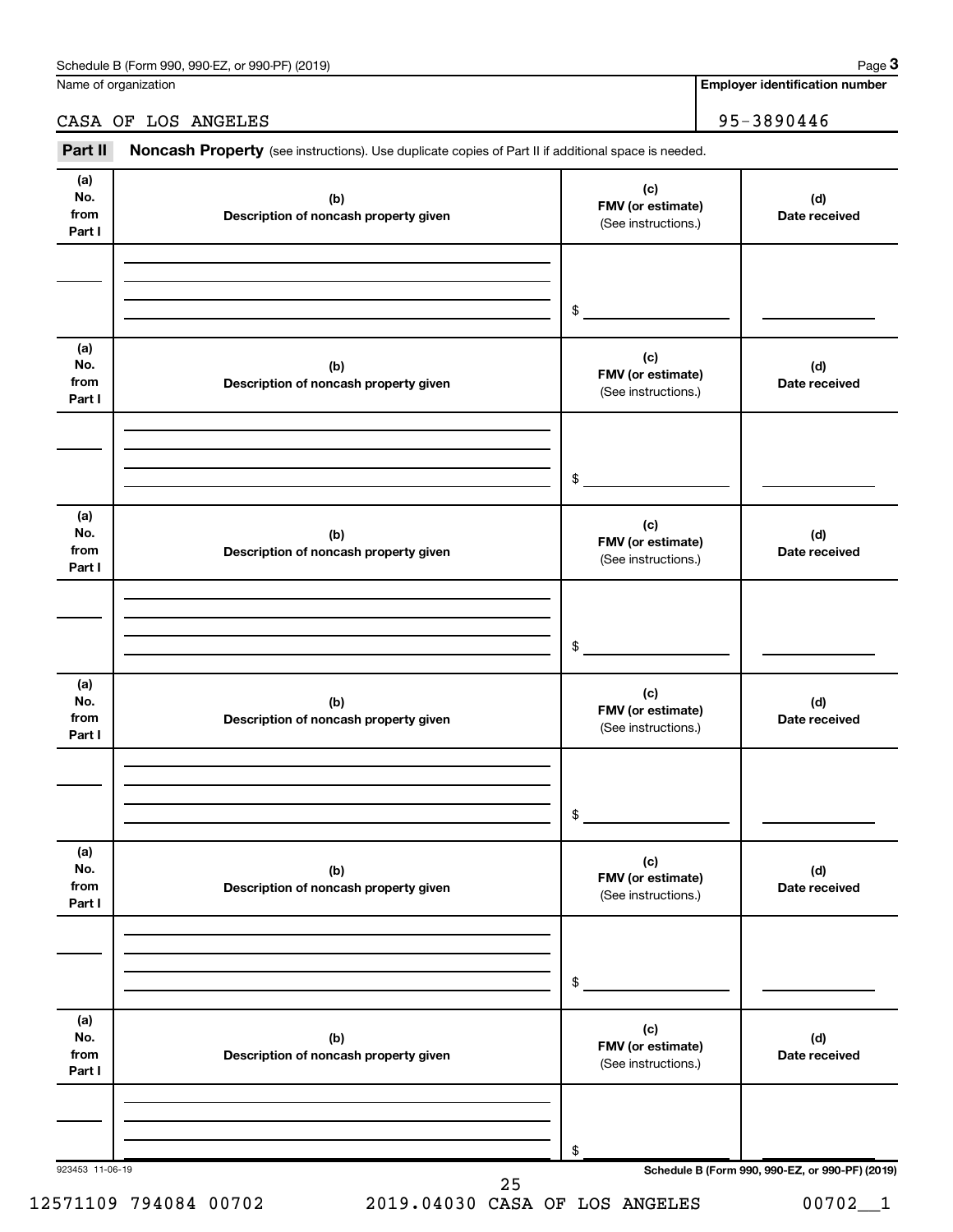Name of organization

# CASA OF LOS ANGELES 95-3890446

Part II Noncash Property (see instructions). Use duplicate copies of Part II if additional space is needed.

| No.<br>from<br>Part I        | (b)<br>Description of noncash property given | (c)<br>FMV (or estimate)<br>(See instructions.) | (d)<br>Date received                            |
|------------------------------|----------------------------------------------|-------------------------------------------------|-------------------------------------------------|
|                              |                                              | $\mathfrak{S}$                                  |                                                 |
| (a)<br>No.<br>from           | (b)<br>Description of noncash property given | (c)<br>FMV (or estimate)<br>(See instructions.) | (d)<br>Date received                            |
| Part I                       |                                              |                                                 |                                                 |
|                              |                                              | $\mathfrak{S}$                                  |                                                 |
| (a)<br>No.<br>from<br>Part I | (b)<br>Description of noncash property given | (c)<br>FMV (or estimate)<br>(See instructions.) | (d)<br>Date received                            |
|                              |                                              |                                                 |                                                 |
|                              |                                              | $\frac{1}{2}$                                   |                                                 |
| (a)<br>No.<br>from<br>Part I | (b)<br>Description of noncash property given | (c)<br>FMV (or estimate)<br>(See instructions.) | (d)<br>Date received                            |
|                              |                                              |                                                 |                                                 |
|                              |                                              | $\frac{1}{2}$                                   |                                                 |
| (a)<br>No.<br>from<br>Part I | (b)<br>Description of noncash property given | (c)<br>FMV (or estimate)<br>(See instructions.) | (d)<br>Date received                            |
|                              |                                              |                                                 |                                                 |
|                              |                                              | \$                                              |                                                 |
| (a)<br>No.<br>from<br>Part I | (b)<br>Description of noncash property given | (c)<br>FMV (or estimate)<br>(See instructions.) | (d)<br>Date received                            |
|                              |                                              |                                                 |                                                 |
|                              |                                              | \$                                              |                                                 |
| 923453 11-06-19              | 25                                           |                                                 | Schedule B (Form 990, 990-EZ, or 990-PF) (2019) |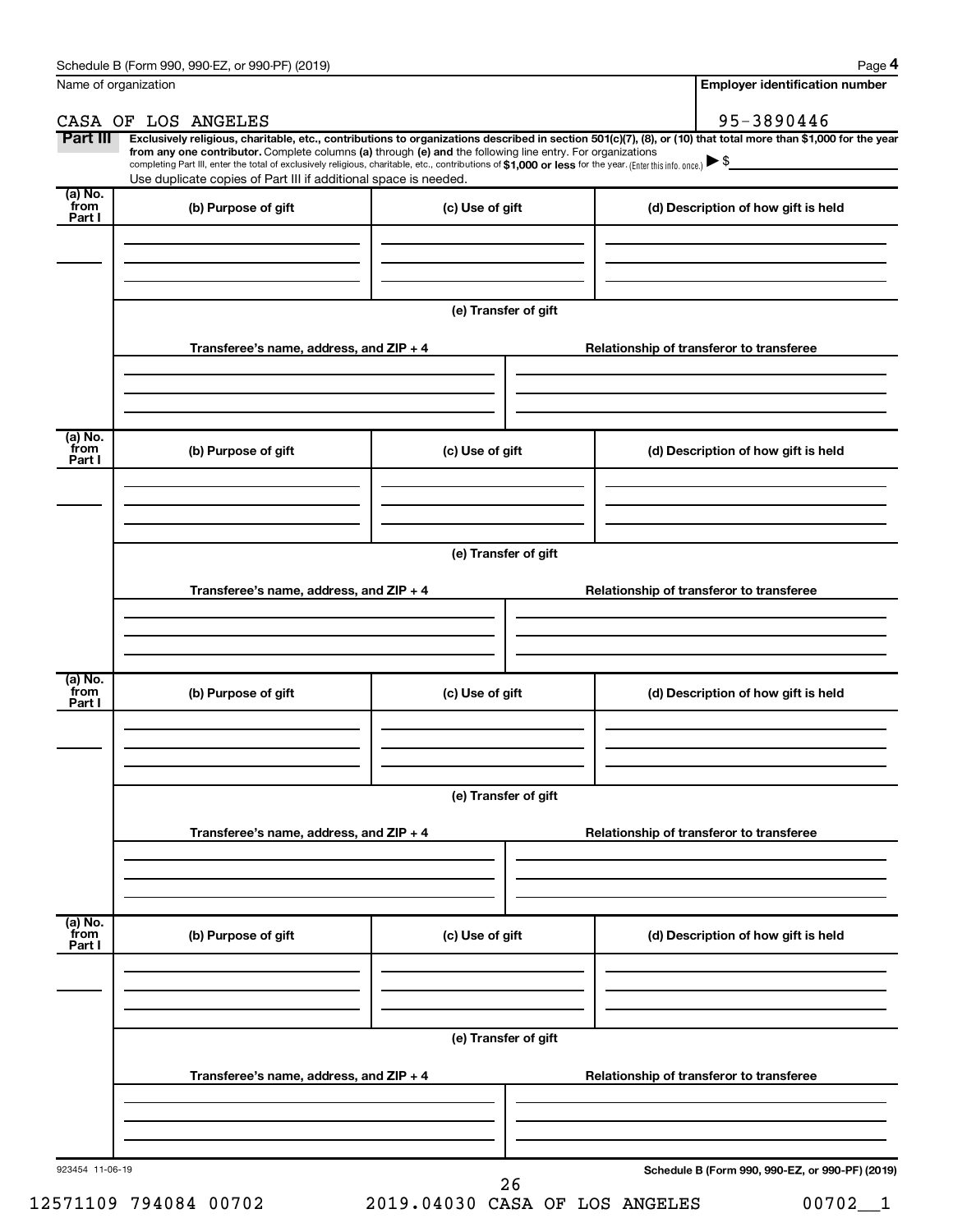**4**

| Name of organization      |                                                                                                                                                                                                                                                                                                                                                                                                                                                                                                                                 |                      | <b>Employer identification number</b>           |
|---------------------------|---------------------------------------------------------------------------------------------------------------------------------------------------------------------------------------------------------------------------------------------------------------------------------------------------------------------------------------------------------------------------------------------------------------------------------------------------------------------------------------------------------------------------------|----------------------|-------------------------------------------------|
|                           | CASA OF LOS ANGELES                                                                                                                                                                                                                                                                                                                                                                                                                                                                                                             |                      | 95-3890446                                      |
| Part III                  | Exclusively religious, charitable, etc., contributions to organizations described in section 501(c)(7), (8), or (10) that total more than \$1,000 for the year<br>from any one contributor. Complete columns (a) through (e) and the following line entry. For organizations<br>completing Part III, enter the total of exclusively religious, charitable, etc., contributions of \$1,000 or less for the year. (Enter this info. once.) $\triangleright$ \$<br>Use duplicate copies of Part III if additional space is needed. |                      | <u> 1990 - Jan James James II, primeiran</u>    |
| (a) No.<br>from<br>Part I | (b) Purpose of gift                                                                                                                                                                                                                                                                                                                                                                                                                                                                                                             | (c) Use of gift      | (d) Description of how gift is held             |
|                           |                                                                                                                                                                                                                                                                                                                                                                                                                                                                                                                                 |                      |                                                 |
|                           |                                                                                                                                                                                                                                                                                                                                                                                                                                                                                                                                 | (e) Transfer of gift |                                                 |
|                           | Transferee's name, address, and ZIP + 4                                                                                                                                                                                                                                                                                                                                                                                                                                                                                         |                      | Relationship of transferor to transferee        |
| (a) No.                   |                                                                                                                                                                                                                                                                                                                                                                                                                                                                                                                                 |                      |                                                 |
| from<br>Part I            | (b) Purpose of gift                                                                                                                                                                                                                                                                                                                                                                                                                                                                                                             | (c) Use of gift      | (d) Description of how gift is held             |
|                           |                                                                                                                                                                                                                                                                                                                                                                                                                                                                                                                                 |                      |                                                 |
|                           |                                                                                                                                                                                                                                                                                                                                                                                                                                                                                                                                 | (e) Transfer of gift |                                                 |
|                           | Transferee's name, address, and ZIP + 4                                                                                                                                                                                                                                                                                                                                                                                                                                                                                         |                      | Relationship of transferor to transferee        |
| (a) No.                   |                                                                                                                                                                                                                                                                                                                                                                                                                                                                                                                                 |                      |                                                 |
| from<br>Part I            | (b) Purpose of gift                                                                                                                                                                                                                                                                                                                                                                                                                                                                                                             | (c) Use of gift      | (d) Description of how gift is held             |
|                           |                                                                                                                                                                                                                                                                                                                                                                                                                                                                                                                                 |                      |                                                 |
|                           | Transferee's name, address, and ZIP + 4                                                                                                                                                                                                                                                                                                                                                                                                                                                                                         | (e) Transfer of gift | Relationship of transferor to transferee        |
|                           |                                                                                                                                                                                                                                                                                                                                                                                                                                                                                                                                 |                      |                                                 |
| (a) No.<br>from<br>Part I | (b) Purpose of gift                                                                                                                                                                                                                                                                                                                                                                                                                                                                                                             | (c) Use of gift      | (d) Description of how gift is held             |
|                           |                                                                                                                                                                                                                                                                                                                                                                                                                                                                                                                                 |                      |                                                 |
|                           |                                                                                                                                                                                                                                                                                                                                                                                                                                                                                                                                 | (e) Transfer of gift |                                                 |
|                           | Transferee's name, address, and $ZIP + 4$                                                                                                                                                                                                                                                                                                                                                                                                                                                                                       |                      | Relationship of transferor to transferee        |
|                           |                                                                                                                                                                                                                                                                                                                                                                                                                                                                                                                                 |                      |                                                 |
| 923454 11-06-19           |                                                                                                                                                                                                                                                                                                                                                                                                                                                                                                                                 | 26                   | Schedule B (Form 990, 990-EZ, or 990-PF) (2019) |

12571109 794084 00702 2019.04030 CASA OF LOS ANGELES 00702\_\_1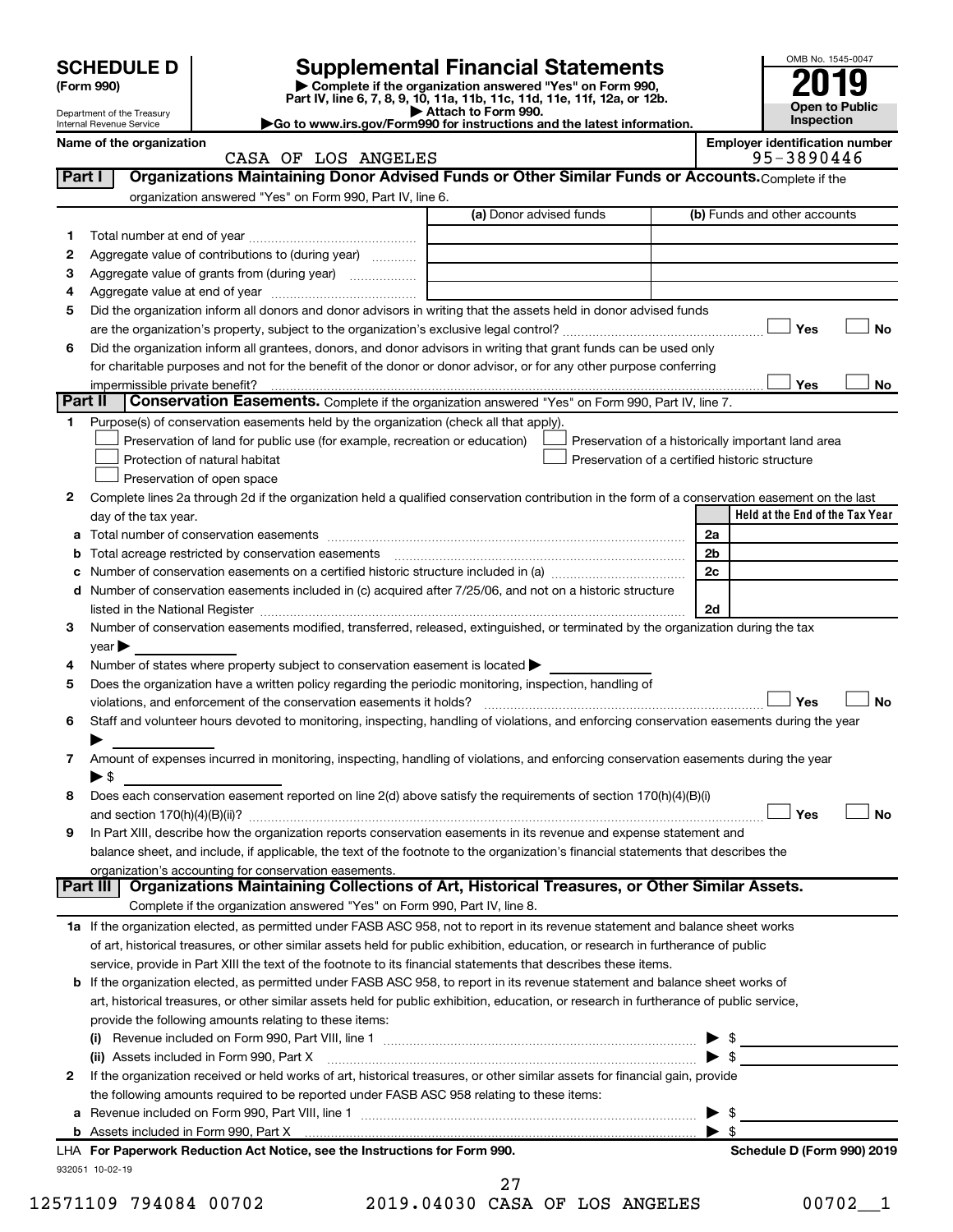|                   | <b>Supplemental Financial Statements</b>                                 | OMB No. 1545-004    |
|-------------------|--------------------------------------------------------------------------|---------------------|
| <b>SCHEDULE D</b> |                                                                          |                     |
| (Form 990)        | Complete if the organization answered "Yes" on Form 990,                 | 2019                |
|                   | Part IV, line 6, 7, 8, 9, 10, 11a, 11b, 11c, 11d, 11e, 11f, 12a, or 12b. | Company from Deader |

**| Attach to Form 990. |Go to www.irs.gov/Form990 for instructions and the latest information.**



Department of the Treasury Internal Revenue Service

| Name of the organization |  |                     | <b>Emplover identification number</b> |
|--------------------------|--|---------------------|---------------------------------------|
|                          |  | CASA OF LOS ANGELES | 95-3890446                            |

| Part I  | Organizations Maintaining Donor Advised Funds or Other Similar Funds or Accounts. Complete if the                                                                                                                             |                         |                                                    |
|---------|-------------------------------------------------------------------------------------------------------------------------------------------------------------------------------------------------------------------------------|-------------------------|----------------------------------------------------|
|         | organization answered "Yes" on Form 990, Part IV, line 6.                                                                                                                                                                     |                         |                                                    |
|         |                                                                                                                                                                                                                               | (a) Donor advised funds | (b) Funds and other accounts                       |
| 1       |                                                                                                                                                                                                                               |                         |                                                    |
| 2       | Aggregate value of contributions to (during year)                                                                                                                                                                             |                         |                                                    |
| 3       | Aggregate value of grants from (during year)                                                                                                                                                                                  |                         |                                                    |
| 4       |                                                                                                                                                                                                                               |                         |                                                    |
| 5       | Did the organization inform all donors and donor advisors in writing that the assets held in donor advised funds                                                                                                              |                         |                                                    |
|         |                                                                                                                                                                                                                               |                         | Yes<br>No                                          |
| 6       | Did the organization inform all grantees, donors, and donor advisors in writing that grant funds can be used only                                                                                                             |                         |                                                    |
|         | for charitable purposes and not for the benefit of the donor or donor advisor, or for any other purpose conferring                                                                                                            |                         |                                                    |
|         | impermissible private benefit?                                                                                                                                                                                                |                         | Yes<br>No                                          |
| Part II | Conservation Easements. Complete if the organization answered "Yes" on Form 990, Part IV, line 7.                                                                                                                             |                         |                                                    |
| 1.      | Purpose(s) of conservation easements held by the organization (check all that apply).                                                                                                                                         |                         |                                                    |
|         | Preservation of land for public use (for example, recreation or education)                                                                                                                                                    |                         | Preservation of a historically important land area |
|         | Protection of natural habitat                                                                                                                                                                                                 |                         | Preservation of a certified historic structure     |
|         | Preservation of open space                                                                                                                                                                                                    |                         |                                                    |
| 2       | Complete lines 2a through 2d if the organization held a qualified conservation contribution in the form of a conservation easement on the last                                                                                |                         |                                                    |
|         | day of the tax year.                                                                                                                                                                                                          |                         | Held at the End of the Tax Year                    |
|         |                                                                                                                                                                                                                               |                         | 2a                                                 |
|         | Total acreage restricted by conservation easements                                                                                                                                                                            |                         | 2b                                                 |
|         |                                                                                                                                                                                                                               |                         | 2c                                                 |
| d       | Number of conservation easements included in (c) acquired after 7/25/06, and not on a historic structure                                                                                                                      |                         |                                                    |
|         | listed in the National Register [111] Marshall Register [11] Marshall Register [11] Marshall Register [11] Marshall Register [11] Marshall Register [11] Marshall Register [11] Marshall Register [11] Marshall Register [11] |                         | 2d                                                 |
| з       | Number of conservation easements modified, transferred, released, extinguished, or terminated by the organization during the tax                                                                                              |                         |                                                    |
|         | $year \triangleright$                                                                                                                                                                                                         |                         |                                                    |
| 4       | Number of states where property subject to conservation easement is located >                                                                                                                                                 |                         |                                                    |
| 5       | Does the organization have a written policy regarding the periodic monitoring, inspection, handling of                                                                                                                        |                         |                                                    |
|         | violations, and enforcement of the conservation easements it holds?                                                                                                                                                           |                         | Yes<br>No                                          |
| 6       | Staff and volunteer hours devoted to monitoring, inspecting, handling of violations, and enforcing conservation easements during the year                                                                                     |                         |                                                    |
|         |                                                                                                                                                                                                                               |                         |                                                    |
| 7       | Amount of expenses incurred in monitoring, inspecting, handling of violations, and enforcing conservation easements during the year                                                                                           |                         |                                                    |
|         | $\blacktriangleright$ \$                                                                                                                                                                                                      |                         |                                                    |
| 8       | Does each conservation easement reported on line 2(d) above satisfy the requirements of section 170(h)(4)(B)(i)                                                                                                               |                         |                                                    |
|         |                                                                                                                                                                                                                               |                         | Yes<br>No                                          |
| 9       | In Part XIII, describe how the organization reports conservation easements in its revenue and expense statement and                                                                                                           |                         |                                                    |
|         | balance sheet, and include, if applicable, the text of the footnote to the organization's financial statements that describes the                                                                                             |                         |                                                    |
|         | organization's accounting for conservation easements.                                                                                                                                                                         |                         |                                                    |
|         | Organizations Maintaining Collections of Art, Historical Treasures, or Other Similar Assets.<br>Part III                                                                                                                      |                         |                                                    |
|         | Complete if the organization answered "Yes" on Form 990, Part IV, line 8.                                                                                                                                                     |                         |                                                    |
|         | 1a If the organization elected, as permitted under FASB ASC 958, not to report in its revenue statement and balance sheet works                                                                                               |                         |                                                    |
|         | of art, historical treasures, or other similar assets held for public exhibition, education, or research in furtherance of public                                                                                             |                         |                                                    |
|         | service, provide in Part XIII the text of the footnote to its financial statements that describes these items.                                                                                                                |                         |                                                    |
|         | <b>b</b> If the organization elected, as permitted under FASB ASC 958, to report in its revenue statement and balance sheet works of                                                                                          |                         |                                                    |
|         | art, historical treasures, or other similar assets held for public exhibition, education, or research in furtherance of public service,                                                                                       |                         |                                                    |
|         | provide the following amounts relating to these items:                                                                                                                                                                        |                         |                                                    |
|         |                                                                                                                                                                                                                               |                         | - \$                                               |
|         | (ii) Assets included in Form 990, Part X                                                                                                                                                                                      |                         | $\blacktriangleright$ s                            |
| 2       | If the organization received or held works of art, historical treasures, or other similar assets for financial gain, provide                                                                                                  |                         |                                                    |
|         | the following amounts required to be reported under FASB ASC 958 relating to these items:                                                                                                                                     |                         |                                                    |
| а       |                                                                                                                                                                                                                               |                         | -\$                                                |
|         |                                                                                                                                                                                                                               |                         | $\blacktriangleright$ s                            |
|         | LHA For Paperwork Reduction Act Notice, see the Instructions for Form 990.                                                                                                                                                    |                         | Schedule D (Form 990) 2019                         |
|         | 932051 10-02-19                                                                                                                                                                                                               |                         |                                                    |

12571109 794084 00702 2019.04030 CASA OF LOS ANGELES 00702\_\_1 27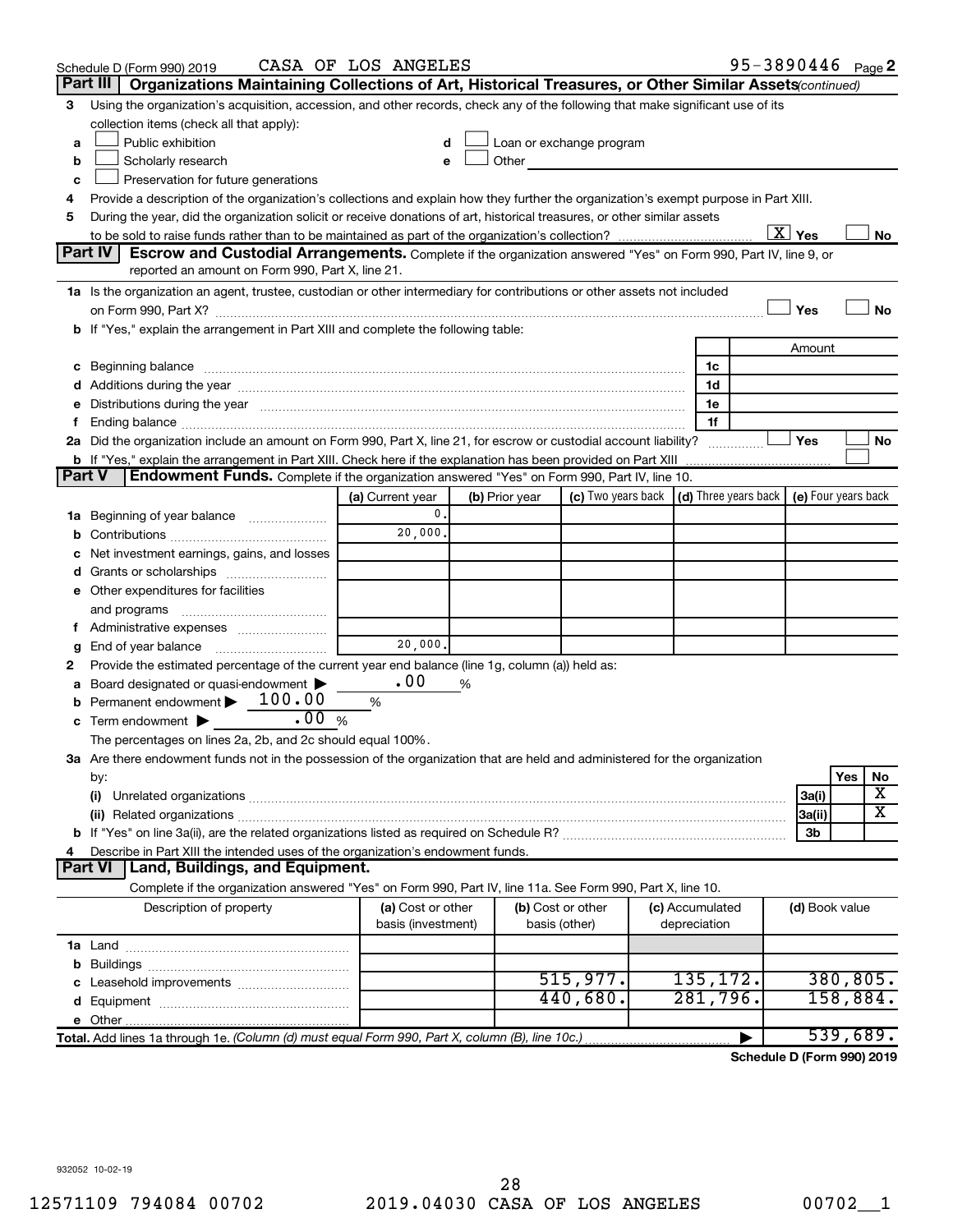|               | Schedule D (Form 990) 2019                                                                                                                                                                                                     | CASA OF LOS ANGELES |   |                |                                                                                                                                                                                                                               |                 | 95-3890446 Page 2          |                           |          |                       |
|---------------|--------------------------------------------------------------------------------------------------------------------------------------------------------------------------------------------------------------------------------|---------------------|---|----------------|-------------------------------------------------------------------------------------------------------------------------------------------------------------------------------------------------------------------------------|-----------------|----------------------------|---------------------------|----------|-----------------------|
|               | Part III<br>Organizations Maintaining Collections of Art, Historical Treasures, or Other Similar Assets(continued)                                                                                                             |                     |   |                |                                                                                                                                                                                                                               |                 |                            |                           |          |                       |
| 3             | Using the organization's acquisition, accession, and other records, check any of the following that make significant use of its                                                                                                |                     |   |                |                                                                                                                                                                                                                               |                 |                            |                           |          |                       |
|               | collection items (check all that apply):                                                                                                                                                                                       |                     |   |                |                                                                                                                                                                                                                               |                 |                            |                           |          |                       |
| a             | Public exhibition                                                                                                                                                                                                              | d                   |   |                | Loan or exchange program                                                                                                                                                                                                      |                 |                            |                           |          |                       |
| b             | Scholarly research                                                                                                                                                                                                             | е                   |   |                | Other and the contract of the contract of the contract of the contract of the contract of the contract of the contract of the contract of the contract of the contract of the contract of the contract of the contract of the |                 |                            |                           |          |                       |
| c             | Preservation for future generations                                                                                                                                                                                            |                     |   |                |                                                                                                                                                                                                                               |                 |                            |                           |          |                       |
| 4             | Provide a description of the organization's collections and explain how they further the organization's exempt purpose in Part XIII.                                                                                           |                     |   |                |                                                                                                                                                                                                                               |                 |                            |                           |          |                       |
| 5             | During the year, did the organization solicit or receive donations of art, historical treasures, or other similar assets                                                                                                       |                     |   |                |                                                                                                                                                                                                                               |                 |                            |                           |          |                       |
|               |                                                                                                                                                                                                                                |                     |   |                |                                                                                                                                                                                                                               |                 |                            | $\overline{\text{X}}$ Yes |          | No                    |
|               | <b>Part IV</b><br>Escrow and Custodial Arrangements. Complete if the organization answered "Yes" on Form 990, Part IV, line 9, or                                                                                              |                     |   |                |                                                                                                                                                                                                                               |                 |                            |                           |          |                       |
|               | reported an amount on Form 990, Part X, line 21.                                                                                                                                                                               |                     |   |                |                                                                                                                                                                                                                               |                 |                            |                           |          |                       |
|               | 1a Is the organization an agent, trustee, custodian or other intermediary for contributions or other assets not included                                                                                                       |                     |   |                |                                                                                                                                                                                                                               |                 |                            |                           |          |                       |
|               |                                                                                                                                                                                                                                |                     |   |                |                                                                                                                                                                                                                               |                 |                            | Yes                       |          | No                    |
|               | b If "Yes," explain the arrangement in Part XIII and complete the following table:                                                                                                                                             |                     |   |                |                                                                                                                                                                                                                               |                 |                            |                           |          |                       |
|               |                                                                                                                                                                                                                                |                     |   |                |                                                                                                                                                                                                                               |                 |                            | Amount                    |          |                       |
|               | c Beginning balance measurements and the contract of the contract of the contract of the contract of the contract of the contract of the contract of the contract of the contract of the contract of the contract of the contr |                     |   |                |                                                                                                                                                                                                                               | 1c              |                            |                           |          |                       |
|               |                                                                                                                                                                                                                                |                     |   |                |                                                                                                                                                                                                                               | 1d              |                            |                           |          |                       |
|               | e Distributions during the year manufactured and continuum control of the control of the control of the state of the control of the control of the control of the control of the control of the control of the control of the  |                     |   |                |                                                                                                                                                                                                                               | 1e              |                            |                           |          |                       |
| f.            |                                                                                                                                                                                                                                |                     |   |                |                                                                                                                                                                                                                               | 1f              |                            |                           |          |                       |
|               | 2a Did the organization include an amount on Form 990, Part X, line 21, for escrow or custodial account liability?                                                                                                             |                     |   |                |                                                                                                                                                                                                                               |                 |                            | Yes                       |          | No                    |
|               | <b>b</b> If "Yes," explain the arrangement in Part XIII. Check here if the explanation has been provided on Part XIII                                                                                                          |                     |   |                |                                                                                                                                                                                                                               |                 |                            |                           |          |                       |
| <b>Part V</b> | Endowment Funds. Complete if the organization answered "Yes" on Form 990, Part IV, line 10.                                                                                                                                    |                     |   |                |                                                                                                                                                                                                                               |                 |                            |                           |          |                       |
|               |                                                                                                                                                                                                                                | (a) Current year    |   | (b) Prior year | (c) Two years back $ $ (d) Three years back $ $                                                                                                                                                                               |                 |                            | (e) Four years back       |          |                       |
|               | 1a Beginning of year balance                                                                                                                                                                                                   | 0.                  |   |                |                                                                                                                                                                                                                               |                 |                            |                           |          |                       |
| b             |                                                                                                                                                                                                                                | 20,000.             |   |                |                                                                                                                                                                                                                               |                 |                            |                           |          |                       |
|               | Net investment earnings, gains, and losses                                                                                                                                                                                     |                     |   |                |                                                                                                                                                                                                                               |                 |                            |                           |          |                       |
|               |                                                                                                                                                                                                                                |                     |   |                |                                                                                                                                                                                                                               |                 |                            |                           |          |                       |
|               | e Other expenditures for facilities                                                                                                                                                                                            |                     |   |                |                                                                                                                                                                                                                               |                 |                            |                           |          |                       |
|               | and programs                                                                                                                                                                                                                   |                     |   |                |                                                                                                                                                                                                                               |                 |                            |                           |          |                       |
|               |                                                                                                                                                                                                                                |                     |   |                |                                                                                                                                                                                                                               |                 |                            |                           |          |                       |
| g             |                                                                                                                                                                                                                                | 20,000.             |   |                |                                                                                                                                                                                                                               |                 |                            |                           |          |                       |
| 2             | Provide the estimated percentage of the current year end balance (line 1g, column (a)) held as:                                                                                                                                |                     |   |                |                                                                                                                                                                                                                               |                 |                            |                           |          |                       |
| а             | Board designated or quasi-endowment                                                                                                                                                                                            | .00                 | % |                |                                                                                                                                                                                                                               |                 |                            |                           |          |                       |
| b             | Permanent endowment $\blacktriangleright$ 100.00                                                                                                                                                                               | %                   |   |                |                                                                                                                                                                                                                               |                 |                            |                           |          |                       |
| с             | .00%<br>Term endowment $\blacktriangleright$                                                                                                                                                                                   |                     |   |                |                                                                                                                                                                                                                               |                 |                            |                           |          |                       |
|               | The percentages on lines 2a, 2b, and 2c should equal 100%.                                                                                                                                                                     |                     |   |                |                                                                                                                                                                                                                               |                 |                            |                           |          |                       |
|               | 3a Are there endowment funds not in the possession of the organization that are held and administered for the organization                                                                                                     |                     |   |                |                                                                                                                                                                                                                               |                 |                            |                           |          |                       |
|               | by:                                                                                                                                                                                                                            |                     |   |                |                                                                                                                                                                                                                               |                 |                            |                           | Yes      | No                    |
|               | (i)                                                                                                                                                                                                                            |                     |   |                |                                                                                                                                                                                                                               |                 |                            | 3a(i)                     |          | х                     |
|               |                                                                                                                                                                                                                                |                     |   |                |                                                                                                                                                                                                                               |                 |                            | 3a(ii)                    |          | $\overline{\text{x}}$ |
|               |                                                                                                                                                                                                                                |                     |   |                |                                                                                                                                                                                                                               |                 |                            | 3b                        |          |                       |
| 4             | Describe in Part XIII the intended uses of the organization's endowment funds.                                                                                                                                                 |                     |   |                |                                                                                                                                                                                                                               |                 |                            |                           |          |                       |
|               | Land, Buildings, and Equipment.<br><b>Part VI</b>                                                                                                                                                                              |                     |   |                |                                                                                                                                                                                                                               |                 |                            |                           |          |                       |
|               | Complete if the organization answered "Yes" on Form 990, Part IV, line 11a. See Form 990, Part X, line 10.                                                                                                                     |                     |   |                |                                                                                                                                                                                                                               |                 |                            |                           |          |                       |
|               | Description of property                                                                                                                                                                                                        | (a) Cost or other   |   |                | (b) Cost or other                                                                                                                                                                                                             | (c) Accumulated |                            | (d) Book value            |          |                       |
|               |                                                                                                                                                                                                                                | basis (investment)  |   |                | basis (other)                                                                                                                                                                                                                 | depreciation    |                            |                           |          |                       |
|               |                                                                                                                                                                                                                                |                     |   |                |                                                                                                                                                                                                                               |                 |                            |                           |          |                       |
|               |                                                                                                                                                                                                                                |                     |   |                |                                                                                                                                                                                                                               |                 |                            |                           |          |                       |
|               |                                                                                                                                                                                                                                |                     |   |                | 515,977.                                                                                                                                                                                                                      | 135,172.        |                            |                           |          | 380, 805.             |
|               |                                                                                                                                                                                                                                |                     |   |                | 440,680.                                                                                                                                                                                                                      | 281,796.        |                            |                           | 158,884. |                       |
|               |                                                                                                                                                                                                                                |                     |   |                |                                                                                                                                                                                                                               |                 |                            |                           |          |                       |
|               | Total. Add lines 1a through 1e. (Column (d) must equal Form 990, Part X, column (B), line 10c.)                                                                                                                                |                     |   |                |                                                                                                                                                                                                                               |                 |                            |                           | 539,689. |                       |
|               |                                                                                                                                                                                                                                |                     |   |                |                                                                                                                                                                                                                               |                 | Schedule D (Form 990) 2019 |                           |          |                       |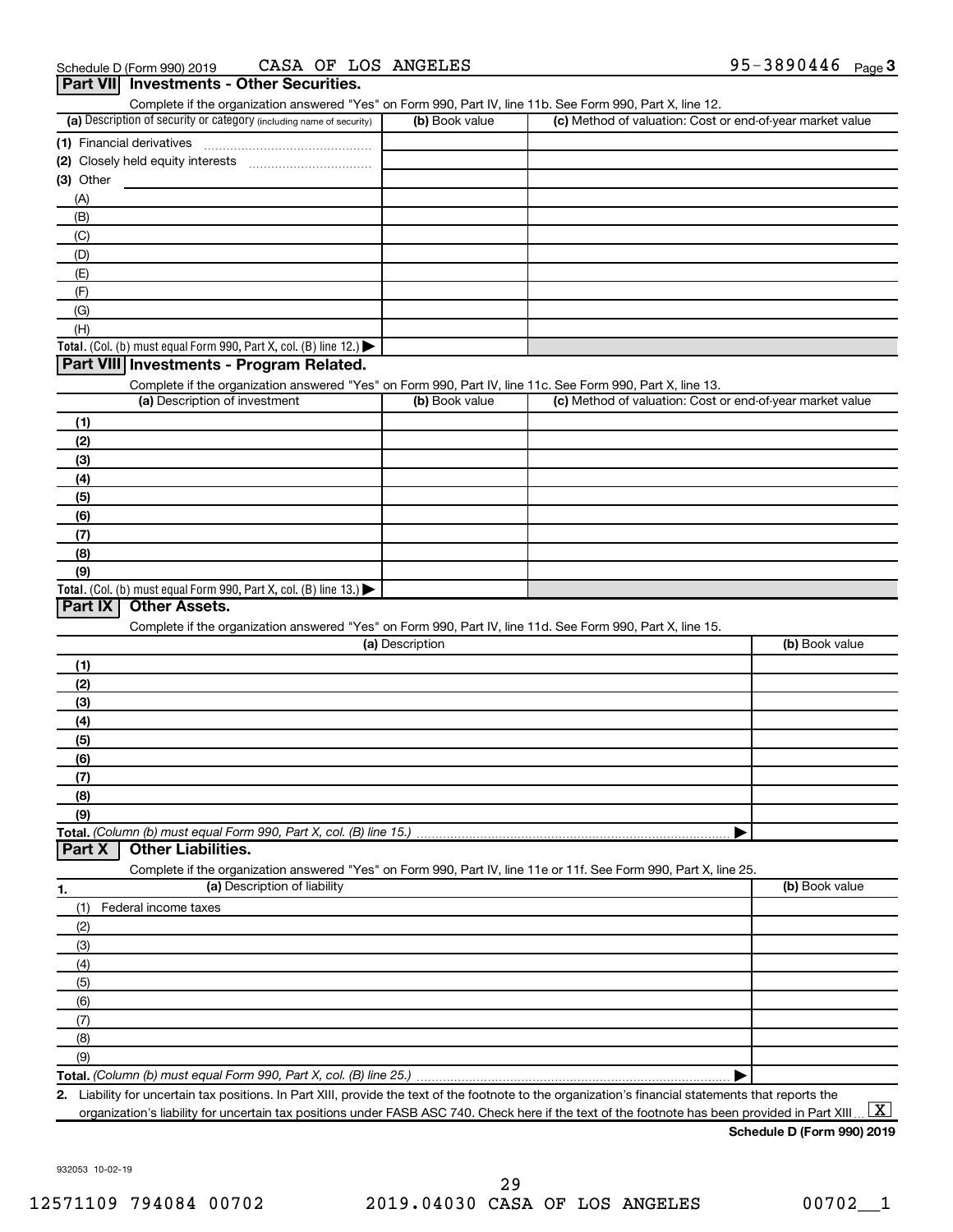| Part VII Investments - Other Securities.<br>Complete if the organization answered "Yes" on Form 990, Part IV, line 11b. See Form 990, Part X, line 12. |                 |                                                           |                |
|--------------------------------------------------------------------------------------------------------------------------------------------------------|-----------------|-----------------------------------------------------------|----------------|
| (a) Description of security or category (including name of security)                                                                                   | (b) Book value  | (c) Method of valuation: Cost or end-of-year market value |                |
|                                                                                                                                                        |                 |                                                           |                |
|                                                                                                                                                        |                 |                                                           |                |
| (3) Other                                                                                                                                              |                 |                                                           |                |
| (A)                                                                                                                                                    |                 |                                                           |                |
| (B)                                                                                                                                                    |                 |                                                           |                |
| (C)                                                                                                                                                    |                 |                                                           |                |
| (D)                                                                                                                                                    |                 |                                                           |                |
| (E)                                                                                                                                                    |                 |                                                           |                |
| (F)                                                                                                                                                    |                 |                                                           |                |
| (G)                                                                                                                                                    |                 |                                                           |                |
| (H)                                                                                                                                                    |                 |                                                           |                |
| Total. (Col. (b) must equal Form 990, Part X, col. (B) line 12.)                                                                                       |                 |                                                           |                |
| Part VIII Investments - Program Related.                                                                                                               |                 |                                                           |                |
| Complete if the organization answered "Yes" on Form 990, Part IV, line 11c. See Form 990, Part X, line 13.                                             |                 |                                                           |                |
| (a) Description of investment                                                                                                                          | (b) Book value  | (c) Method of valuation: Cost or end-of-year market value |                |
| (1)                                                                                                                                                    |                 |                                                           |                |
| (2)                                                                                                                                                    |                 |                                                           |                |
| (3)                                                                                                                                                    |                 |                                                           |                |
| (4)                                                                                                                                                    |                 |                                                           |                |
| (5)                                                                                                                                                    |                 |                                                           |                |
| (6)                                                                                                                                                    |                 |                                                           |                |
| (7)                                                                                                                                                    |                 |                                                           |                |
| (8)                                                                                                                                                    |                 |                                                           |                |
| (9)                                                                                                                                                    |                 |                                                           |                |
| Total. (Col. (b) must equal Form 990, Part X, col. (B) line 13.)<br>Part IX<br><b>Other Assets.</b>                                                    |                 |                                                           |                |
|                                                                                                                                                        |                 |                                                           |                |
| Complete if the organization answered "Yes" on Form 990, Part IV, line 11d. See Form 990, Part X, line 15.                                             | (a) Description |                                                           | (b) Book value |
|                                                                                                                                                        |                 |                                                           |                |
| (1)                                                                                                                                                    |                 |                                                           |                |
| (2)                                                                                                                                                    |                 |                                                           |                |
| (3)                                                                                                                                                    |                 |                                                           |                |
| (4)                                                                                                                                                    |                 |                                                           |                |
| (5)<br>(6)                                                                                                                                             |                 |                                                           |                |
| (7)                                                                                                                                                    |                 |                                                           |                |
| (8)                                                                                                                                                    |                 |                                                           |                |
| (9)                                                                                                                                                    |                 |                                                           |                |
| Total. (Column (b) must equal Form 990, Part X, col. (B) line 15.)                                                                                     |                 |                                                           |                |
| <b>Other Liabilities.</b><br>Part X                                                                                                                    |                 |                                                           |                |
| Complete if the organization answered "Yes" on Form 990, Part IV, line 11e or 11f. See Form 990, Part X, line 25.                                      |                 |                                                           |                |
| (a) Description of liability<br>1.                                                                                                                     |                 |                                                           | (b) Book value |
| Federal income taxes<br>(1)                                                                                                                            |                 |                                                           |                |
| (2)                                                                                                                                                    |                 |                                                           |                |
| (3)                                                                                                                                                    |                 |                                                           |                |
| (4)                                                                                                                                                    |                 |                                                           |                |
| (5)                                                                                                                                                    |                 |                                                           |                |
| (6)                                                                                                                                                    |                 |                                                           |                |
| (7)                                                                                                                                                    |                 |                                                           |                |
| (8)                                                                                                                                                    |                 |                                                           |                |
| (9)                                                                                                                                                    |                 |                                                           |                |
|                                                                                                                                                        |                 | ▶                                                         |                |

**2.** Liability for uncertain tax positions. In Part XIII, provide the text of the footnote to the organization's financial statements that reports the organization's liability for uncertain tax positions under FASB ASC 740. Check here if the text of the footnote has been provided in Part XIII..  $\boxed{\text{X}}$ 

**Schedule D (Form 990) 2019**

932053 10-02-19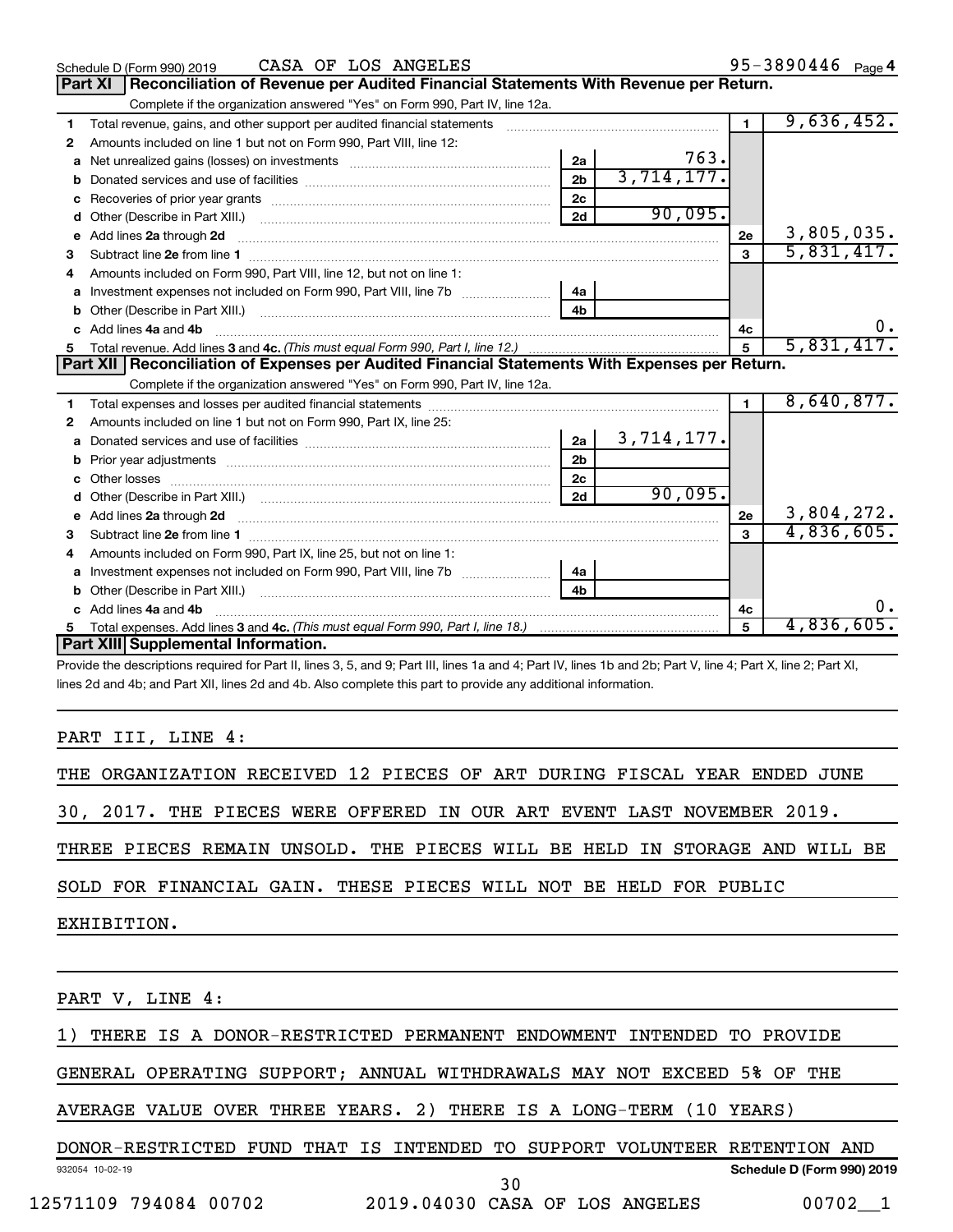|    | CASA OF LOS ANGELES<br>Schedule D (Form 990) 2019                                                                                                                                                                                   |                |            |                | 95-3890446 Page 4 |
|----|-------------------------------------------------------------------------------------------------------------------------------------------------------------------------------------------------------------------------------------|----------------|------------|----------------|-------------------|
|    | Reconciliation of Revenue per Audited Financial Statements With Revenue per Return.<br><b>Part XI</b>                                                                                                                               |                |            |                |                   |
|    | Complete if the organization answered "Yes" on Form 990, Part IV, line 12a.                                                                                                                                                         |                |            |                |                   |
| 1  | Total revenue, gains, and other support per audited financial statements [[[[[[[[[[[[[[[[[[[[[[[[[]]]]]]]]]]]                                                                                                                       |                |            | $\blacksquare$ | 9,636,452.        |
| 2  | Amounts included on line 1 but not on Form 990, Part VIII, line 12:                                                                                                                                                                 |                |            |                |                   |
| a  |                                                                                                                                                                                                                                     | 2a             | 763.       |                |                   |
| b  |                                                                                                                                                                                                                                     | 2 <sub>b</sub> | 3,714,177. |                |                   |
| c  |                                                                                                                                                                                                                                     | 2c             |            |                |                   |
| d  |                                                                                                                                                                                                                                     | 2d             | 90,095.    |                |                   |
| е  | Add lines 2a through 2d <b>manufactures</b> in the contract of the state of the state of the state of the state of the state of the state of the state of the state of the state of the state of the state of the state of the stat |                |            | 2e             | 3,805,035.        |
| з  | Subtract line 2e from line 1 <b>manufacture in the contract of the 2e</b> from line 1                                                                                                                                               |                |            | 3              | 5,831,417.        |
|    | Amounts included on Form 990, Part VIII, line 12, but not on line 1:                                                                                                                                                                |                |            |                |                   |
| a  | Investment expenses not included on Form 990, Part VIII, line 7b [                                                                                                                                                                  | 4a             |            |                |                   |
| b  |                                                                                                                                                                                                                                     | 4 <sub>b</sub> |            |                |                   |
|    | Add lines 4a and 4b                                                                                                                                                                                                                 |                |            | 4c             | υ.                |
| 5. |                                                                                                                                                                                                                                     |                |            | 5              | 5,831,417.        |
|    | Part XII   Reconciliation of Expenses per Audited Financial Statements With Expenses per Return.                                                                                                                                    |                |            |                |                   |
|    |                                                                                                                                                                                                                                     |                |            |                |                   |
|    | Complete if the organization answered "Yes" on Form 990, Part IV, line 12a.                                                                                                                                                         |                |            |                |                   |
| 1  |                                                                                                                                                                                                                                     |                |            | $\mathbf{1}$   | 8,640,877.        |
| 2  | Amounts included on line 1 but not on Form 990, Part IX, line 25:                                                                                                                                                                   |                |            |                |                   |
| a  |                                                                                                                                                                                                                                     | 2a             | 3,714,177. |                |                   |
|    |                                                                                                                                                                                                                                     | 2 <sub>b</sub> |            |                |                   |
| c  |                                                                                                                                                                                                                                     | 2 <sub>c</sub> |            |                |                   |
| d  |                                                                                                                                                                                                                                     | 2d             | 90,095.    |                |                   |
| е  | Add lines 2a through 2d <b>contained a contained a contained a contained a</b> contained a contact the set of the set of the set of the set of the set of the set of the set of the set of the set of the set of the set of the set |                |            | 2e             | 3,804,272.        |
| 3  |                                                                                                                                                                                                                                     |                |            |                | 4,836,605.        |
| 4  | Amounts included on Form 990, Part IX, line 25, but not on line 1:                                                                                                                                                                  |                |            |                |                   |
| a  |                                                                                                                                                                                                                                     | 4a             |            |                |                   |
| b  | Other (Describe in Part XIII.) <b>Construction (Construction Construction</b> of Chern Construction Construction Const                                                                                                              | 4h.            |            |                |                   |
|    | Add lines 4a and 4b                                                                                                                                                                                                                 |                |            | 4c             |                   |
|    | Part XIII Supplemental Information.                                                                                                                                                                                                 |                |            | 5              | 4,836,605.        |

Provide the descriptions required for Part II, lines 3, 5, and 9; Part III, lines 1a and 4; Part IV, lines 1b and 2b; Part V, line 4; Part X, line 2; Part XI, lines 2d and 4b; and Part XII, lines 2d and 4b. Also complete this part to provide any additional information.

# PART III, LINE 4:

| THE ORGANIZATION RECEIVED 12 PIECES OF ART DURING FISCAL YEAR ENDED JUNE |  |  |  |  |  |  |
|--------------------------------------------------------------------------|--|--|--|--|--|--|
|                                                                          |  |  |  |  |  |  |

30, 2017. THE PIECES WERE OFFERED IN OUR ART EVENT LAST NOVEMBER 2019.

THREE PIECES REMAIN UNSOLD. THE PIECES WILL BE HELD IN STORAGE AND WILL BE

SOLD FOR FINANCIAL GAIN. THESE PIECES WILL NOT BE HELD FOR PUBLIC

EXHIBITION.

PART V, LINE 4:

1) THERE IS A DONOR-RESTRICTED PERMANENT ENDOWMENT INTENDED TO PROVIDE

GENERAL OPERATING SUPPORT; ANNUAL WITHDRAWALS MAY NOT EXCEED 5% OF THE

AVERAGE VALUE OVER THREE YEARS. 2) THERE IS A LONG-TERM (10 YEARS)

932054 10-02-19 **Schedule D (Form 990) 2019** DONOR-RESTRICTED FUND THAT IS INTENDED TO SUPPORT VOLUNTEER RETENTION AND 30

12571109 794084 00702 2019.04030 CASA OF LOS ANGELES 00702\_\_1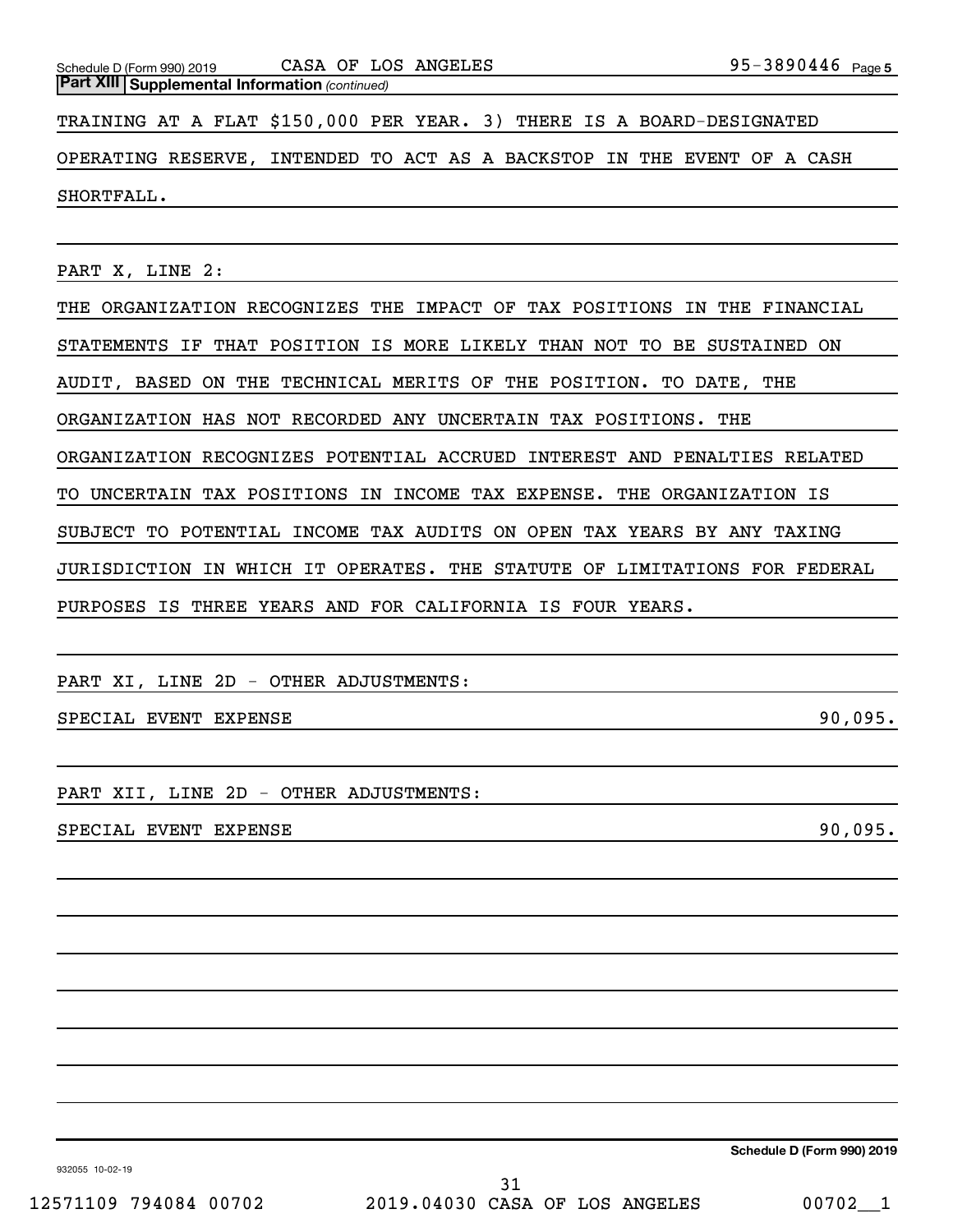| Schedule D (Form 990) 2019                                            |  | CASA OF LOS ANGELES |  | 95-3890446 <sub>Page 5</sub>                                            |  |  |  |  |
|-----------------------------------------------------------------------|--|---------------------|--|-------------------------------------------------------------------------|--|--|--|--|
| <b>Part XIII Supplemental Information (continued)</b>                 |  |                     |  |                                                                         |  |  |  |  |
| TRAINING AT A FLAT \$150,000 PER YEAR. 3) THERE IS A BOARD-DESIGNATED |  |                     |  |                                                                         |  |  |  |  |
|                                                                       |  |                     |  | OPERATING RESERVE, INTENDED TO ACT AS A BACKSTOP IN THE EVENT OF A CASH |  |  |  |  |
| SHORTFALL.                                                            |  |                     |  |                                                                         |  |  |  |  |

PART X, LINE 2:

THE ORGANIZATION RECOGNIZES THE IMPACT OF TAX POSITIONS IN THE FINANCIAL STATEMENTS IF THAT POSITION IS MORE LIKELY THAN NOT TO BE SUSTAINED ON AUDIT, BASED ON THE TECHNICAL MERITS OF THE POSITION. TO DATE, THE ORGANIZATION HAS NOT RECORDED ANY UNCERTAIN TAX POSITIONS. THE ORGANIZATION RECOGNIZES POTENTIAL ACCRUED INTEREST AND PENALTIES RELATED TO UNCERTAIN TAX POSITIONS IN INCOME TAX EXPENSE. THE ORGANIZATION IS SUBJECT TO POTENTIAL INCOME TAX AUDITS ON OPEN TAX YEARS BY ANY TAXING JURISDICTION IN WHICH IT OPERATES. THE STATUTE OF LIMITATIONS FOR FEDERAL PURPOSES IS THREE YEARS AND FOR CALIFORNIA IS FOUR YEARS.

PART XI, LINE 2D - OTHER ADJUSTMENTS:

SPECIAL EVENT EXPENSE **1999**, 1995.

PART XII, LINE 2D - OTHER ADJUSTMENTS:

SPECIAL EVENT EXPENSE 90,095.

**Schedule D (Form 990) 2019**

932055 10-02-19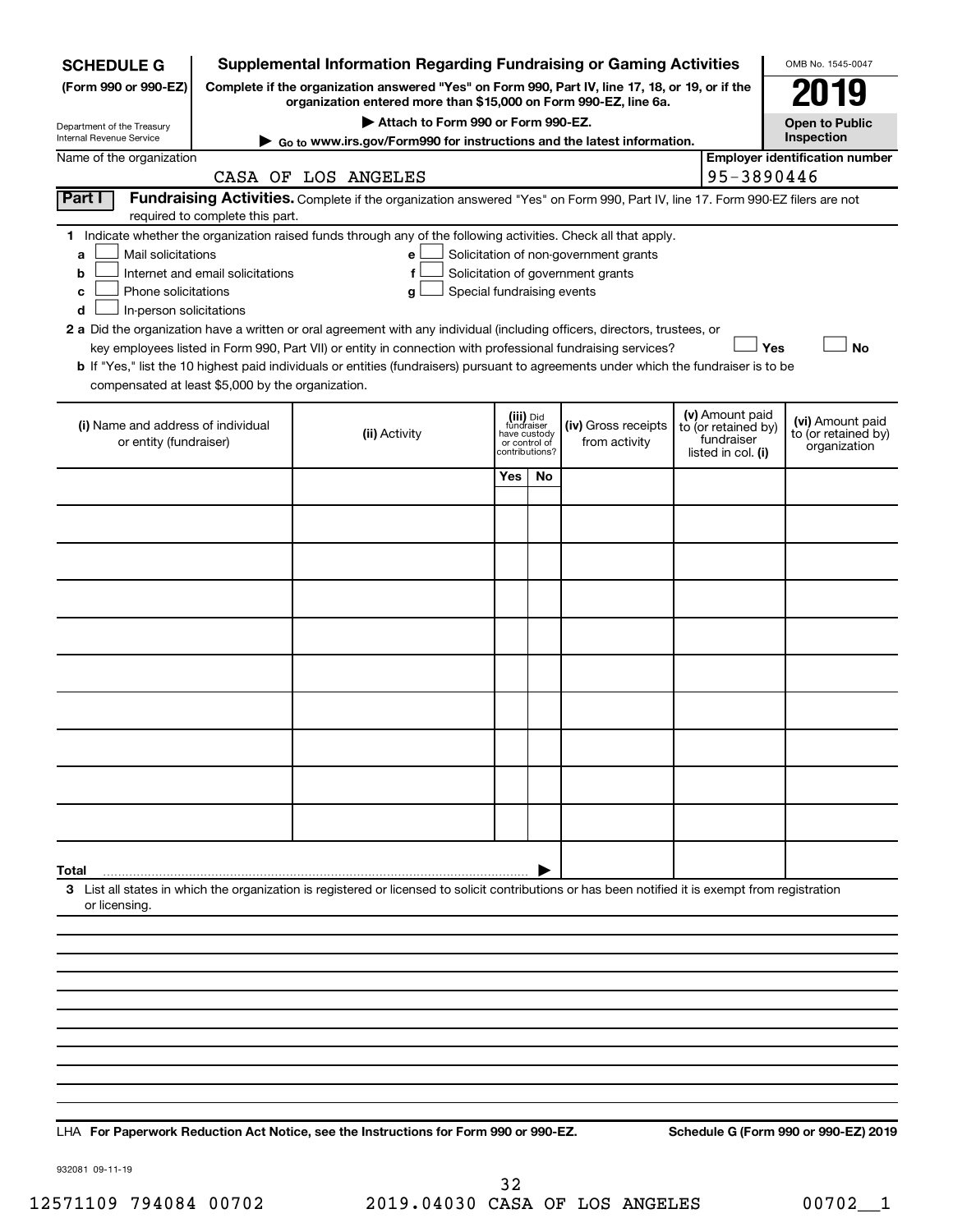| <b>SCHEDULE G</b>                                                                              |                                  | <b>Supplemental Information Regarding Fundraising or Gaming Activities</b>                                                                                                                                                                                 |                                                          |                |                                                                            |                                                                            | OMB No. 1545-0047                                       |
|------------------------------------------------------------------------------------------------|----------------------------------|------------------------------------------------------------------------------------------------------------------------------------------------------------------------------------------------------------------------------------------------------------|----------------------------------------------------------|----------------|----------------------------------------------------------------------------|----------------------------------------------------------------------------|---------------------------------------------------------|
| (Form 990 or 990-EZ)                                                                           |                                  | Complete if the organization answered "Yes" on Form 990, Part IV, line 17, 18, or 19, or if the                                                                                                                                                            |                                                          |                |                                                                            |                                                                            |                                                         |
| Department of the Treasury                                                                     |                                  | organization entered more than \$15,000 on Form 990-EZ, line 6a.<br>Attach to Form 990 or Form 990-EZ.                                                                                                                                                     |                                                          |                |                                                                            |                                                                            | <b>Open to Public</b>                                   |
| Internal Revenue Service                                                                       |                                  | Go to www.irs.gov/Form990 for instructions and the latest information.                                                                                                                                                                                     |                                                          |                |                                                                            |                                                                            | Inspection                                              |
| Name of the organization                                                                       |                                  | CASA OF LOS ANGELES                                                                                                                                                                                                                                        |                                                          |                |                                                                            | 95-3890446                                                                 | <b>Employer identification number</b>                   |
| Part I                                                                                         |                                  | Fundraising Activities. Complete if the organization answered "Yes" on Form 990, Part IV, line 17. Form 990-EZ filers are not                                                                                                                              |                                                          |                |                                                                            |                                                                            |                                                         |
|                                                                                                | required to complete this part.  |                                                                                                                                                                                                                                                            |                                                          |                |                                                                            |                                                                            |                                                         |
| 1.<br>Mail solicitations<br>а<br>b<br>Phone solicitations<br>с<br>In-person solicitations<br>d | Internet and email solicitations | Indicate whether the organization raised funds through any of the following activities. Check all that apply.<br>е<br>f<br>g<br>2 a Did the organization have a written or oral agreement with any individual (including officers, directors, trustees, or | Special fundraising events                               |                | Solicitation of non-government grants<br>Solicitation of government grants |                                                                            |                                                         |
|                                                                                                |                                  | key employees listed in Form 990, Part VII) or entity in connection with professional fundraising services?                                                                                                                                                |                                                          |                |                                                                            | Yes                                                                        | <b>No</b>                                               |
| compensated at least \$5,000 by the organization.                                              |                                  | b If "Yes," list the 10 highest paid individuals or entities (fundraisers) pursuant to agreements under which the fundraiser is to be                                                                                                                      |                                                          |                |                                                                            |                                                                            |                                                         |
| (i) Name and address of individual<br>or entity (fundraiser)                                   |                                  | (ii) Activity                                                                                                                                                                                                                                              | (iii) Did<br>fundraiser<br>have custody<br>or control of | contributions? | (iv) Gross receipts<br>from activity                                       | (v) Amount paid<br>to (or retained by)<br>fundraiser<br>listed in col. (i) | (vi) Amount paid<br>to (or retained by)<br>organization |
|                                                                                                |                                  |                                                                                                                                                                                                                                                            | Yes                                                      | No.            |                                                                            |                                                                            |                                                         |
|                                                                                                |                                  |                                                                                                                                                                                                                                                            |                                                          |                |                                                                            |                                                                            |                                                         |
|                                                                                                |                                  |                                                                                                                                                                                                                                                            |                                                          |                |                                                                            |                                                                            |                                                         |
|                                                                                                |                                  |                                                                                                                                                                                                                                                            |                                                          |                |                                                                            |                                                                            |                                                         |
|                                                                                                |                                  |                                                                                                                                                                                                                                                            |                                                          |                |                                                                            |                                                                            |                                                         |
|                                                                                                |                                  |                                                                                                                                                                                                                                                            |                                                          |                |                                                                            |                                                                            |                                                         |
|                                                                                                |                                  |                                                                                                                                                                                                                                                            |                                                          |                |                                                                            |                                                                            |                                                         |
|                                                                                                |                                  |                                                                                                                                                                                                                                                            |                                                          |                |                                                                            |                                                                            |                                                         |
|                                                                                                |                                  |                                                                                                                                                                                                                                                            |                                                          |                |                                                                            |                                                                            |                                                         |
|                                                                                                |                                  |                                                                                                                                                                                                                                                            |                                                          |                |                                                                            |                                                                            |                                                         |
|                                                                                                |                                  |                                                                                                                                                                                                                                                            |                                                          |                |                                                                            |                                                                            |                                                         |
| Total                                                                                          |                                  |                                                                                                                                                                                                                                                            |                                                          |                |                                                                            |                                                                            |                                                         |
| or licensing.                                                                                  |                                  | 3 List all states in which the organization is registered or licensed to solicit contributions or has been notified it is exempt from registration                                                                                                         |                                                          |                |                                                                            |                                                                            |                                                         |
|                                                                                                |                                  |                                                                                                                                                                                                                                                            |                                                          |                |                                                                            |                                                                            |                                                         |
|                                                                                                |                                  |                                                                                                                                                                                                                                                            |                                                          |                |                                                                            |                                                                            |                                                         |
|                                                                                                |                                  |                                                                                                                                                                                                                                                            |                                                          |                |                                                                            |                                                                            |                                                         |
|                                                                                                |                                  |                                                                                                                                                                                                                                                            |                                                          |                |                                                                            |                                                                            |                                                         |
|                                                                                                |                                  |                                                                                                                                                                                                                                                            |                                                          |                |                                                                            |                                                                            |                                                         |
|                                                                                                |                                  |                                                                                                                                                                                                                                                            |                                                          |                |                                                                            |                                                                            |                                                         |
|                                                                                                |                                  |                                                                                                                                                                                                                                                            |                                                          |                |                                                                            |                                                                            |                                                         |
|                                                                                                |                                  |                                                                                                                                                                                                                                                            |                                                          |                |                                                                            |                                                                            |                                                         |

**For Paperwork Reduction Act Notice, see the Instructions for Form 990 or 990-EZ. Schedule G (Form 990 or 990-EZ) 2019** LHA

932081 09-11-19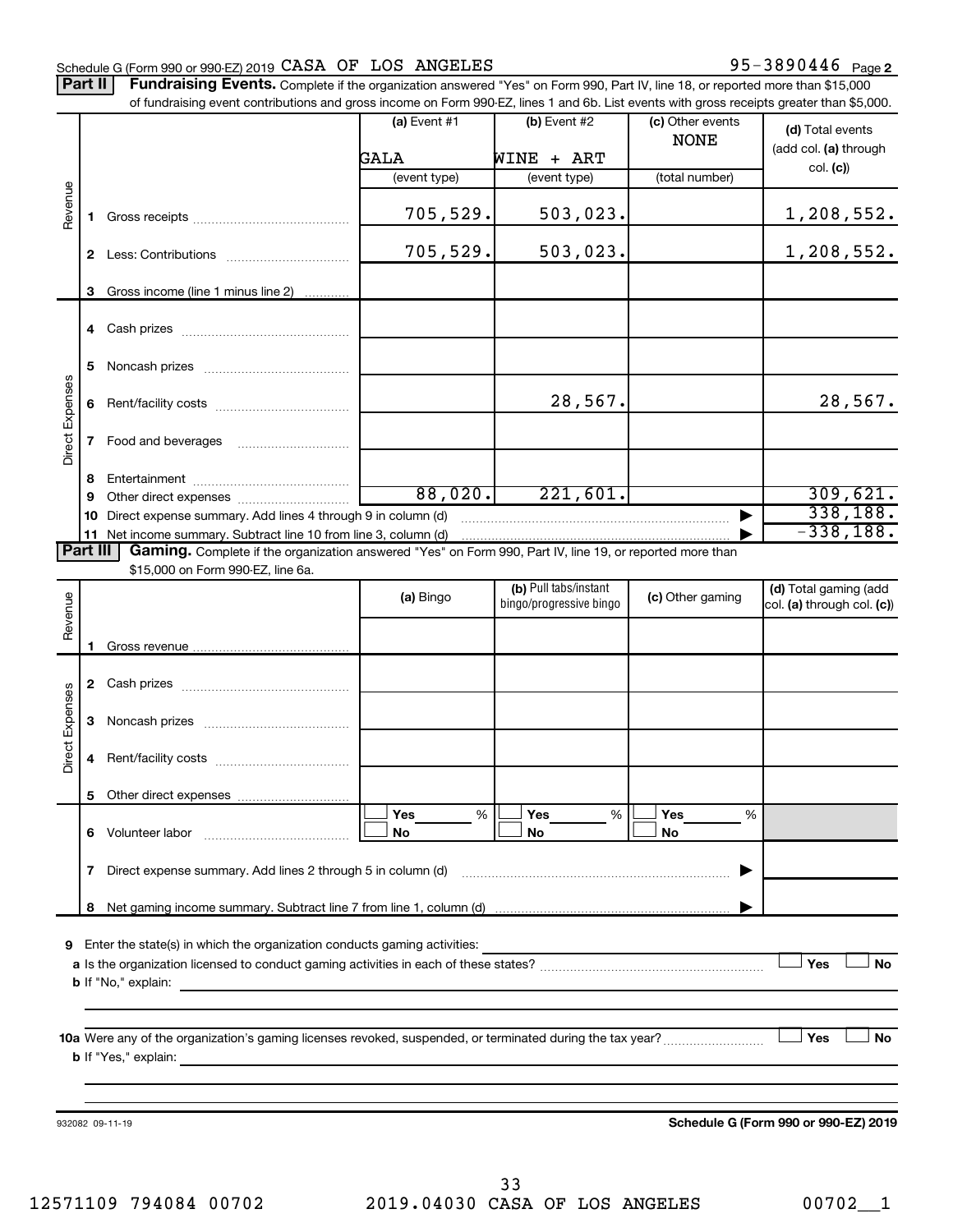# Schedule G (Form 990 or 990-EZ) 2019  $\verb|CASA OF LOS ANGELES$  95-3890446 Page

Part II | Fundraising Events. Complete if the organization answered "Yes" on Form 990, Part IV, line 18, or reported more than \$15,000 of fundraising event contributions and gross income on Form 990-EZ, lines 1 and 6b. List events with gross receipts greater than \$5,000.

|                        |    | OFfundralshig event continuutions and gross income on Form 990-EZ, illies T and OD. Elst events with gross receipts greater than \$0,000.                                                                                                                                                                                                              |                |                                                  |                  |                                                     |
|------------------------|----|--------------------------------------------------------------------------------------------------------------------------------------------------------------------------------------------------------------------------------------------------------------------------------------------------------------------------------------------------------|----------------|--------------------------------------------------|------------------|-----------------------------------------------------|
|                        |    |                                                                                                                                                                                                                                                                                                                                                        | $(a)$ Event #1 | $(b)$ Event #2                                   | (c) Other events | (d) Total events                                    |
|                        |    |                                                                                                                                                                                                                                                                                                                                                        |                |                                                  | <b>NONE</b>      | (add col. (a) through                               |
|                        |    |                                                                                                                                                                                                                                                                                                                                                        | GALA           | WINE + ART                                       |                  | col. (c)                                            |
|                        |    |                                                                                                                                                                                                                                                                                                                                                        | (event type)   | (event type)                                     | (total number)   |                                                     |
| Revenue                | 1. |                                                                                                                                                                                                                                                                                                                                                        | 705,529.       | 503,023.                                         |                  | 1,208,552.                                          |
|                        |    |                                                                                                                                                                                                                                                                                                                                                        | 705,529.       | 503,023.                                         |                  | 1,208,552.                                          |
|                        | 3  | Gross income (line 1 minus line 2)                                                                                                                                                                                                                                                                                                                     |                |                                                  |                  |                                                     |
|                        |    |                                                                                                                                                                                                                                                                                                                                                        |                |                                                  |                  |                                                     |
|                        | 5  |                                                                                                                                                                                                                                                                                                                                                        |                |                                                  |                  |                                                     |
|                        | 6  |                                                                                                                                                                                                                                                                                                                                                        |                | 28,567.                                          |                  | 28,567.                                             |
| Direct Expenses        |    |                                                                                                                                                                                                                                                                                                                                                        |                |                                                  |                  |                                                     |
|                        |    |                                                                                                                                                                                                                                                                                                                                                        |                |                                                  |                  |                                                     |
|                        | 9  |                                                                                                                                                                                                                                                                                                                                                        | 88,020.        | 221,601.                                         |                  | 309,621.                                            |
|                        | 10 | Direct expense summary. Add lines 4 through 9 in column (d)                                                                                                                                                                                                                                                                                            |                |                                                  |                  | 338,188.                                            |
|                        |    | 11 Net income summary. Subtract line 10 from line 3, column (d)                                                                                                                                                                                                                                                                                        |                |                                                  |                  | $-338,188.$                                         |
| Part III               |    | Gaming. Complete if the organization answered "Yes" on Form 990, Part IV, line 19, or reported more than                                                                                                                                                                                                                                               |                |                                                  |                  |                                                     |
|                        |    | \$15,000 on Form 990-EZ, line 6a.                                                                                                                                                                                                                                                                                                                      |                |                                                  |                  |                                                     |
| Revenue                |    |                                                                                                                                                                                                                                                                                                                                                        | (a) Bingo      | (b) Pull tabs/instant<br>bingo/progressive bingo | (c) Other gaming | (d) Total gaming (add<br>col. (a) through col. (c)) |
|                        |    |                                                                                                                                                                                                                                                                                                                                                        |                |                                                  |                  |                                                     |
|                        | 1. |                                                                                                                                                                                                                                                                                                                                                        |                |                                                  |                  |                                                     |
|                        |    |                                                                                                                                                                                                                                                                                                                                                        |                |                                                  |                  |                                                     |
| <b>Direct Expenses</b> | 3  |                                                                                                                                                                                                                                                                                                                                                        |                |                                                  |                  |                                                     |
|                        | 4  |                                                                                                                                                                                                                                                                                                                                                        |                |                                                  |                  |                                                     |
|                        |    |                                                                                                                                                                                                                                                                                                                                                        |                |                                                  |                  |                                                     |
|                        |    |                                                                                                                                                                                                                                                                                                                                                        | Yes<br>%       | Yes<br>%                                         | Yes<br>%         |                                                     |
|                        | 6  | Volunteer labor                                                                                                                                                                                                                                                                                                                                        | No             | No                                               | No               |                                                     |
|                        | 7  | Direct expense summary. Add lines 2 through 5 in column (d)                                                                                                                                                                                                                                                                                            |                |                                                  |                  |                                                     |
|                        | 8  |                                                                                                                                                                                                                                                                                                                                                        |                |                                                  |                  |                                                     |
|                        |    |                                                                                                                                                                                                                                                                                                                                                        |                |                                                  |                  |                                                     |
| 9                      |    | Enter the state(s) in which the organization conducts gaming activities:                                                                                                                                                                                                                                                                               |                |                                                  |                  |                                                     |
|                        |    |                                                                                                                                                                                                                                                                                                                                                        |                |                                                  |                  | Yes<br><b>No</b>                                    |
|                        |    | <b>b</b> If "No," explain:<br><u> 1989 - Jan Sterling Sterling (f. 1989)</u>                                                                                                                                                                                                                                                                           |                |                                                  |                  |                                                     |
|                        |    |                                                                                                                                                                                                                                                                                                                                                        |                |                                                  |                  |                                                     |
|                        |    |                                                                                                                                                                                                                                                                                                                                                        |                |                                                  |                  |                                                     |
|                        |    | 10a Were any of the organization's gaming licenses revoked, suspended, or terminated during the tax year?<br><b>b</b> If "Yes," explain: <b>contract to the explanation of the explanation of the explanation of the explanation of the explanation of the explanation of the explanation of the explanation of the explanation of the explanation</b> |                |                                                  |                  | Yes<br><b>No</b>                                    |
|                        |    |                                                                                                                                                                                                                                                                                                                                                        |                |                                                  |                  |                                                     |
|                        |    |                                                                                                                                                                                                                                                                                                                                                        |                |                                                  |                  |                                                     |
|                        |    | 932082 09-11-19                                                                                                                                                                                                                                                                                                                                        |                |                                                  |                  | Schedule G (Form 990 or 990-EZ) 2019                |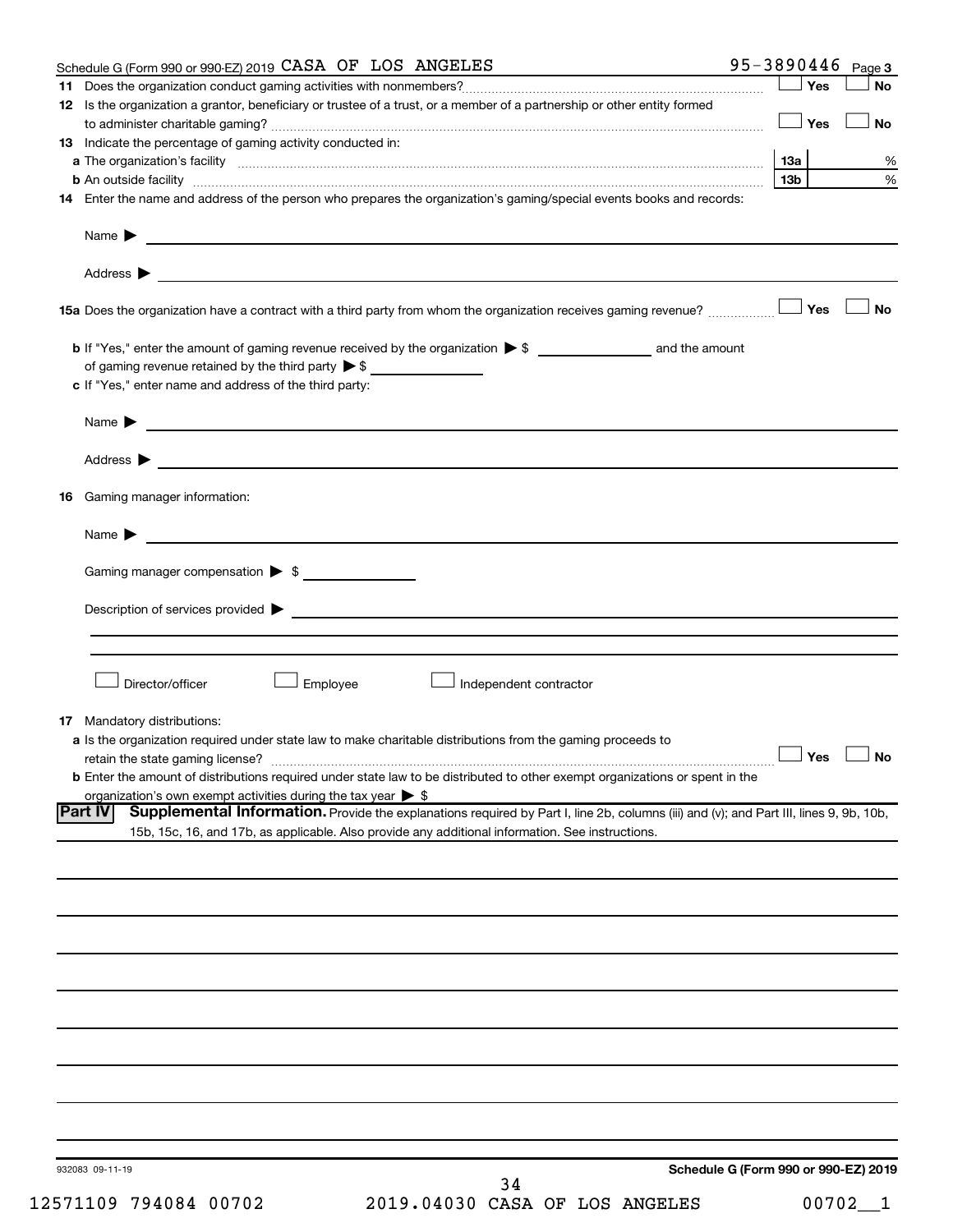| Schedule G (Form 990 or 990-EZ) 2019 CASA OF LOS ANGELES                                                                                                                                                                                 |                 | 95-3890446 $_{Page 3}$               |
|------------------------------------------------------------------------------------------------------------------------------------------------------------------------------------------------------------------------------------------|-----------------|--------------------------------------|
|                                                                                                                                                                                                                                          | ∫ Yes           | No                                   |
| 12 Is the organization a grantor, beneficiary or trustee of a trust, or a member of a partnership or other entity formed                                                                                                                 |                 |                                      |
|                                                                                                                                                                                                                                          | Yes             | No                                   |
| 13 Indicate the percentage of gaming activity conducted in:                                                                                                                                                                              |                 |                                      |
|                                                                                                                                                                                                                                          |                 | %                                    |
| <b>b</b> An outside facility <i>www.communicality.communicality.communicality www.communicality.communicality.communicality</i>                                                                                                          | 13 <sub>b</sub> | $\%$                                 |
| 14 Enter the name and address of the person who prepares the organization's gaming/special events books and records:                                                                                                                     |                 |                                      |
|                                                                                                                                                                                                                                          |                 |                                      |
| Name $\blacktriangleright$<br><u> 1989 - Johann Barbara, martin amerikan basal dan berasal dan berasal dan berasal dari berasal dan berasal dan</u>                                                                                      |                 |                                      |
|                                                                                                                                                                                                                                          |                 |                                      |
|                                                                                                                                                                                                                                          |                 |                                      |
|                                                                                                                                                                                                                                          |                 |                                      |
| 158 Yes                                                                                                                                                                                                                                  |                 | <b>No</b>                            |
|                                                                                                                                                                                                                                          |                 |                                      |
|                                                                                                                                                                                                                                          |                 |                                      |
| of gaming revenue retained by the third party $\triangleright$ \$                                                                                                                                                                        |                 |                                      |
| c If "Yes," enter name and address of the third party:                                                                                                                                                                                   |                 |                                      |
|                                                                                                                                                                                                                                          |                 |                                      |
| Name $\blacktriangleright$                                                                                                                                                                                                               |                 |                                      |
| <u> 1989 - Andrea Stadt Britain, amerikansk politiker (</u>                                                                                                                                                                              |                 |                                      |
|                                                                                                                                                                                                                                          |                 |                                      |
| Address $\blacktriangleright$                                                                                                                                                                                                            |                 |                                      |
| <b>16</b> Gaming manager information:                                                                                                                                                                                                    |                 |                                      |
|                                                                                                                                                                                                                                          |                 |                                      |
|                                                                                                                                                                                                                                          |                 |                                      |
| Name $\blacktriangleright$                                                                                                                                                                                                               |                 |                                      |
| Gaming manager compensation > \$                                                                                                                                                                                                         |                 |                                      |
|                                                                                                                                                                                                                                          |                 |                                      |
|                                                                                                                                                                                                                                          |                 |                                      |
| Description of services provided states and the contract of the contract of the contract of the contract of the contract of the contract of the contract of the contract of the contract of the contract of the contract of th           |                 |                                      |
|                                                                                                                                                                                                                                          |                 |                                      |
|                                                                                                                                                                                                                                          |                 |                                      |
| Director/officer<br>Employee<br>Independent contractor                                                                                                                                                                                   |                 |                                      |
|                                                                                                                                                                                                                                          |                 |                                      |
|                                                                                                                                                                                                                                          |                 |                                      |
| <b>17</b> Mandatory distributions:                                                                                                                                                                                                       |                 |                                      |
| <b>a</b> Is the organization required under state law to make charitable distributions from the gaming proceeds to                                                                                                                       |                 | $\Box$ Yes $\Box$ No                 |
|                                                                                                                                                                                                                                          |                 |                                      |
| <b>b</b> Enter the amount of distributions required under state law to be distributed to other exempt organizations or spent in the                                                                                                      |                 |                                      |
| organization's own exempt activities during the tax year $\triangleright$ \$<br><b>Part IV</b><br>Supplemental Information. Provide the explanations required by Part I, line 2b, columns (iii) and (v); and Part III, lines 9, 9b, 10b, |                 |                                      |
| 15b, 15c, 16, and 17b, as applicable. Also provide any additional information. See instructions.                                                                                                                                         |                 |                                      |
|                                                                                                                                                                                                                                          |                 |                                      |
|                                                                                                                                                                                                                                          |                 |                                      |
|                                                                                                                                                                                                                                          |                 |                                      |
|                                                                                                                                                                                                                                          |                 |                                      |
|                                                                                                                                                                                                                                          |                 |                                      |
|                                                                                                                                                                                                                                          |                 |                                      |
|                                                                                                                                                                                                                                          |                 |                                      |
|                                                                                                                                                                                                                                          |                 |                                      |
|                                                                                                                                                                                                                                          |                 |                                      |
|                                                                                                                                                                                                                                          |                 |                                      |
|                                                                                                                                                                                                                                          |                 |                                      |
|                                                                                                                                                                                                                                          |                 |                                      |
|                                                                                                                                                                                                                                          |                 |                                      |
|                                                                                                                                                                                                                                          |                 |                                      |
|                                                                                                                                                                                                                                          |                 |                                      |
|                                                                                                                                                                                                                                          |                 |                                      |
|                                                                                                                                                                                                                                          |                 |                                      |
|                                                                                                                                                                                                                                          |                 |                                      |
| 932083 09-11-19                                                                                                                                                                                                                          |                 | Schedule G (Form 990 or 990-EZ) 2019 |
| 34                                                                                                                                                                                                                                       |                 |                                      |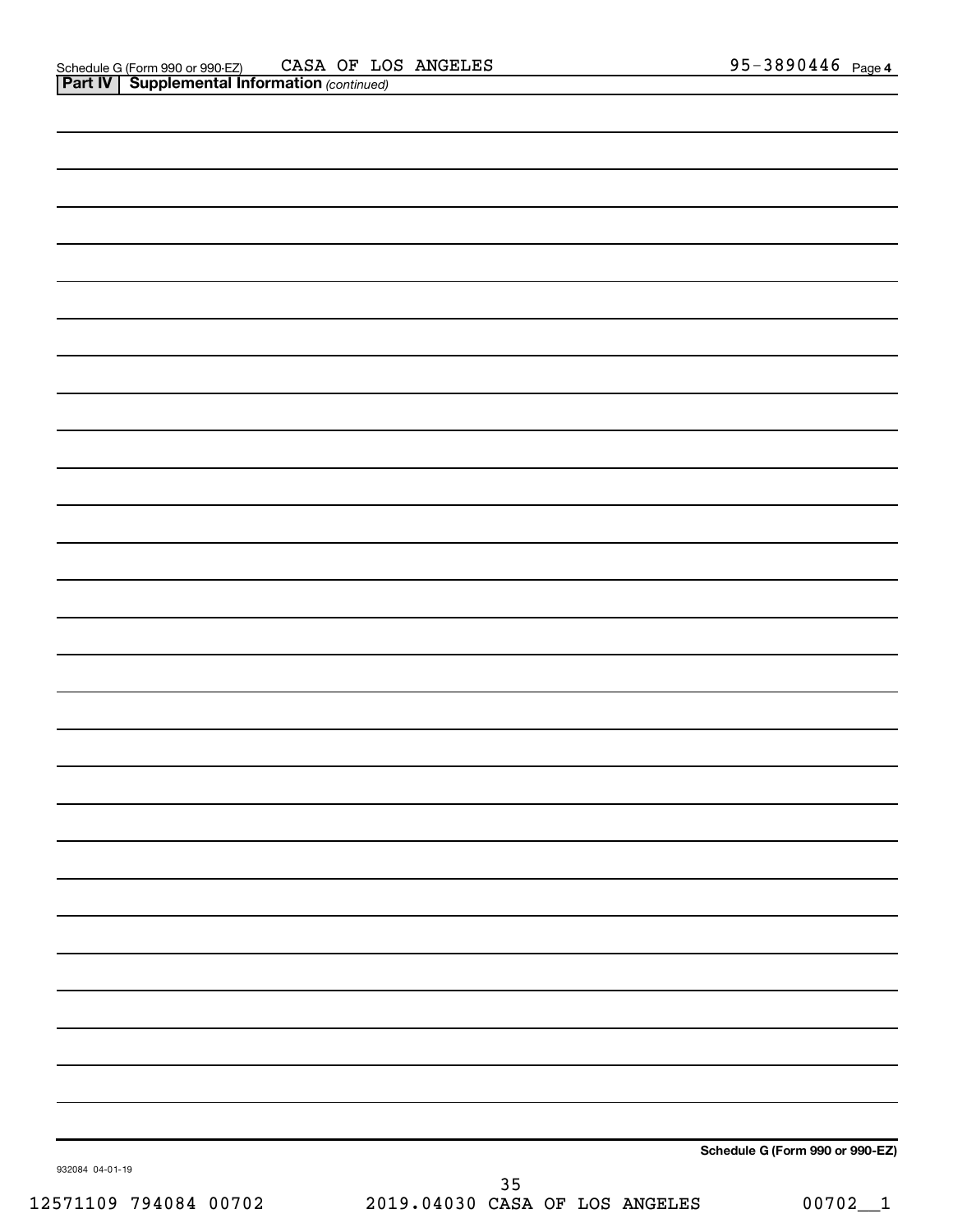|                 |               | Schedule G (Form 990 or 990-EZ) |
|-----------------|---------------|---------------------------------|
| 932084 04-01-19 | $\sim$ $\sim$ |                                 |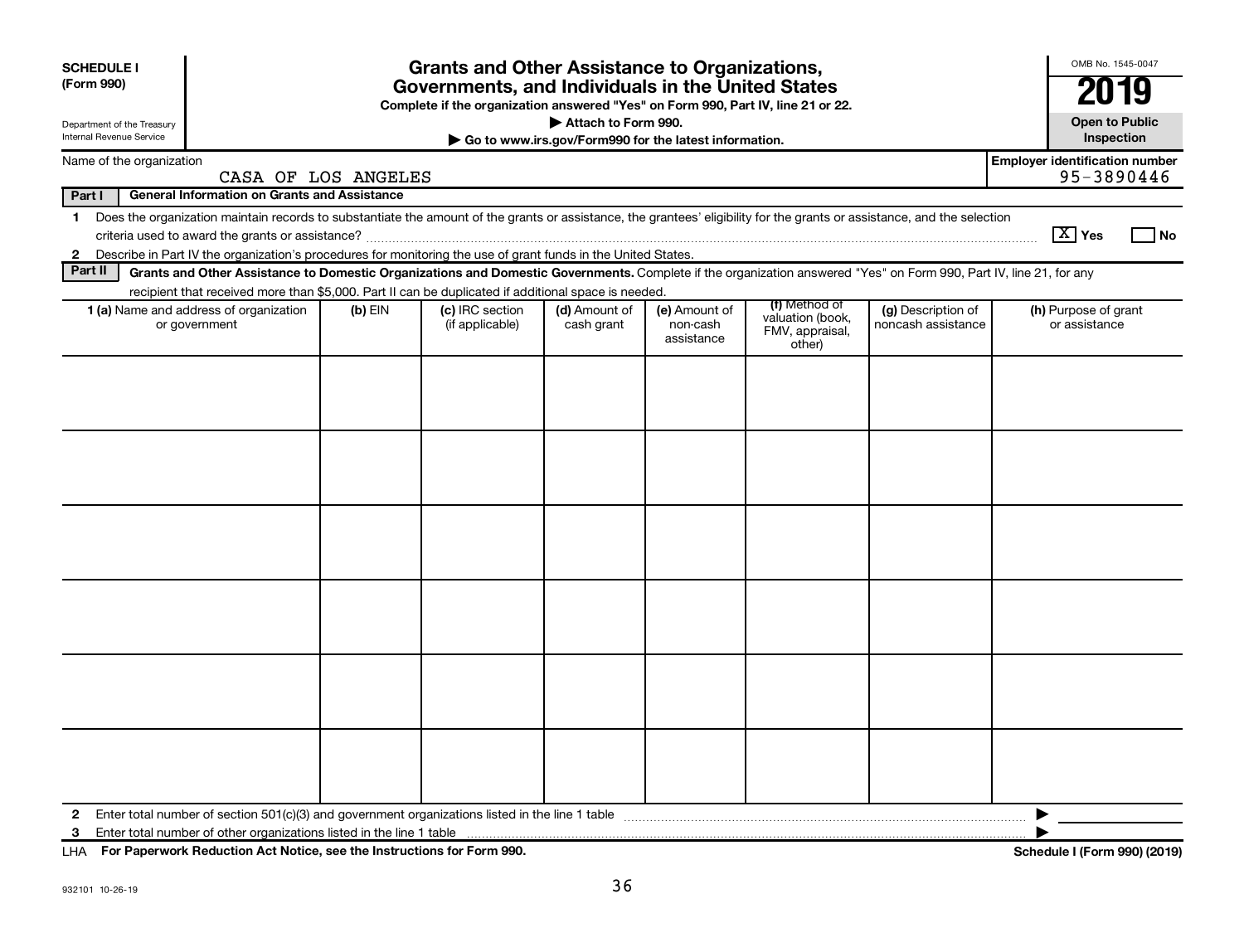| <b>SCHEDULE I</b><br>(Form 990)                                                                                                        |                                                                                                                                                                                                                                                                                             |                     | <b>Grants and Other Assistance to Organizations,</b><br>Governments, and Individuals in the United States<br>Complete if the organization answered "Yes" on Form 990, Part IV, line 21 or 22. |                             |                                         |                                                                |                                          | OMB No. 1545-0047<br><b>Open to Public</b>          |
|----------------------------------------------------------------------------------------------------------------------------------------|---------------------------------------------------------------------------------------------------------------------------------------------------------------------------------------------------------------------------------------------------------------------------------------------|---------------------|-----------------------------------------------------------------------------------------------------------------------------------------------------------------------------------------------|-----------------------------|-----------------------------------------|----------------------------------------------------------------|------------------------------------------|-----------------------------------------------------|
| Attach to Form 990.<br>Department of the Treasury<br>Internal Revenue Service<br>Go to www.irs.gov/Form990 for the latest information. |                                                                                                                                                                                                                                                                                             |                     |                                                                                                                                                                                               |                             |                                         |                                                                |                                          |                                                     |
|                                                                                                                                        | Name of the organization                                                                                                                                                                                                                                                                    | CASA OF LOS ANGELES |                                                                                                                                                                                               |                             |                                         |                                                                |                                          | <b>Employer identification number</b><br>95-3890446 |
| Part I                                                                                                                                 | <b>General Information on Grants and Assistance</b>                                                                                                                                                                                                                                         |                     |                                                                                                                                                                                               |                             |                                         |                                                                |                                          |                                                     |
| $\mathbf 1$                                                                                                                            | Does the organization maintain records to substantiate the amount of the grants or assistance, the grantees' eligibility for the grants or assistance, and the selection<br>2 Describe in Part IV the organization's procedures for monitoring the use of grant funds in the United States. |                     |                                                                                                                                                                                               |                             |                                         |                                                                |                                          | $ \mathbf{X} $ Yes<br>l No                          |
| Part II                                                                                                                                | Grants and Other Assistance to Domestic Organizations and Domestic Governments. Complete if the organization answered "Yes" on Form 990, Part IV, line 21, for any                                                                                                                          |                     |                                                                                                                                                                                               |                             |                                         |                                                                |                                          |                                                     |
|                                                                                                                                        | recipient that received more than \$5,000. Part II can be duplicated if additional space is needed.                                                                                                                                                                                         |                     |                                                                                                                                                                                               |                             |                                         |                                                                |                                          |                                                     |
|                                                                                                                                        | <b>1 (a)</b> Name and address of organization<br>or government                                                                                                                                                                                                                              | $(b)$ EIN           | (c) IRC section<br>(if applicable)                                                                                                                                                            | (d) Amount of<br>cash grant | (e) Amount of<br>non-cash<br>assistance | (f) Method of<br>valuation (book,<br>FMV, appraisal,<br>other) | (g) Description of<br>noncash assistance | (h) Purpose of grant<br>or assistance               |
|                                                                                                                                        |                                                                                                                                                                                                                                                                                             |                     |                                                                                                                                                                                               |                             |                                         |                                                                |                                          |                                                     |
|                                                                                                                                        |                                                                                                                                                                                                                                                                                             |                     |                                                                                                                                                                                               |                             |                                         |                                                                |                                          |                                                     |
|                                                                                                                                        |                                                                                                                                                                                                                                                                                             |                     |                                                                                                                                                                                               |                             |                                         |                                                                |                                          |                                                     |
|                                                                                                                                        |                                                                                                                                                                                                                                                                                             |                     |                                                                                                                                                                                               |                             |                                         |                                                                |                                          |                                                     |
| $\mathbf{2}$<br>3                                                                                                                      |                                                                                                                                                                                                                                                                                             |                     |                                                                                                                                                                                               |                             |                                         |                                                                |                                          | ▶                                                   |

**For Paperwork Reduction Act Notice, see the Instructions for Form 990. Schedule I (Form 990) (2019)** LHA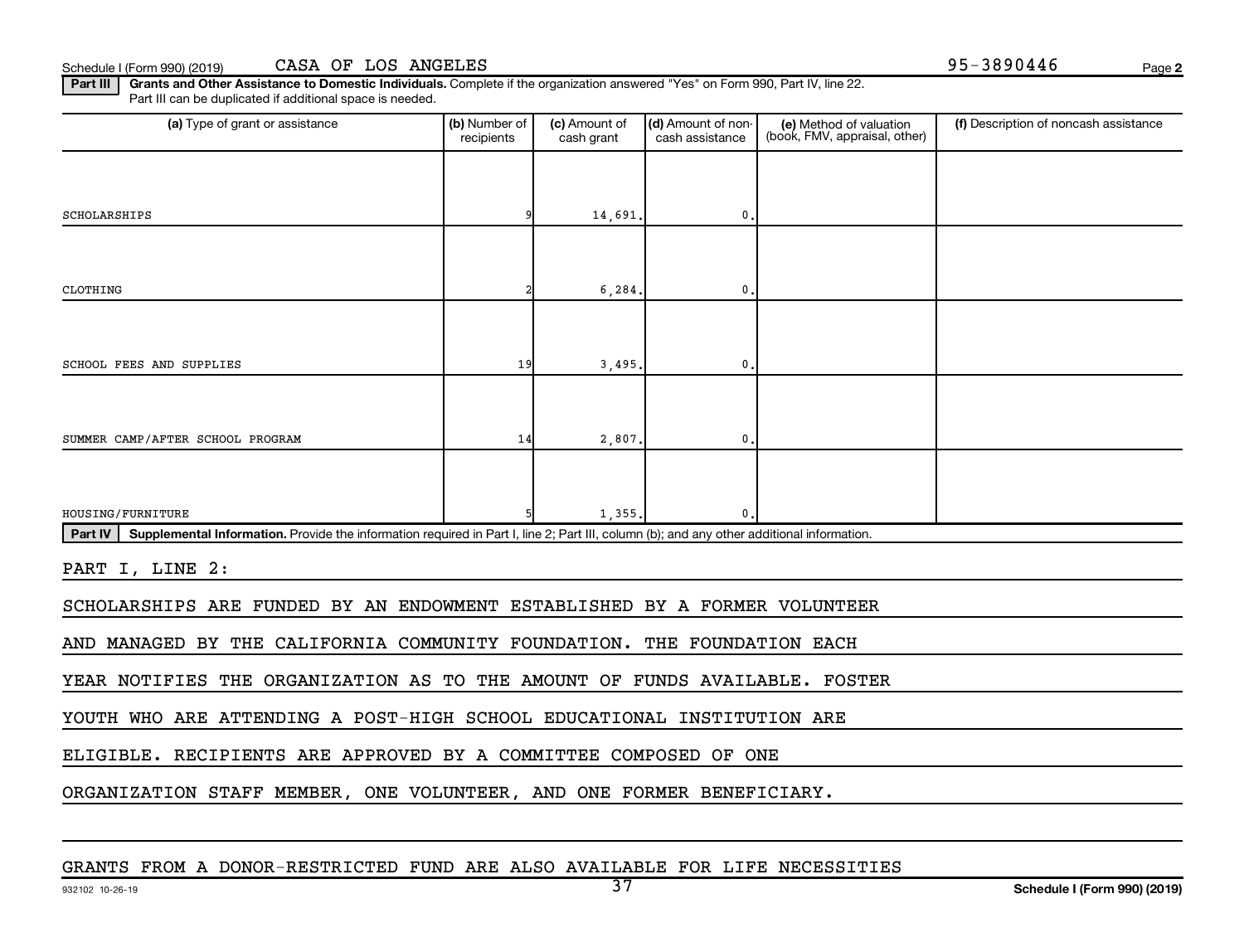**2**

Part III | Grants and Other Assistance to Domestic Individuals. Complete if the organization answered "Yes" on Form 990, Part IV, line 22. Part III can be duplicated if additional space is needed.

| (a) Type of grant or assistance                                                                                                                      | (b) Number of<br>recipients | (c) Amount of<br>cash grant | (d) Amount of non-<br>cash assistance | (e) Method of valuation<br>(book, FMV, appraisal, other) | (f) Description of noncash assistance |  |  |
|------------------------------------------------------------------------------------------------------------------------------------------------------|-----------------------------|-----------------------------|---------------------------------------|----------------------------------------------------------|---------------------------------------|--|--|
|                                                                                                                                                      |                             |                             |                                       |                                                          |                                       |  |  |
| SCHOLARSHIPS                                                                                                                                         |                             | 14,691.                     | $\mathbf 0$                           |                                                          |                                       |  |  |
|                                                                                                                                                      |                             |                             |                                       |                                                          |                                       |  |  |
| CLOTHING                                                                                                                                             |                             | 6, 284.                     | 0.                                    |                                                          |                                       |  |  |
|                                                                                                                                                      |                             |                             |                                       |                                                          |                                       |  |  |
| SCHOOL FEES AND SUPPLIES                                                                                                                             | 19                          | 3,495                       | $\mathbf{0}$                          |                                                          |                                       |  |  |
|                                                                                                                                                      |                             |                             |                                       |                                                          |                                       |  |  |
| SUMMER CAMP/AFTER SCHOOL PROGRAM                                                                                                                     | 14                          | 2,807.                      | $\mathbf 0$                           |                                                          |                                       |  |  |
|                                                                                                                                                      |                             |                             |                                       |                                                          |                                       |  |  |
| HOUSING/FURNITURE                                                                                                                                    |                             | 1,355,                      | $\mathbf 0$                           |                                                          |                                       |  |  |
| Part IV<br>Supplemental Information. Provide the information required in Part I, line 2; Part III, column (b); and any other additional information. |                             |                             |                                       |                                                          |                                       |  |  |
| PART I, LINE 2:                                                                                                                                      |                             |                             |                                       |                                                          |                                       |  |  |
| SCHOLARSHIPS ARE FUNDED BY AN ENDOWMENT ESTABLISHED BY A FORMER VOLUNTEER                                                                            |                             |                             |                                       |                                                          |                                       |  |  |
| AND MANAGED BY THE CALIFORNIA COMMUNITY FOUNDATION. THE FOUNDATION EACH                                                                              |                             |                             |                                       |                                                          |                                       |  |  |
| YEAR NOTIFIES THE ORGANIZATION AS TO THE AMOUNT OF FUNDS AVAILABLE. FOSTER                                                                           |                             |                             |                                       |                                                          |                                       |  |  |
| YOUTH WHO ARE ATTENDING A POST-HIGH SCHOOL EDUCATIONAL INSTITUTION ARE                                                                               |                             |                             |                                       |                                                          |                                       |  |  |
| ELIGIBLE. RECIPIENTS ARE APPROVED BY A COMMITTEE COMPOSED OF ONE                                                                                     |                             |                             |                                       |                                                          |                                       |  |  |
| ORGANIZATION STAFF MEMBER, ONE VOLUNTEER, AND ONE FORMER BENEFICIARY.                                                                                |                             |                             |                                       |                                                          |                                       |  |  |
|                                                                                                                                                      |                             |                             |                                       |                                                          |                                       |  |  |

# GRANTS FROM A DONOR-RESTRICTED FUND ARE ALSO AVAILABLE FOR LIFE NECESSITIES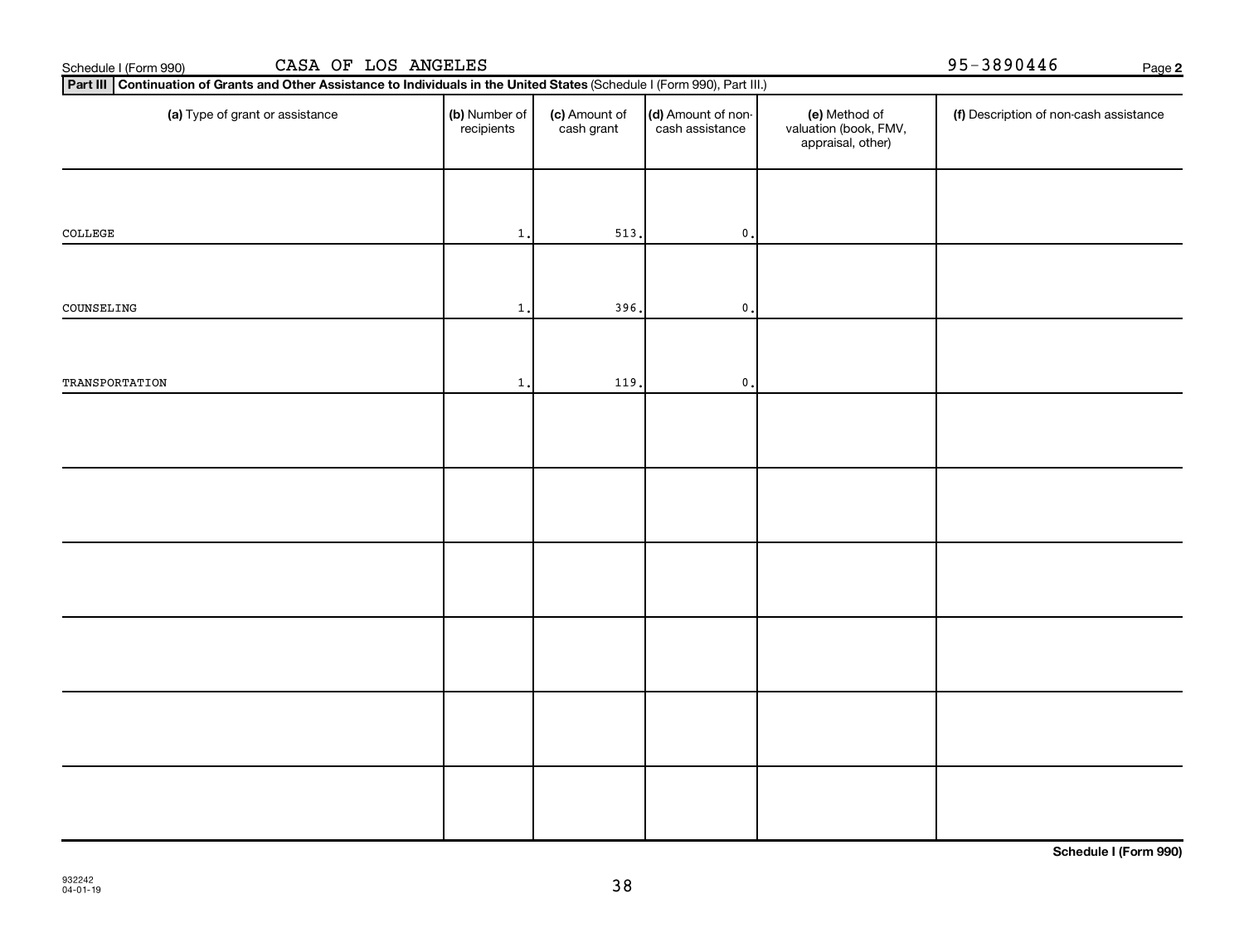| CASA OF LOS ANGELES<br>Schedule I (Form 990) | 95-3890446                                                                                                                  | Page 2                      |                                       |                                                             |                                        |  |  |  |  |
|----------------------------------------------|-----------------------------------------------------------------------------------------------------------------------------|-----------------------------|---------------------------------------|-------------------------------------------------------------|----------------------------------------|--|--|--|--|
|                                              | Part III Continuation of Grants and Other Assistance to Individuals in the United States (Schedule I (Form 990), Part III.) |                             |                                       |                                                             |                                        |  |  |  |  |
| (a) Type of grant or assistance              | (b) Number of<br>recipients                                                                                                 | (c) Amount of<br>cash grant | (d) Amount of non-<br>cash assistance | (e) Method of<br>valuation (book, FMV,<br>appraisal, other) | (f) Description of non-cash assistance |  |  |  |  |
|                                              |                                                                                                                             |                             |                                       |                                                             |                                        |  |  |  |  |
| COLLEGE                                      | 1.                                                                                                                          | 513.                        | $\mathfrak o$ .                       |                                                             |                                        |  |  |  |  |
| COUNSELING                                   | $\mathbf{1}$                                                                                                                | 396.                        | $\mathfrak o$ .                       |                                                             |                                        |  |  |  |  |
|                                              |                                                                                                                             |                             |                                       |                                                             |                                        |  |  |  |  |
| TRANSPORTATION                               | 1.                                                                                                                          | 119.                        | $\mathfrak o$ .                       |                                                             |                                        |  |  |  |  |
|                                              |                                                                                                                             |                             |                                       |                                                             |                                        |  |  |  |  |
|                                              |                                                                                                                             |                             |                                       |                                                             |                                        |  |  |  |  |
|                                              |                                                                                                                             |                             |                                       |                                                             |                                        |  |  |  |  |
|                                              |                                                                                                                             |                             |                                       |                                                             |                                        |  |  |  |  |
|                                              |                                                                                                                             |                             |                                       |                                                             |                                        |  |  |  |  |
|                                              |                                                                                                                             |                             |                                       |                                                             |                                        |  |  |  |  |
|                                              |                                                                                                                             |                             |                                       |                                                             | .                                      |  |  |  |  |

**Schedule I (Form 990)**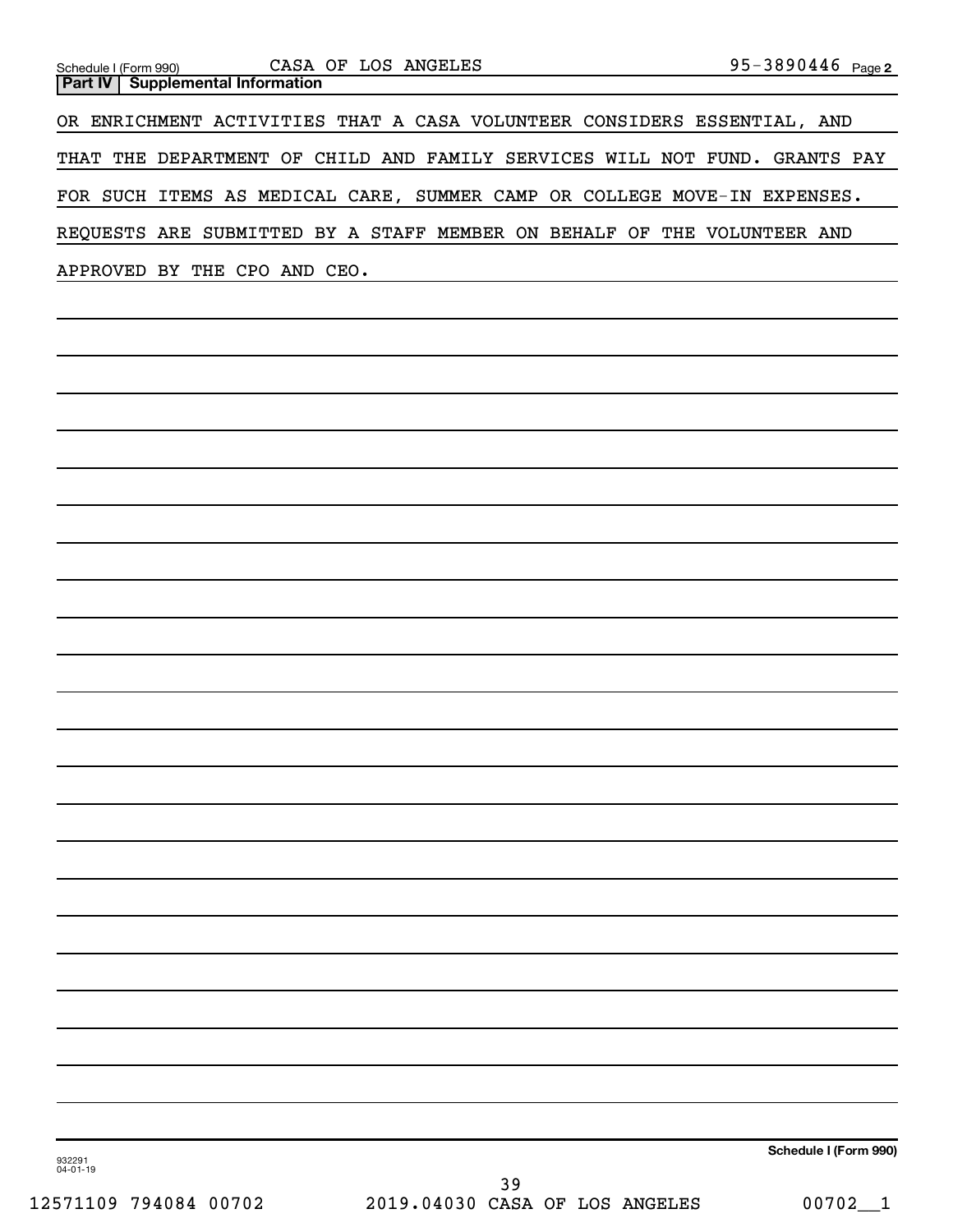| Schedule I (Form 990)<br><b>Supplemental Information</b><br>Part IV | CASA OF LOS ANGELES                                                        | 95-3890446 Page 2     |
|---------------------------------------------------------------------|----------------------------------------------------------------------------|-----------------------|
|                                                                     | OR ENRICHMENT ACTIVITIES THAT A CASA VOLUNTEER CONSIDERS ESSENTIAL, AND    |                       |
|                                                                     | THAT THE DEPARTMENT OF CHILD AND FAMILY SERVICES WILL NOT FUND. GRANTS PAY |                       |
|                                                                     | FOR SUCH ITEMS AS MEDICAL CARE, SUMMER CAMP OR COLLEGE MOVE-IN EXPENSES.   |                       |
|                                                                     | REQUESTS ARE SUBMITTED BY A STAFF MEMBER ON BEHALF OF THE VOLUNTEER AND    |                       |
| APPROVED BY THE CPO AND CEO.                                        | <u> 1980 - Johann Barn, amerikansk politiker (d. 1980)</u>                 |                       |
|                                                                     |                                                                            |                       |
|                                                                     |                                                                            |                       |
|                                                                     |                                                                            |                       |
|                                                                     |                                                                            |                       |
|                                                                     |                                                                            |                       |
|                                                                     |                                                                            |                       |
|                                                                     |                                                                            |                       |
|                                                                     |                                                                            |                       |
|                                                                     |                                                                            |                       |
|                                                                     |                                                                            |                       |
|                                                                     |                                                                            |                       |
|                                                                     |                                                                            |                       |
|                                                                     |                                                                            |                       |
|                                                                     |                                                                            |                       |
|                                                                     |                                                                            |                       |
|                                                                     |                                                                            |                       |
|                                                                     |                                                                            |                       |
|                                                                     |                                                                            |                       |
|                                                                     |                                                                            |                       |
|                                                                     |                                                                            |                       |
|                                                                     |                                                                            |                       |
|                                                                     |                                                                            |                       |
|                                                                     |                                                                            |                       |
| 932291                                                              |                                                                            | Schedule I (Form 990) |
| $04 - 01 - 19$<br>12571109 794084 00702                             | 39<br>2019.04030 CASA OF LOS ANGELES                                       | $00702 - 1$           |
|                                                                     |                                                                            |                       |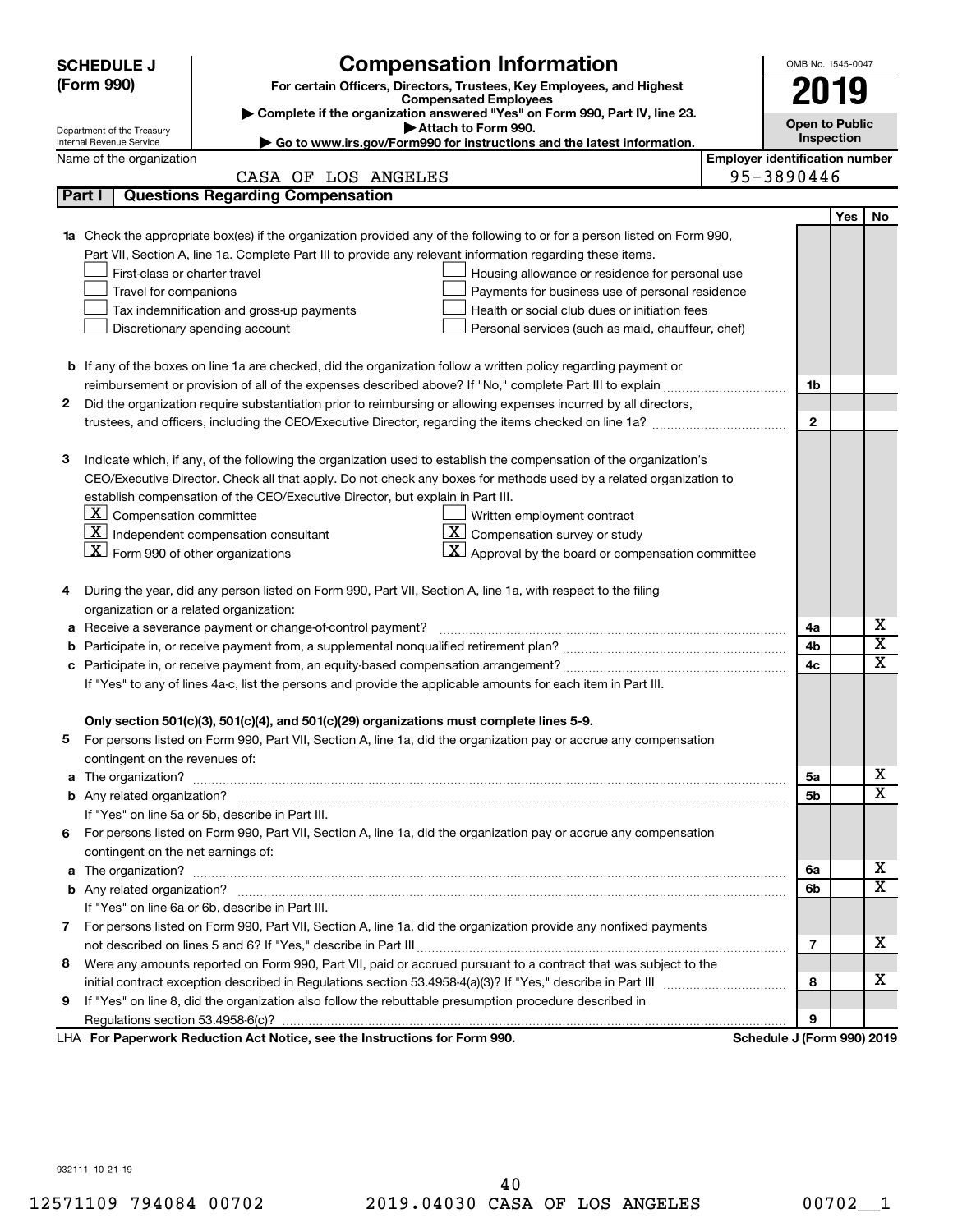|    | <b>SCHEDULE J</b>                                                                   | <b>Compensation Information</b>                                                                                                  |                                       | OMB No. 1545-0047          |            |                         |  |
|----|-------------------------------------------------------------------------------------|----------------------------------------------------------------------------------------------------------------------------------|---------------------------------------|----------------------------|------------|-------------------------|--|
|    | (Form 990)<br>For certain Officers, Directors, Trustees, Key Employees, and Highest |                                                                                                                                  |                                       |                            | 2019       |                         |  |
|    |                                                                                     | <b>Compensated Employees</b><br>Complete if the organization answered "Yes" on Form 990, Part IV, line 23.                       |                                       |                            |            |                         |  |
|    | Department of the Treasury                                                          | Attach to Form 990.                                                                                                              |                                       | <b>Open to Public</b>      |            |                         |  |
|    | Internal Revenue Service                                                            | Go to www.irs.gov/Form990 for instructions and the latest information.                                                           |                                       |                            | Inspection |                         |  |
|    | Name of the organization                                                            |                                                                                                                                  | <b>Employer identification number</b> |                            |            |                         |  |
|    |                                                                                     | CASA OF LOS ANGELES                                                                                                              |                                       | 95-3890446                 |            |                         |  |
|    | Part I                                                                              | <b>Questions Regarding Compensation</b>                                                                                          |                                       |                            |            |                         |  |
|    |                                                                                     |                                                                                                                                  |                                       |                            | <b>Yes</b> | No                      |  |
| 1a |                                                                                     | Check the appropriate box(es) if the organization provided any of the following to or for a person listed on Form 990,           |                                       |                            |            |                         |  |
|    |                                                                                     | Part VII, Section A, line 1a. Complete Part III to provide any relevant information regarding these items.                       |                                       |                            |            |                         |  |
|    | First-class or charter travel                                                       | Housing allowance or residence for personal use                                                                                  |                                       |                            |            |                         |  |
|    | Travel for companions                                                               | Payments for business use of personal residence                                                                                  |                                       |                            |            |                         |  |
|    |                                                                                     | Health or social club dues or initiation fees<br>Tax indemnification and gross-up payments                                       |                                       |                            |            |                         |  |
|    |                                                                                     | Discretionary spending account<br>Personal services (such as maid, chauffeur, chef)                                              |                                       |                            |            |                         |  |
|    |                                                                                     |                                                                                                                                  |                                       |                            |            |                         |  |
|    |                                                                                     | <b>b</b> If any of the boxes on line 1a are checked, did the organization follow a written policy regarding payment or           |                                       |                            |            |                         |  |
|    |                                                                                     |                                                                                                                                  |                                       | 1b                         |            |                         |  |
| 2  |                                                                                     | Did the organization require substantiation prior to reimbursing or allowing expenses incurred by all directors,                 |                                       |                            |            |                         |  |
|    |                                                                                     | trustees, and officers, including the CEO/Executive Director, regarding the items checked on line 1a?                            |                                       | $\mathbf{2}$               |            |                         |  |
|    |                                                                                     |                                                                                                                                  |                                       |                            |            |                         |  |
| з  |                                                                                     | Indicate which, if any, of the following the organization used to establish the compensation of the organization's               |                                       |                            |            |                         |  |
|    |                                                                                     | CEO/Executive Director. Check all that apply. Do not check any boxes for methods used by a related organization to               |                                       |                            |            |                         |  |
|    | $ \mathbf{X} $ Compensation committee                                               | establish compensation of the CEO/Executive Director, but explain in Part III.                                                   |                                       |                            |            |                         |  |
|    |                                                                                     | Written employment contract<br>$ \mathbf{X} $ Independent compensation consultant<br>$ \mathbf{X} $ Compensation survey or study |                                       |                            |            |                         |  |
|    | $ \mathbf{X} $ Form 990 of other organizations                                      | $ \mathbf{X} $ Approval by the board or compensation committee                                                                   |                                       |                            |            |                         |  |
|    |                                                                                     |                                                                                                                                  |                                       |                            |            |                         |  |
| 4  |                                                                                     | During the year, did any person listed on Form 990, Part VII, Section A, line 1a, with respect to the filing                     |                                       |                            |            |                         |  |
|    | organization or a related organization:                                             |                                                                                                                                  |                                       |                            |            |                         |  |
| а  |                                                                                     | Receive a severance payment or change-of-control payment?                                                                        |                                       | 4a                         |            | х                       |  |
| b  |                                                                                     |                                                                                                                                  |                                       | 4b                         |            | $\overline{\textbf{x}}$ |  |
| c  |                                                                                     |                                                                                                                                  |                                       | 4c                         |            | X                       |  |
|    |                                                                                     | If "Yes" to any of lines 4a-c, list the persons and provide the applicable amounts for each item in Part III.                    |                                       |                            |            |                         |  |
|    |                                                                                     |                                                                                                                                  |                                       |                            |            |                         |  |
|    |                                                                                     | Only section 501(c)(3), 501(c)(4), and 501(c)(29) organizations must complete lines 5-9.                                         |                                       |                            |            |                         |  |
|    |                                                                                     | For persons listed on Form 990, Part VII, Section A, line 1a, did the organization pay or accrue any compensation                |                                       |                            |            |                         |  |
|    | contingent on the revenues of:                                                      |                                                                                                                                  |                                       |                            |            |                         |  |
|    |                                                                                     |                                                                                                                                  |                                       | 5a                         |            | х                       |  |
|    |                                                                                     |                                                                                                                                  |                                       | 5b                         |            | X                       |  |
|    |                                                                                     | If "Yes" on line 5a or 5b, describe in Part III.                                                                                 |                                       |                            |            |                         |  |
| 6. |                                                                                     | For persons listed on Form 990, Part VII, Section A, line 1a, did the organization pay or accrue any compensation                |                                       |                            |            |                         |  |
|    | contingent on the net earnings of:                                                  |                                                                                                                                  |                                       |                            |            |                         |  |
|    |                                                                                     |                                                                                                                                  |                                       | 6a                         |            | х                       |  |
|    |                                                                                     |                                                                                                                                  |                                       | 6b                         |            | X                       |  |
|    |                                                                                     | If "Yes" on line 6a or 6b, describe in Part III.                                                                                 |                                       |                            |            |                         |  |
|    |                                                                                     | 7 For persons listed on Form 990, Part VII, Section A, line 1a, did the organization provide any nonfixed payments               |                                       |                            |            |                         |  |
|    |                                                                                     |                                                                                                                                  |                                       | 7                          |            | x                       |  |
| 8  |                                                                                     | Were any amounts reported on Form 990, Part VII, paid or accrued pursuant to a contract that was subject to the                  |                                       |                            |            |                         |  |
|    |                                                                                     |                                                                                                                                  |                                       | 8                          |            | x                       |  |
| 9  |                                                                                     | If "Yes" on line 8, did the organization also follow the rebuttable presumption procedure described in                           |                                       |                            |            |                         |  |
|    |                                                                                     |                                                                                                                                  |                                       | 9                          |            |                         |  |
|    |                                                                                     | LHA For Paperwork Reduction Act Notice, see the Instructions for Form 990.                                                       |                                       | Schedule J (Form 990) 2019 |            |                         |  |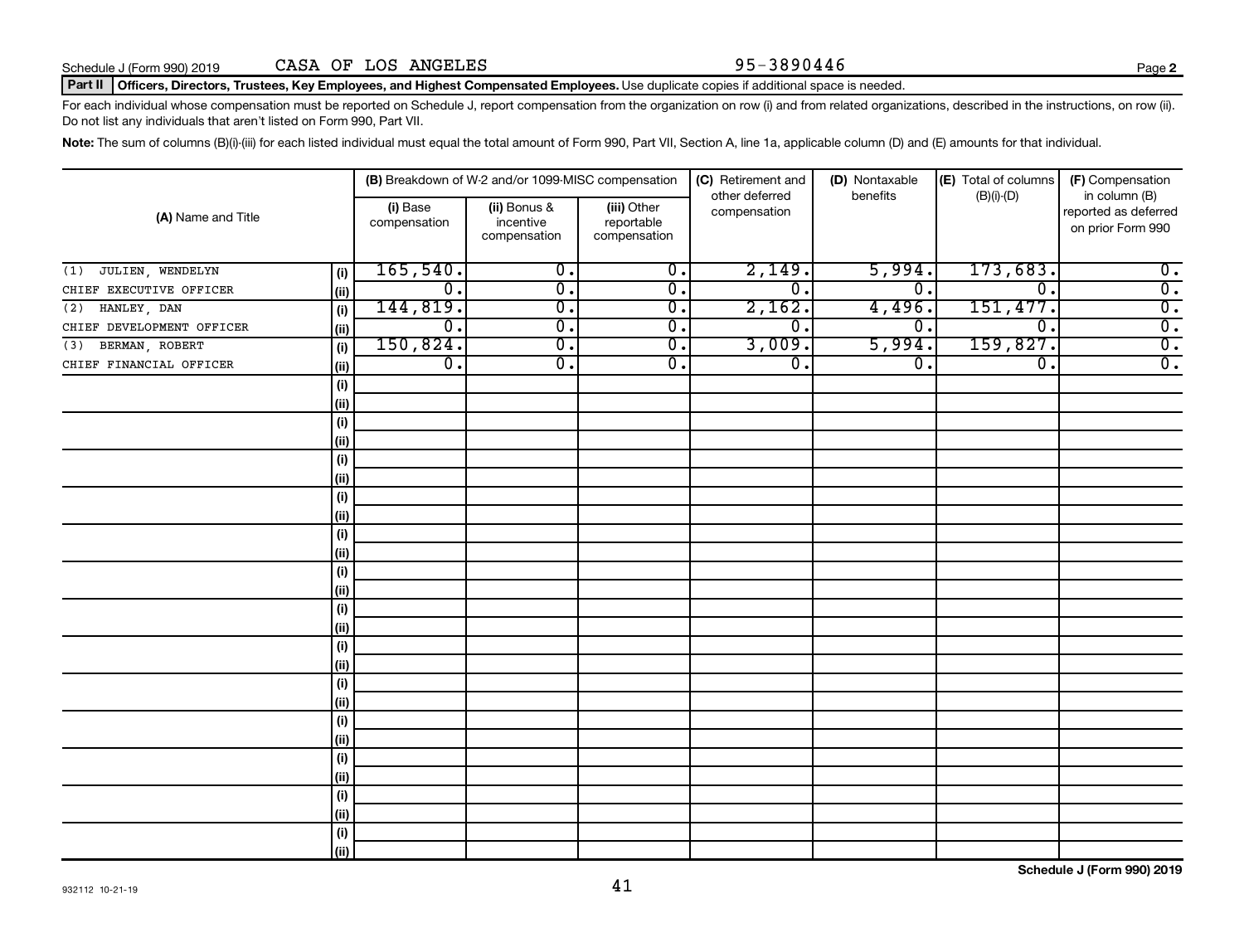### Part II | Officers, Directors, Trustees, Key Employees, and Highest Compensated Employees. Use duplicate copies if additional space is needed.

For each individual whose compensation must be reported on Schedule J, report compensation from the organization on row (i) and from related organizations, described in the instructions, on row (ii). Do not list any individuals that aren't listed on Form 990, Part VII.

Note: The sum of columns (B)(i)-(iii) for each listed individual must equal the total amount of Form 990, Part VII, Section A, line 1a, applicable column (D) and (E) amounts for that individual.

| (A) Name and Title        |       |                          | (B) Breakdown of W-2 and/or 1099-MISC compensation |                                           | (C) Retirement and             | (D) Nontaxable   | (E) Total of columns        | (F) Compensation                                           |
|---------------------------|-------|--------------------------|----------------------------------------------------|-------------------------------------------|--------------------------------|------------------|-----------------------------|------------------------------------------------------------|
|                           |       | (i) Base<br>compensation | (ii) Bonus &<br>incentive<br>compensation          | (iii) Other<br>reportable<br>compensation | other deferred<br>compensation | benefits         | $(B)(i)$ - $(D)$            | in column (B)<br>reported as deferred<br>on prior Form 990 |
| JULIEN, WENDELYN<br>(1)   | (i)   | 165,540.                 | $\overline{0}$ .                                   | $\overline{0}$ .                          | 2,149.                         | 5,994.           | 173,683.                    | $\overline{\mathbf{0}}$ .                                  |
| CHIEF EXECUTIVE OFFICER   | (ii)  | $\overline{0}$ .         | $\overline{\mathbf{0}}$ .                          | $\overline{0}$ .                          | $\overline{0}$ .               | $\overline{0}$ . | $\overline{\mathfrak{o}}$ . | $\overline{0}$ .                                           |
| HANLEY, DAN<br>(2)        | (i)   | 144,819.                 | $\overline{\mathfrak{o}}$ .                        | $\overline{\mathbf{0}}$ .                 | 2,162.                         | 4,496.           | 151,477.                    | $\overline{0}$ .                                           |
| CHIEF DEVELOPMENT OFFICER | (ii)  | $\overline{0}$ .         | $\overline{0}$ .                                   | $\overline{0}$ .                          | $\overline{0}$ .               | $0 \, .$         | $\overline{\mathfrak{o}}$ . | $\overline{0}$ .                                           |
| BERMAN, ROBERT<br>(3)     | (i)   | 150,824.                 | $\overline{\mathfrak{o}}$ .                        | $\overline{0}$ .                          | 3,009.                         | 5,994.           | 159,827.                    | $\overline{0}$ .                                           |
| CHIEF FINANCIAL OFFICER   | (ii)  | $\overline{0}$ .         | $\overline{0}$ .                                   | $\overline{0}$ .                          | $\overline{0}$ .               | σ.               | $\overline{\mathfrak{o}}$ . | $\overline{0}$ .                                           |
|                           | (i)   |                          |                                                    |                                           |                                |                  |                             |                                                            |
|                           | (ii)  |                          |                                                    |                                           |                                |                  |                             |                                                            |
|                           | (i)   |                          |                                                    |                                           |                                |                  |                             |                                                            |
|                           | (ii)  |                          |                                                    |                                           |                                |                  |                             |                                                            |
|                           | (i)   |                          |                                                    |                                           |                                |                  |                             |                                                            |
|                           | (ii)  |                          |                                                    |                                           |                                |                  |                             |                                                            |
|                           | (i)   |                          |                                                    |                                           |                                |                  |                             |                                                            |
|                           | (ii)  |                          |                                                    |                                           |                                |                  |                             |                                                            |
|                           | (i)   |                          |                                                    |                                           |                                |                  |                             |                                                            |
|                           | (ii)  |                          |                                                    |                                           |                                |                  |                             |                                                            |
|                           | (i)   |                          |                                                    |                                           |                                |                  |                             |                                                            |
|                           | (ii)  |                          |                                                    |                                           |                                |                  |                             |                                                            |
|                           | (i)   |                          |                                                    |                                           |                                |                  |                             |                                                            |
|                           | (ii)  |                          |                                                    |                                           |                                |                  |                             |                                                            |
|                           | (i)   |                          |                                                    |                                           |                                |                  |                             |                                                            |
|                           | (ii)  |                          |                                                    |                                           |                                |                  |                             |                                                            |
|                           | (i)   |                          |                                                    |                                           |                                |                  |                             |                                                            |
|                           | (ii)  |                          |                                                    |                                           |                                |                  |                             |                                                            |
|                           | (i)   |                          |                                                    |                                           |                                |                  |                             |                                                            |
|                           | (ii)  |                          |                                                    |                                           |                                |                  |                             |                                                            |
|                           | (i)   |                          |                                                    |                                           |                                |                  |                             |                                                            |
|                           | (ii)  |                          |                                                    |                                           |                                |                  |                             |                                                            |
|                           | (i)   |                          |                                                    |                                           |                                |                  |                             |                                                            |
|                           | (ii)  |                          |                                                    |                                           |                                |                  |                             |                                                            |
|                           | (i)   |                          |                                                    |                                           |                                |                  |                             |                                                            |
|                           | (iii) |                          |                                                    |                                           |                                |                  |                             |                                                            |

**Schedule J (Form 990) 2019**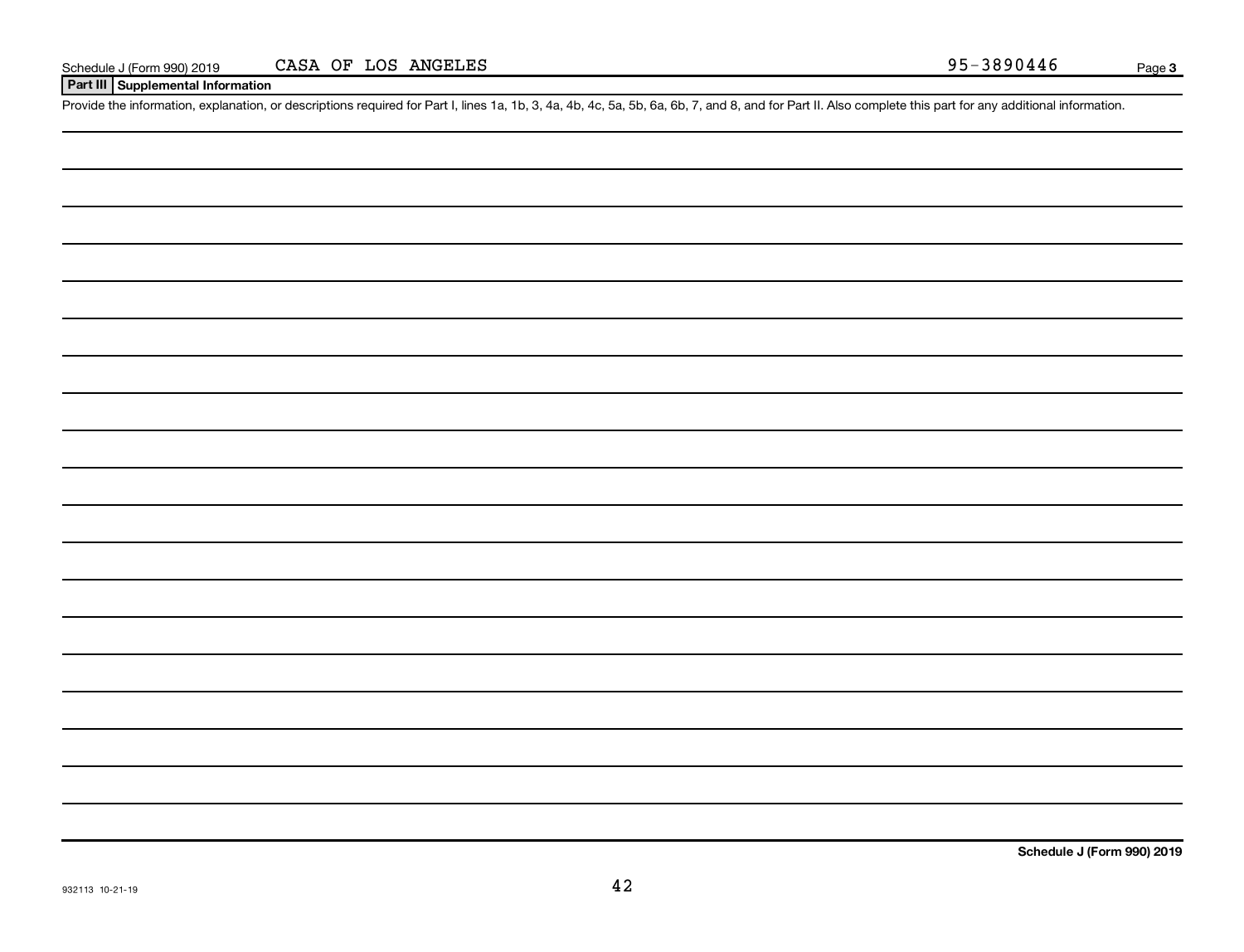# **Part III Supplemental Information**

Provide the information, explanation, or descriptions required for Part I, lines 1a, 1b, 3, 4a, 4b, 4c, 5a, 5b, 6a, 6b, 7, and 8, and for Part II. Also complete this part for any additional information.

**Schedule J (Form 990) 2019**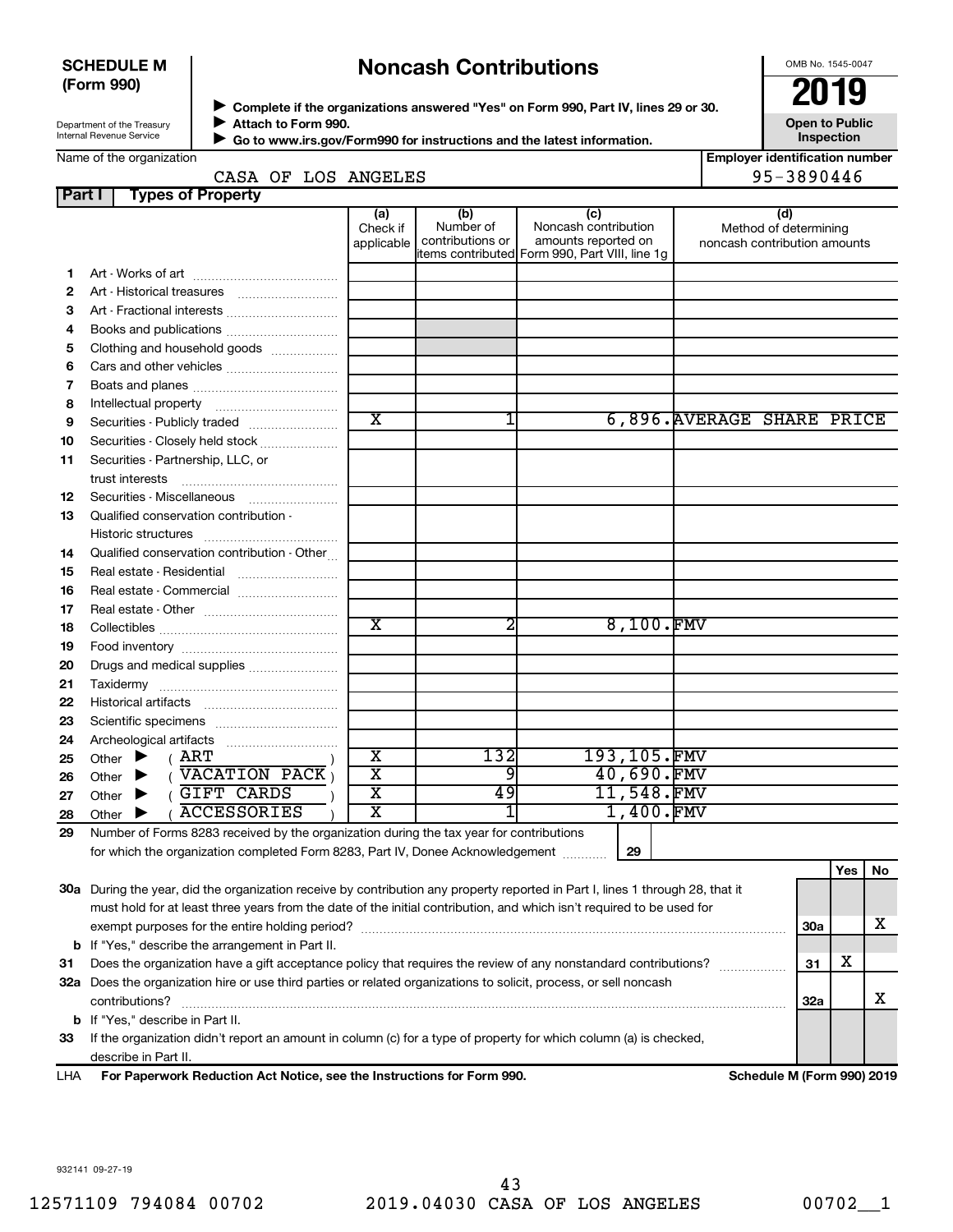# **SCHEDULE M (Form 990)**

# **Noncash Contributions**

OMB No. 1545-0047

**Employer identification number**

95-3890446

| Department of the Treasury |  |
|----------------------------|--|
| Internal Revenue Service   |  |

◆ Complete if the organizations answered "Yes" on Form 990, Part IV, lines 29 or 30.<br>▶ Complete if the organizations answered "Yes" on Form 990, Part IV, lines 29 or 30. **Attach to Form 990.**  $\blacktriangleright$ 

**Open to Public Inspection**

|  | Name of the organization |
|--|--------------------------|
|  |                          |
|  |                          |
|  |                          |

 **Go to www.irs.gov/Form990 for instructions and the latest information.** J

| <b>Part L. Types of Property</b> |  |                     |  |
|----------------------------------|--|---------------------|--|
|                                  |  | CASA OF LOS ANGELES |  |
|                                  |  |                     |  |

| , a, c, | עו וסקטו ו וט כשקעו                                                                                                            | (a)                     | (b)                           | (c)                                            | (d)                                                   |
|---------|--------------------------------------------------------------------------------------------------------------------------------|-------------------------|-------------------------------|------------------------------------------------|-------------------------------------------------------|
|         |                                                                                                                                | Check if<br>applicable  | Number of<br>contributions or | Noncash contribution<br>amounts reported on    | Method of determining<br>noncash contribution amounts |
|         |                                                                                                                                |                         |                               | items contributed Form 990, Part VIII, line 1q |                                                       |
| 1.      |                                                                                                                                |                         |                               |                                                |                                                       |
| 2       |                                                                                                                                |                         |                               |                                                |                                                       |
| 3       | Art - Fractional interests                                                                                                     |                         |                               |                                                |                                                       |
| 4       | Books and publications                                                                                                         |                         |                               |                                                |                                                       |
| 5       | Clothing and household goods                                                                                                   |                         |                               |                                                |                                                       |
| 6       |                                                                                                                                |                         |                               |                                                |                                                       |
| 7       |                                                                                                                                |                         |                               |                                                |                                                       |
| 8       |                                                                                                                                |                         |                               |                                                |                                                       |
| 9       | Securities - Publicly traded                                                                                                   | $\overline{\text{x}}$   | 1                             |                                                | 6,896. AVERAGE SHARE PRICE                            |
| 10      | Securities - Closely held stock                                                                                                |                         |                               |                                                |                                                       |
| 11      | Securities - Partnership, LLC, or                                                                                              |                         |                               |                                                |                                                       |
|         |                                                                                                                                |                         |                               |                                                |                                                       |
| 12      |                                                                                                                                |                         |                               |                                                |                                                       |
| 13      | Qualified conservation contribution -                                                                                          |                         |                               |                                                |                                                       |
|         |                                                                                                                                |                         |                               |                                                |                                                       |
| 14      | Qualified conservation contribution - Other                                                                                    |                         |                               |                                                |                                                       |
| 15      | Real estate - Residential                                                                                                      |                         |                               |                                                |                                                       |
| 16      | Real estate - Commercial                                                                                                       |                         |                               |                                                |                                                       |
| 17      |                                                                                                                                |                         |                               |                                                |                                                       |
| 18      |                                                                                                                                | $\overline{\text{x}}$   | 2                             | 8,100.FMV                                      |                                                       |
| 19      |                                                                                                                                |                         |                               |                                                |                                                       |
| 20      | Drugs and medical supplies                                                                                                     |                         |                               |                                                |                                                       |
| 21      |                                                                                                                                |                         |                               |                                                |                                                       |
| 22      |                                                                                                                                |                         |                               |                                                |                                                       |
| 23      |                                                                                                                                |                         |                               |                                                |                                                       |
| 24      |                                                                                                                                |                         |                               |                                                |                                                       |
| 25      | ( ART<br>Other $\blacktriangleright$                                                                                           | $\overline{\texttt{x}}$ | 132                           | 193,105.FMV                                    |                                                       |
| 26      | ( <b>VACATION PACK</b> )<br>Other $\blacktriangleright$                                                                        | $\overline{\text{x}}$   | 9                             | 40,690.FMV                                     |                                                       |
| 27      | GIFT CARDS<br>Other $\blacktriangleright$                                                                                      | $\overline{\mathtt{x}}$ | 49                            | 11,548.FMV                                     |                                                       |
| 28      | <b>ACCESSORIES</b><br>Other $\blacktriangleright$                                                                              | $\overline{\text{x}}$   | 1                             | 1,400.FMV                                      |                                                       |
| 29      | Number of Forms 8283 received by the organization during the tax year for contributions                                        |                         |                               |                                                |                                                       |
|         | for which the organization completed Form 8283, Part IV, Donee Acknowledgement                                                 |                         |                               | 29                                             |                                                       |
|         |                                                                                                                                |                         |                               |                                                | Yes<br>No                                             |
|         | 30a During the year, did the organization receive by contribution any property reported in Part I, lines 1 through 28, that it |                         |                               |                                                |                                                       |
|         | must hold for at least three years from the date of the initial contribution, and which isn't required to be used for          |                         |                               |                                                |                                                       |
|         | exempt purposes for the entire holding period?                                                                                 |                         |                               |                                                | х<br>30a                                              |

**b** If "Yes," describe the arrangement in Part II.

**31** Does the organization have a gift acceptance policy that requires the review of any nonstandard contributions?  $\ldots$  $\ldots$  $\ldots$ **32 a** Does the organization hire or use third parties or related organizations to solicit, process, or sell noncash **b** If "Yes," describe in Part II. contributions? ~~~~~~~~~~~~~~~~~~~~~~~~~~~~~~~~~~~~~~~~~~~~~~~~~~~~~~

**33** If the organization didn't report an amount in column (c) for a type of property for which column (a) is checked, describe in Part II.

**For Paperwork Reduction Act Notice, see the Instructions for Form 990. Schedule M (Form 990) 2019** LHA

**31**

X

X

**32a**

932141 09-27-19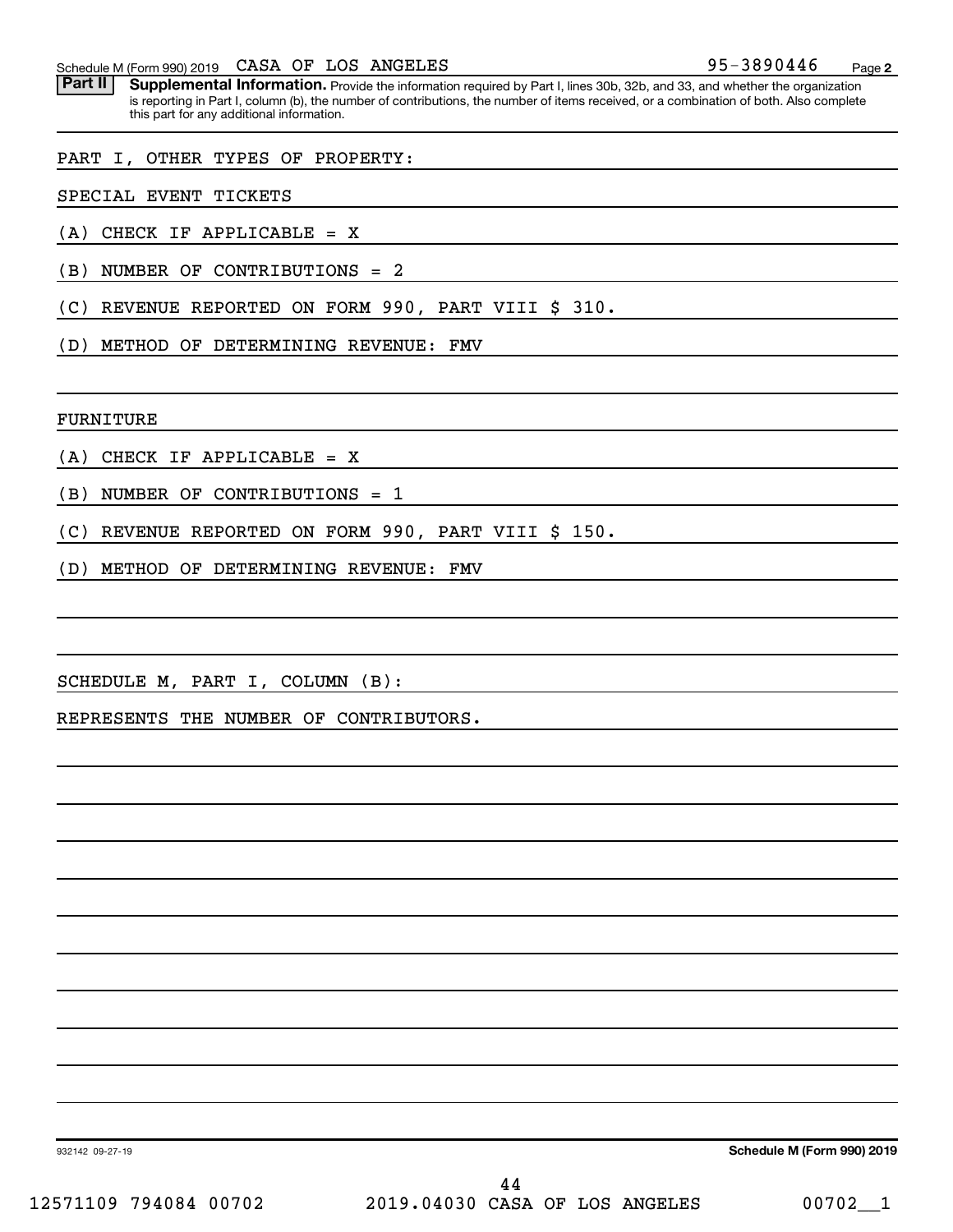Schedule M (Form 990) 2019 CASA OF LOS ANGELES 3890446 Page

Part II | Supplemental Information. Provide the information required by Part I, lines 30b, 32b, and 33, and whether the organization is reporting in Part I, column (b), the number of contributions, the number of items received, or a combination of both. Also complete this part for any additional information.

PART I, OTHER TYPES OF PROPERTY:

SPECIAL EVENT TICKETS

(A) CHECK IF APPLICABLE = X

(B) NUMBER OF CONTRIBUTIONS = 2

(C) REVENUE REPORTED ON FORM 990, PART VIII \$ 310.

(D) METHOD OF DETERMINING REVENUE: FMV

FURNITURE

(A) CHECK IF APPLICABLE = X

(B) NUMBER OF CONTRIBUTIONS = 1

(C) REVENUE REPORTED ON FORM 990, PART VIII \$ 150.

(D) METHOD OF DETERMINING REVENUE: FMV

SCHEDULE M, PART I, COLUMN (B):

REPRESENTS THE NUMBER OF CONTRIBUTORS.

**Schedule M (Form 990) 2019**

932142 09-27-19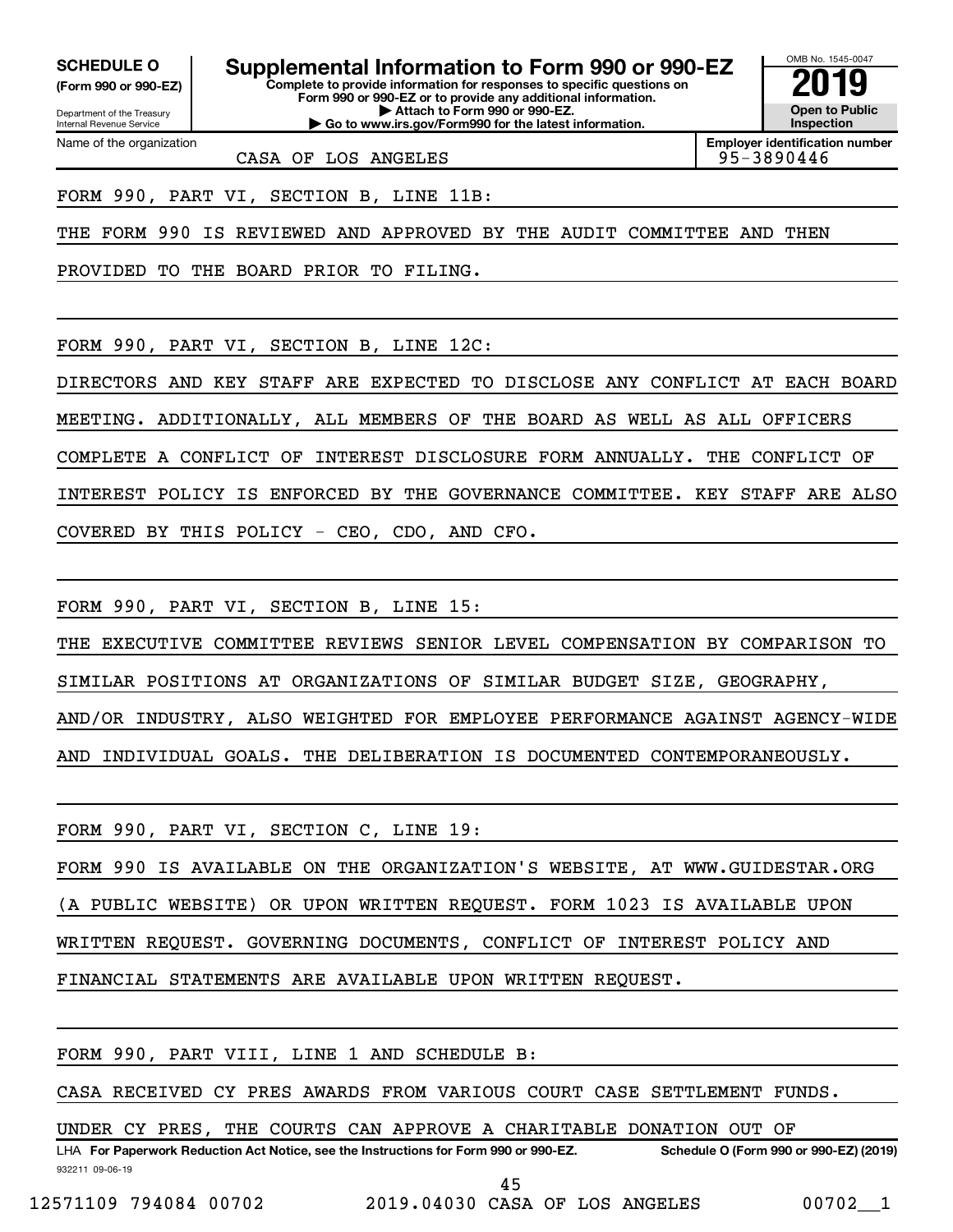Department of the Treasury **(Form 990 or 990-EZ)**

Name of the organization

Internal Revenue Service

**SCHEDULE O Supplemental Information to Form 990 or 990-EZ 2019** 

**Complete to provide information for responses to specific questions on Form 990 or 990-EZ or to provide any additional information. | Attach to Form 990 or 990-EZ. | Go to www.irs.gov/Form990 for the latest information.**



**Employer identification number**

CASA OF LOS ANGELES **195-3890446** 

FORM 990, PART VI, SECTION B, LINE 11B:

THE FORM 990 IS REVIEWED AND APPROVED BY THE AUDIT COMMITTEE AND THEN

PROVIDED TO THE BOARD PRIOR TO FILING.

FORM 990, PART VI, SECTION B, LINE 12C:

DIRECTORS AND KEY STAFF ARE EXPECTED TO DISCLOSE ANY CONFLICT AT EACH BOARD MEETING. ADDITIONALLY, ALL MEMBERS OF THE BOARD AS WELL AS ALL OFFICERS COMPLETE A CONFLICT OF INTEREST DISCLOSURE FORM ANNUALLY. THE CONFLICT OF INTEREST POLICY IS ENFORCED BY THE GOVERNANCE COMMITTEE. KEY STAFF ARE ALSO COVERED BY THIS POLICY - CEO, CDO, AND CFO.

FORM 990, PART VI, SECTION B, LINE 15:

THE EXECUTIVE COMMITTEE REVIEWS SENIOR LEVEL COMPENSATION BY COMPARISON TO

SIMILAR POSITIONS AT ORGANIZATIONS OF SIMILAR BUDGET SIZE, GEOGRAPHY,

AND/OR INDUSTRY, ALSO WEIGHTED FOR EMPLOYEE PERFORMANCE AGAINST AGENCY-WIDE

AND INDIVIDUAL GOALS. THE DELIBERATION IS DOCUMENTED CONTEMPORANEOUSLY.

FORM 990, PART VI, SECTION C, LINE 19:

FORM 990 IS AVAILABLE ON THE ORGANIZATION'S WEBSITE, AT WWW.GUIDESTAR.ORG

(A PUBLIC WEBSITE) OR UPON WRITTEN REQUEST. FORM 1023 IS AVAILABLE UPON

WRITTEN REQUEST. GOVERNING DOCUMENTS, CONFLICT OF INTEREST POLICY AND

FINANCIAL STATEMENTS ARE AVAILABLE UPON WRITTEN REQUEST.

FORM 990, PART VIII, LINE 1 AND SCHEDULE B:

CASA RECEIVED CY PRES AWARDS FROM VARIOUS COURT CASE SETTLEMENT FUNDS.

UNDER CY PRES, THE COURTS CAN APPROVE A CHARITABLE DONATION OUT OF

932211 09-06-19 LHA For Paperwork Reduction Act Notice, see the Instructions for Form 990 or 990-EZ. Schedule O (Form 990 or 990-EZ) (2019) 45

12571109 794084 00702 2019.04030 CASA OF LOS ANGELES 00702\_\_1